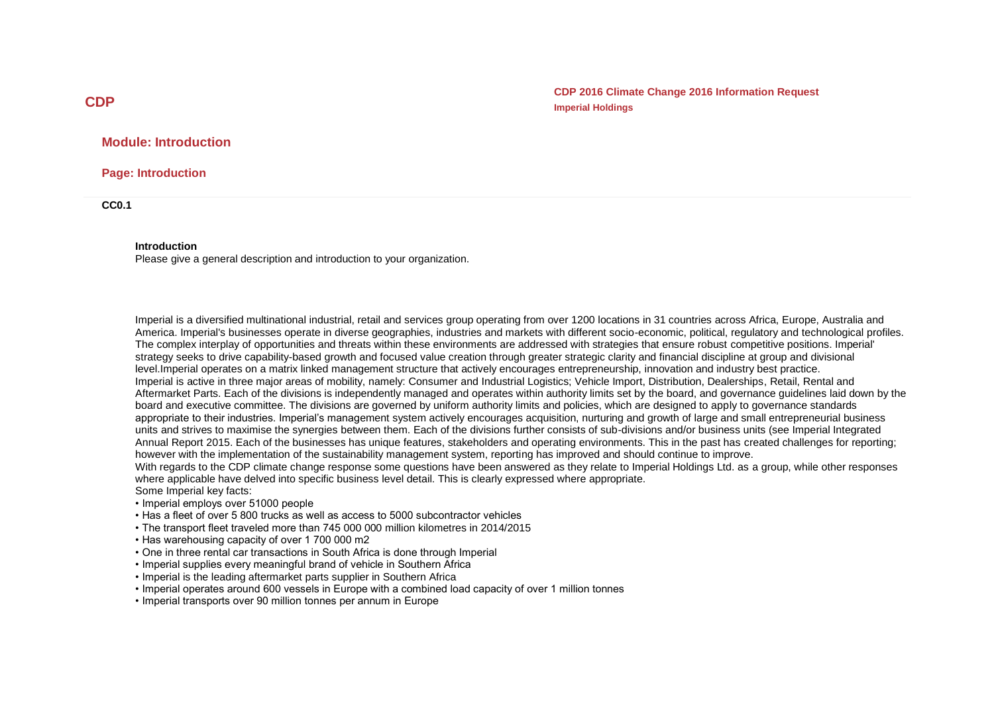**CDP 2016 Climate Change 2016 Information Request Imperial Holdings**

## **Module: Introduction**

**Page: Introduction**

**CC0.1**

#### **Introduction**

Please give a general description and introduction to your organization.

Imperial is a diversified multinational industrial, retail and services group operating from over 1200 locations in 31 countries across Africa, Europe, Australia and America. Imperial's businesses operate in diverse geographies, industries and markets with different socio-economic, political, regulatory and technological profiles. The complex interplay of opportunities and threats within these environments are addressed with strategies that ensure robust competitive positions. Imperial' strategy seeks to drive capability-based growth and focused value creation through greater strategic clarity and financial discipline at group and divisional level.Imperial operates on a matrix linked management structure that actively encourages entrepreneurship, innovation and industry best practice. Imperial is active in three major areas of mobility, namely: Consumer and Industrial Logistics; Vehicle Import, Distribution, Dealerships, Retail, Rental and Aftermarket Parts. Each of the divisions is independently managed and operates within authority limits set by the board, and governance guidelines laid down by the board and executive committee. The divisions are governed by uniform authority limits and policies, which are designed to apply to governance standards appropriate to their industries. Imperial's management system actively encourages acquisition, nurturing and growth of large and small entrepreneurial business units and strives to maximise the synergies between them. Each of the divisions further consists of sub-divisions and/or business units (see Imperial Integrated Annual Report 2015. Each of the businesses has unique features, stakeholders and operating environments. This in the past has created challenges for reporting; however with the implementation of the sustainability management system, reporting has improved and should continue to improve. With regards to the CDP climate change response some questions have been answered as they relate to Imperial Holdings Ltd. as a group, while other responses where applicable have delved into specific business level detail. This is clearly expressed where appropriate. Some Imperial key facts:

- Imperial employs over 51000 people
- Has a fleet of over 5 800 trucks as well as access to 5000 subcontractor vehicles
- The transport fleet traveled more than 745 000 000 million kilometres in 2014/2015
- Has warehousing capacity of over 1 700 000 m2
- One in three rental car transactions in South Africa is done through Imperial
- Imperial supplies every meaningful brand of vehicle in Southern Africa
- Imperial is the leading aftermarket parts supplier in Southern Africa
- Imperial operates around 600 vessels in Europe with a combined load capacity of over 1 million tonnes
- Imperial transports over 90 million tonnes per annum in Europe

## **CDP**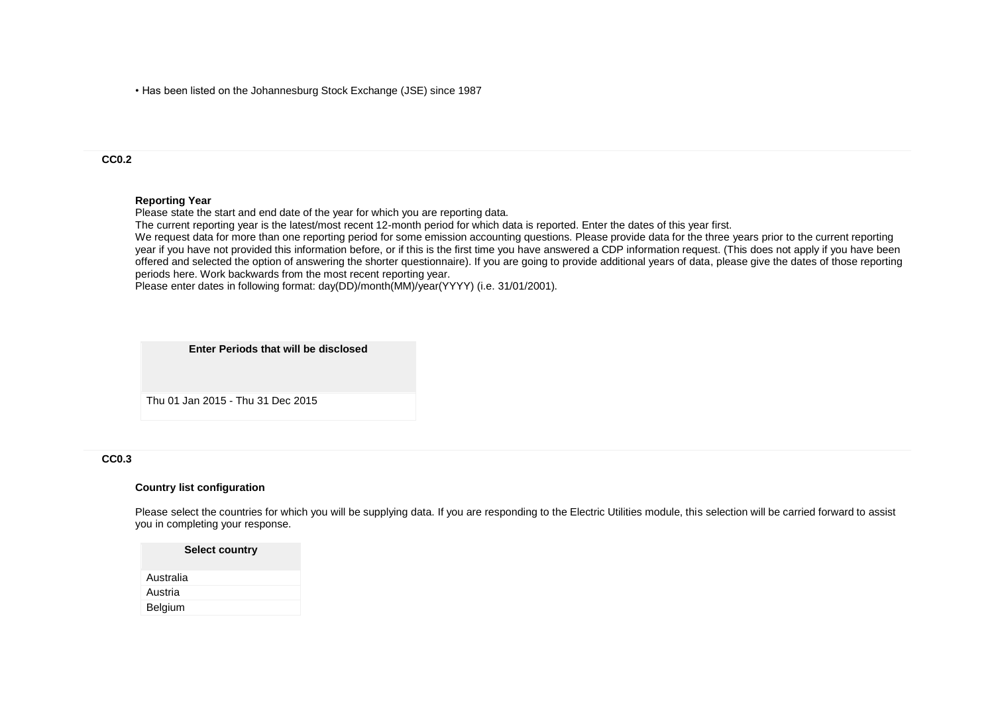• Has been listed on the Johannesburg Stock Exchange (JSE) since 1987

### **CC0.2**

#### **Reporting Year**

Please state the start and end date of the year for which you are reporting data.

The current reporting year is the latest/most recent 12-month period for which data is reported. Enter the dates of this year first.

We request data for more than one reporting period for some emission accounting questions. Please provide data for the three years prior to the current reporting year if you have not provided this information before, or if this is the first time you have answered a CDP information request. (This does not apply if you have been offered and selected the option of answering the shorter questionnaire). If you are going to provide additional years of data, please give the dates of those reporting periods here. Work backwards from the most recent reporting year.

Please enter dates in following format: day(DD)/month(MM)/year(YYYY) (i.e. 31/01/2001).



#### **CC0.3**

#### **Country list configuration**

Please select the countries for which you will be supplying data. If you are responding to the Electric Utilities module, this selection will be carried forward to assist you in completing your response.

| <b>Select country</b> |  |
|-----------------------|--|
| Australia             |  |
| Austria               |  |
| Belgium               |  |
|                       |  |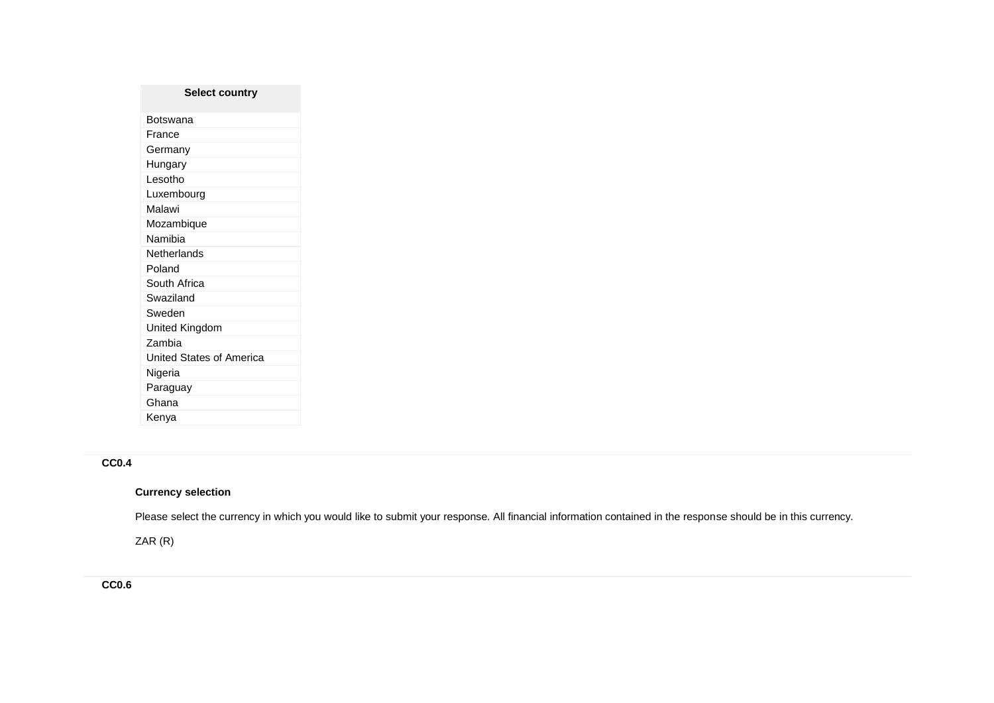| <b>Select country</b>    |
|--------------------------|
| Botswana                 |
| France                   |
| Germany                  |
| Hungary                  |
| Lesotho                  |
| Luxembourg               |
| Malawi                   |
| Mozambique               |
| Namibia                  |
| Netherlands              |
| Poland                   |
| South Africa             |
| Swaziland                |
| Sweden                   |
| United Kingdom           |
| Zambia                   |
| United States of America |
| Nigeria                  |
| Paraguay                 |
| Ghana                    |
| Kenya                    |

# **CC0.4**

# **Currency selection**

Please select the currency in which you would like to submit your response. All financial information contained in the response should be in this currency.

ZAR (R)

**CC0.6**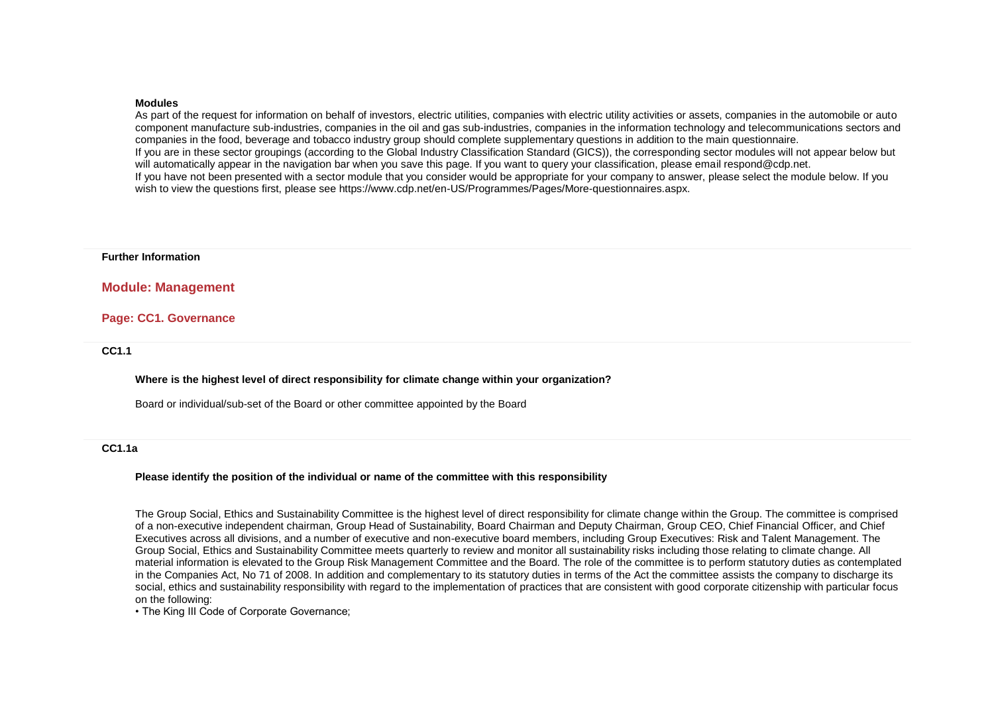#### **Modules**

As part of the request for information on behalf of investors, electric utilities, companies with electric utility activities or assets, companies in the automobile or auto component manufacture sub-industries, companies in the oil and gas sub-industries, companies in the information technology and telecommunications sectors and companies in the food, beverage and tobacco industry group should complete supplementary questions in addition to the main questionnaire. If you are in these sector groupings (according to the Global Industry Classification Standard (GICS)), the corresponding sector modules will not appear below but will automatically appear in the navigation bar when you save this page. If you want to query your classification, please email respond@cdp.net. If you have not been presented with a sector module that you consider would be appropriate for your company to answer, please select the module below. If you wish to view the questions first, please see https://www.cdp.net/en-US/Programmes/Pages/More-questionnaires.aspx.

#### **Further Information**

### **Module: Management**

### **Page: CC1. Governance**

**CC1.1**

#### **Where is the highest level of direct responsibility for climate change within your organization?**

Board or individual/sub-set of the Board or other committee appointed by the Board

### **CC1.1a**

#### **Please identify the position of the individual or name of the committee with this responsibility**

The Group Social, Ethics and Sustainability Committee is the highest level of direct responsibility for climate change within the Group. The committee is comprised of a non-executive independent chairman, Group Head of Sustainability, Board Chairman and Deputy Chairman, Group CEO, Chief Financial Officer, and Chief Executives across all divisions, and a number of executive and non-executive board members, including Group Executives: Risk and Talent Management. The Group Social, Ethics and Sustainability Committee meets quarterly to review and monitor all sustainability risks including those relating to climate change. All material information is elevated to the Group Risk Management Committee and the Board. The role of the committee is to perform statutory duties as contemplated in the Companies Act, No 71 of 2008. In addition and complementary to its statutory duties in terms of the Act the committee assists the company to discharge its social, ethics and sustainability responsibility with regard to the implementation of practices that are consistent with good corporate citizenship with particular focus on the following:

• The King III Code of Corporate Governance;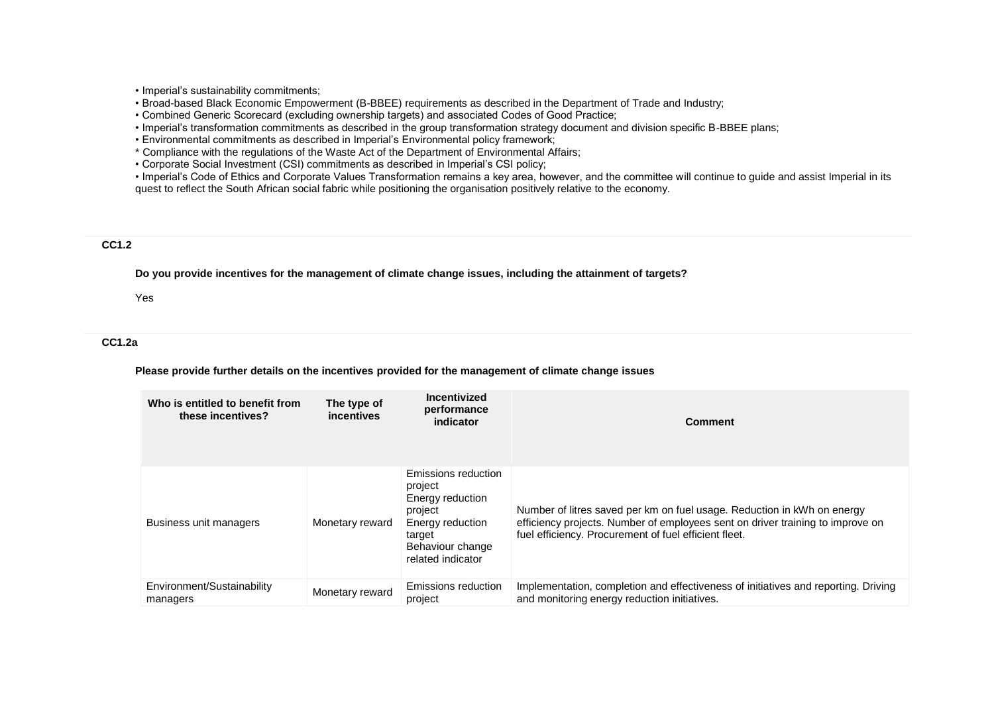• Imperial's sustainability commitments;

• Broad-based Black Economic Empowerment (B-BBEE) requirements as described in the Department of Trade and Industry;

• Combined Generic Scorecard (excluding ownership targets) and associated Codes of Good Practice;

• Imperial's transformation commitments as described in the group transformation strategy document and division specific B-BBEE plans;

• Environmental commitments as described in Imperial's Environmental policy framework;

\* Compliance with the regulations of the Waste Act of the Department of Environmental Affairs;

• Corporate Social Investment (CSI) commitments as described in Imperial's CSI policy;

• Imperial's Code of Ethics and Corporate Values Transformation remains a key area, however, and the committee will continue to guide and assist Imperial in its quest to reflect the South African social fabric while positioning the organisation positively relative to the economy.

#### **CC1.2**

**Do you provide incentives for the management of climate change issues, including the attainment of targets?**

Yes

### **CC1.2a**

**Please provide further details on the incentives provided for the management of climate change issues**

| Who is entitled to benefit from<br>these incentives? | The type of<br>incentives | Incentivized<br>performance<br>indicator                                                                                             | <b>Comment</b>                                                                                                                                                                                                     |
|------------------------------------------------------|---------------------------|--------------------------------------------------------------------------------------------------------------------------------------|--------------------------------------------------------------------------------------------------------------------------------------------------------------------------------------------------------------------|
| Business unit managers                               | Monetary reward           | Emissions reduction<br>project<br>Energy reduction<br>project<br>Energy reduction<br>target<br>Behaviour change<br>related indicator | Number of litres saved per km on fuel usage. Reduction in kWh on energy<br>efficiency projects. Number of employees sent on driver training to improve on<br>fuel efficiency. Procurement of fuel efficient fleet. |
| Environment/Sustainability<br>managers               | Monetary reward           | Emissions reduction<br>project                                                                                                       | Implementation, completion and effectiveness of initiatives and reporting. Driving<br>and monitoring energy reduction initiatives.                                                                                 |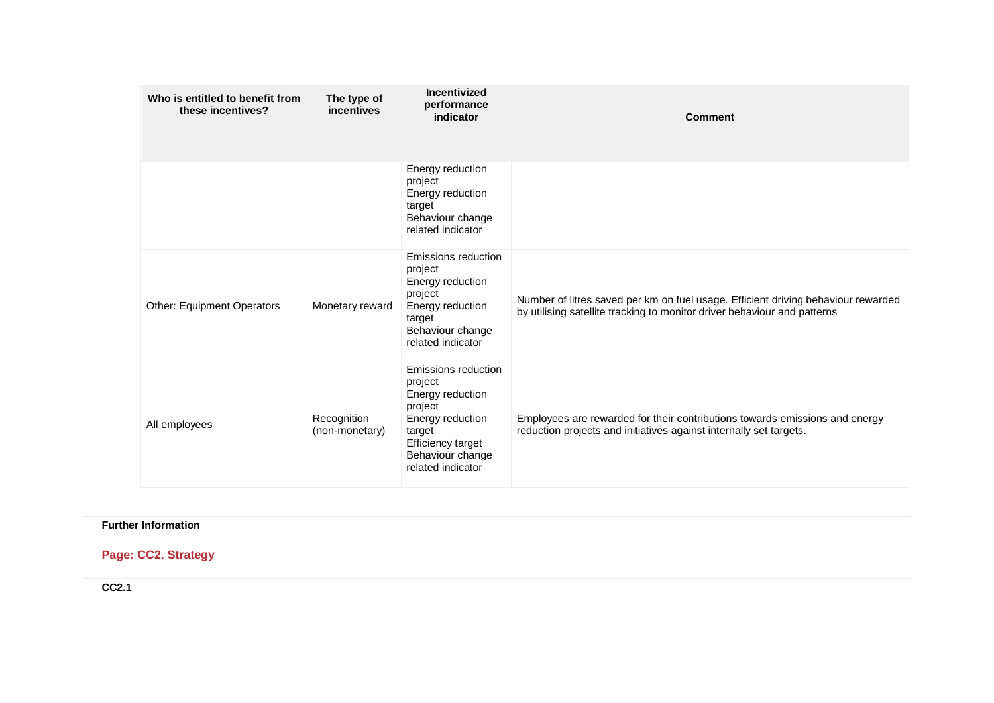| Who is entitled to benefit from<br>these incentives? | The type of<br><b>incentives</b> | Incentivized<br>performance<br>indicator                                                                                                                         | <b>Comment</b>                                                                                                                                                |
|------------------------------------------------------|----------------------------------|------------------------------------------------------------------------------------------------------------------------------------------------------------------|---------------------------------------------------------------------------------------------------------------------------------------------------------------|
|                                                      |                                  | Energy reduction<br>project<br>Energy reduction<br>target<br>Behaviour change<br>related indicator                                                               |                                                                                                                                                               |
| <b>Other: Equipment Operators</b>                    | Monetary reward                  | Emissions reduction<br>project<br>Energy reduction<br>project<br>Energy reduction<br>target<br>Behaviour change<br>related indicator                             | Number of litres saved per km on fuel usage. Efficient driving behaviour rewarded<br>by utilising satellite tracking to monitor driver behaviour and patterns |
| All employees                                        | Recognition<br>(non-monetary)    | Emissions reduction<br>project<br>Energy reduction<br>project<br>Energy reduction<br>target<br><b>Efficiency target</b><br>Behaviour change<br>related indicator | Employees are rewarded for their contributions towards emissions and energy<br>reduction projects and initiatives against internally set targets.             |

## **Further Information**

# **Page: CC2. Strategy**

**CC2.1**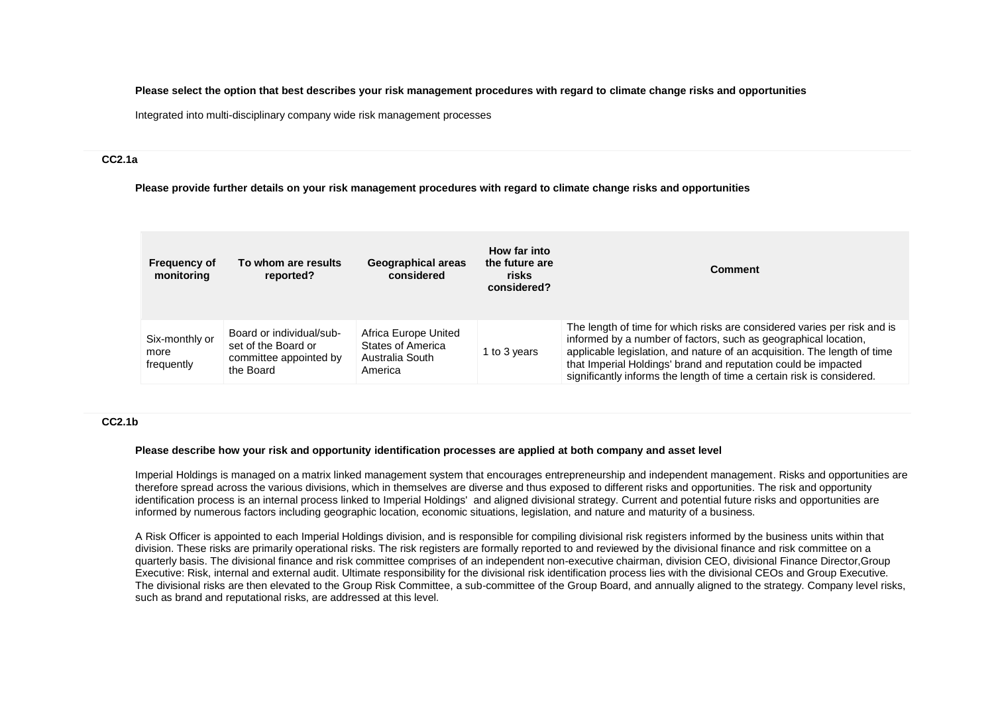**Please select the option that best describes your risk management procedures with regard to climate change risks and opportunities**

Integrated into multi-disciplinary company wide risk management processes

#### **CC2.1a**

**Please provide further details on your risk management procedures with regard to climate change risks and opportunities**

| <b>Frequency of</b><br>monitoring    | To whom are results<br>reported?                                                       | Geographical areas<br>considered                                        | How far into<br>the future are<br>risks<br>considered? | <b>Comment</b>                                                                                                                                                                                                                                                                                                                                                      |
|--------------------------------------|----------------------------------------------------------------------------------------|-------------------------------------------------------------------------|--------------------------------------------------------|---------------------------------------------------------------------------------------------------------------------------------------------------------------------------------------------------------------------------------------------------------------------------------------------------------------------------------------------------------------------|
| Six-monthly or<br>more<br>frequently | Board or individual/sub-<br>set of the Board or<br>committee appointed by<br>the Board | Africa Europe United<br>States of America<br>Australia South<br>America | 1 to 3 years                                           | The length of time for which risks are considered varies per risk and is<br>informed by a number of factors, such as geographical location,<br>applicable legislation, and nature of an acquisition. The length of time<br>that Imperial Holdings' brand and reputation could be impacted<br>significantly informs the length of time a certain risk is considered. |

#### **CC2.1b**

### **Please describe how your risk and opportunity identification processes are applied at both company and asset level**

Imperial Holdings is managed on a matrix linked management system that encourages entrepreneurship and independent management. Risks and opportunities are therefore spread across the various divisions, which in themselves are diverse and thus exposed to different risks and opportunities. The risk and opportunity identification process is an internal process linked to Imperial Holdings' and aligned divisional strategy. Current and potential future risks and opportunities are informed by numerous factors including geographic location, economic situations, legislation, and nature and maturity of a business.

A Risk Officer is appointed to each Imperial Holdings division, and is responsible for compiling divisional risk registers informed by the business units within that division. These risks are primarily operational risks. The risk registers are formally reported to and reviewed by the divisional finance and risk committee on a quarterly basis. The divisional finance and risk committee comprises of an independent non-executive chairman, division CEO, divisional Finance Director,Group Executive: Risk, internal and external audit. Ultimate responsibility for the divisional risk identification process lies with the divisional CEOs and Group Executive. The divisional risks are then elevated to the Group Risk Committee, a sub-committee of the Group Board, and annually aligned to the strategy. Company level risks, such as brand and reputational risks, are addressed at this level.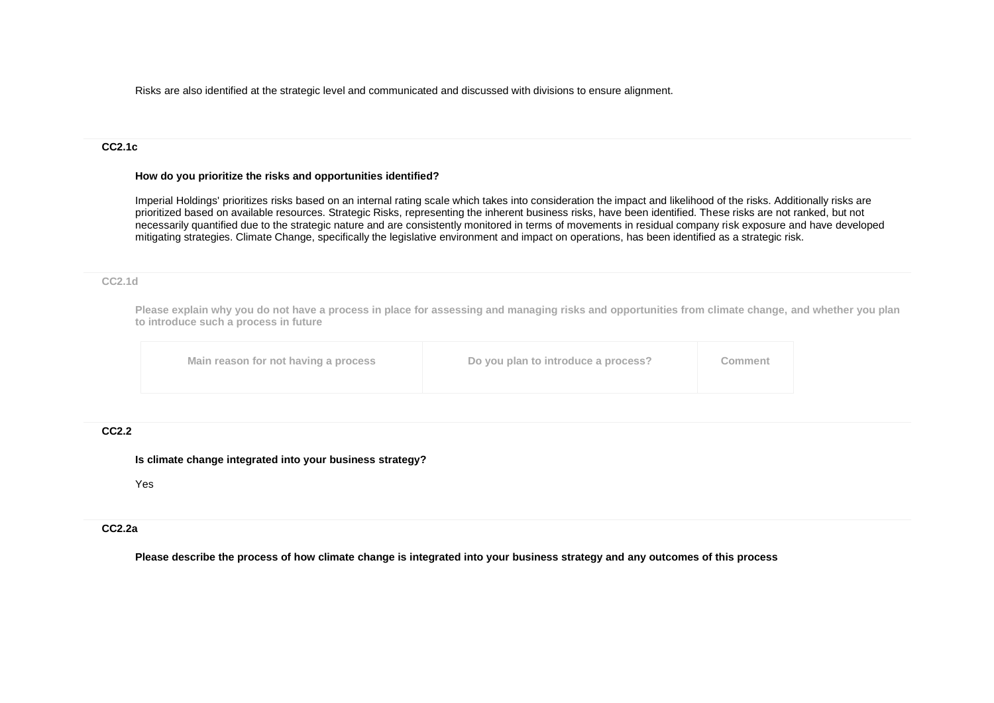Risks are also identified at the strategic level and communicated and discussed with divisions to ensure alignment.

#### **CC2.1c**

#### **How do you prioritize the risks and opportunities identified?**

Imperial Holdings' prioritizes risks based on an internal rating scale which takes into consideration the impact and likelihood of the risks. Additionally risks are prioritized based on available resources. Strategic Risks, representing the inherent business risks, have been identified. These risks are not ranked, but not necessarily quantified due to the strategic nature and are consistently monitored in terms of movements in residual company risk exposure and have developed mitigating strategies. Climate Change, specifically the legislative environment and impact on operations, has been identified as a strategic risk.

### **CC2.1d**

**Please explain why you do not have a process in place for assessing and managing risks and opportunities from climate change, and whether you plan to introduce such a process in future**

| Do you plan to introduce a process?<br>Main reason for not having a process<br>Comment |
|----------------------------------------------------------------------------------------|
|----------------------------------------------------------------------------------------|

## **CC2.2**

### **Is climate change integrated into your business strategy?**

Yes

## **CC2.2a**

**Please describe the process of how climate change is integrated into your business strategy and any outcomes of this process**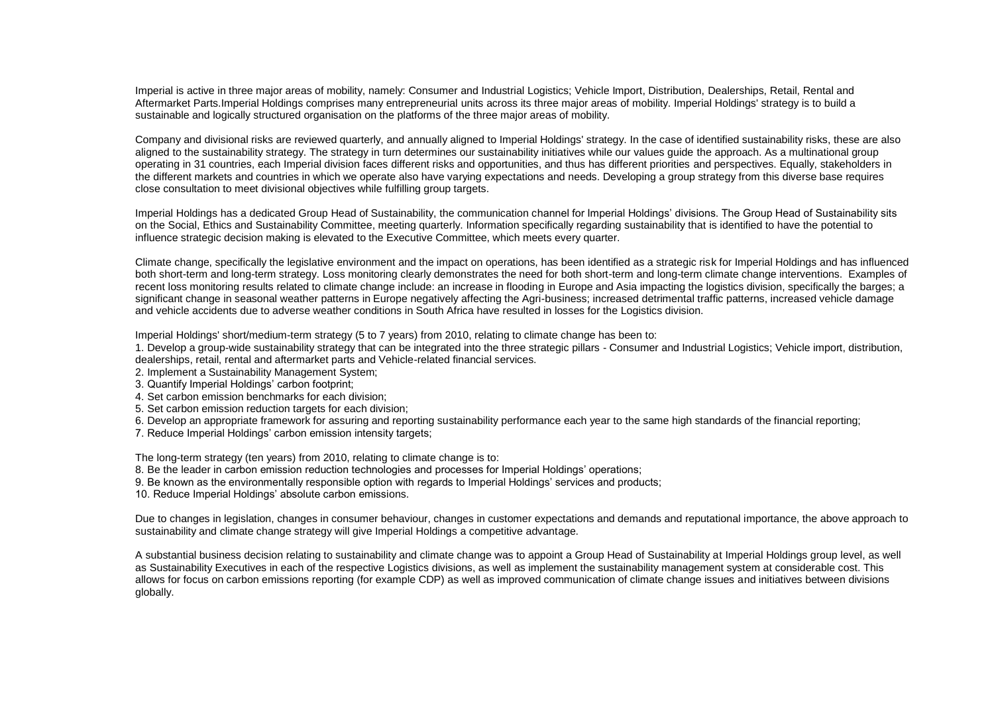Imperial is active in three major areas of mobility, namely: Consumer and Industrial Logistics; Vehicle Import, Distribution, Dealerships, Retail, Rental and Aftermarket Parts.Imperial Holdings comprises many entrepreneurial units across its three major areas of mobility. Imperial Holdings' strategy is to build a sustainable and logically structured organisation on the platforms of the three major areas of mobility.

Company and divisional risks are reviewed quarterly, and annually aligned to Imperial Holdings' strategy. In the case of identified sustainability risks, these are also aligned to the sustainability strategy. The strategy in turn determines our sustainability initiatives while our values guide the approach. As a multinational group operating in 31 countries, each Imperial division faces different risks and opportunities, and thus has different priorities and perspectives. Equally, stakeholders in the different markets and countries in which we operate also have varying expectations and needs. Developing a group strategy from this diverse base requires close consultation to meet divisional objectives while fulfilling group targets.

Imperial Holdings has a dedicated Group Head of Sustainability, the communication channel for Imperial Holdings' divisions. The Group Head of Sustainability sits on the Social, Ethics and Sustainability Committee, meeting quarterly. Information specifically regarding sustainability that is identified to have the potential to influence strategic decision making is elevated to the Executive Committee, which meets every quarter.

Climate change, specifically the legislative environment and the impact on operations, has been identified as a strategic risk for Imperial Holdings and has influenced both short-term and long-term strategy. Loss monitoring clearly demonstrates the need for both short-term and long-term climate change interventions. Examples of recent loss monitoring results related to climate change include: an increase in flooding in Europe and Asia impacting the logistics division, specifically the barges; a significant change in seasonal weather patterns in Europe negatively affecting the Agri-business; increased detrimental traffic patterns, increased vehicle damage and vehicle accidents due to adverse weather conditions in South Africa have resulted in losses for the Logistics division.

Imperial Holdings' short/medium-term strategy (5 to 7 years) from 2010, relating to climate change has been to:

1. Develop a group-wide sustainability strategy that can be integrated into the three strategic pillars - Consumer and Industrial Logistics; Vehicle import, distribution, dealerships, retail, rental and aftermarket parts and Vehicle-related financial services.

- 2. Implement a Sustainability Management System;
- 3. Quantify Imperial Holdings' carbon footprint;
- 4. Set carbon emission benchmarks for each division;
- 5. Set carbon emission reduction targets for each division;
- 6. Develop an appropriate framework for assuring and reporting sustainability performance each year to the same high standards of the financial reporting;
- 7. Reduce Imperial Holdings' carbon emission intensity targets;

The long-term strategy (ten years) from 2010, relating to climate change is to:

- 8. Be the leader in carbon emission reduction technologies and processes for Imperial Holdings' operations;
- 9. Be known as the environmentally responsible option with regards to Imperial Holdings' services and products;

10. Reduce Imperial Holdings' absolute carbon emissions.

Due to changes in legislation, changes in consumer behaviour, changes in customer expectations and demands and reputational importance, the above approach to sustainability and climate change strategy will give Imperial Holdings a competitive advantage.

A substantial business decision relating to sustainability and climate change was to appoint a Group Head of Sustainability at Imperial Holdings group level, as well as Sustainability Executives in each of the respective Logistics divisions, as well as implement the sustainability management system at considerable cost. This allows for focus on carbon emissions reporting (for example CDP) as well as improved communication of climate change issues and initiatives between divisions globally.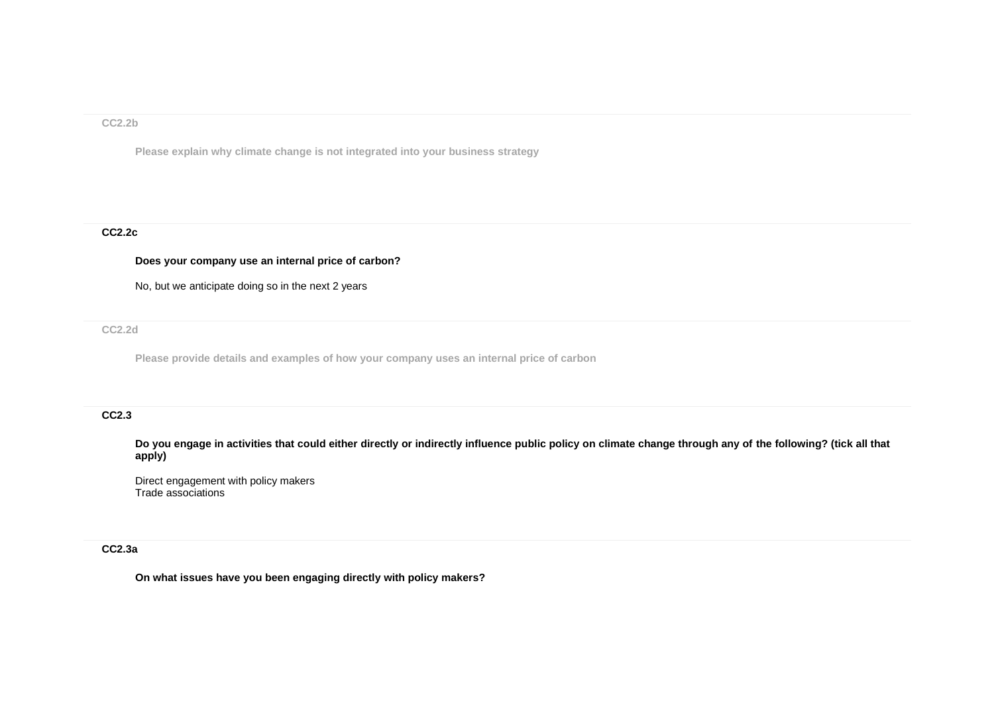### **CC2.2b**

**Please explain why climate change is not integrated into your business strategy**

## **CC2.2c**

## **Does your company use an internal price of carbon?**

No, but we anticipate doing so in the next 2 years

**CC2.2d**

**Please provide details and examples of how your company uses an internal price of carbon**

## **CC2.3**

**Do you engage in activities that could either directly or indirectly influence public policy on climate change through any of the following? (tick all that apply)**

Direct engagement with policy makers Trade associations

## **CC2.3a**

**On what issues have you been engaging directly with policy makers?**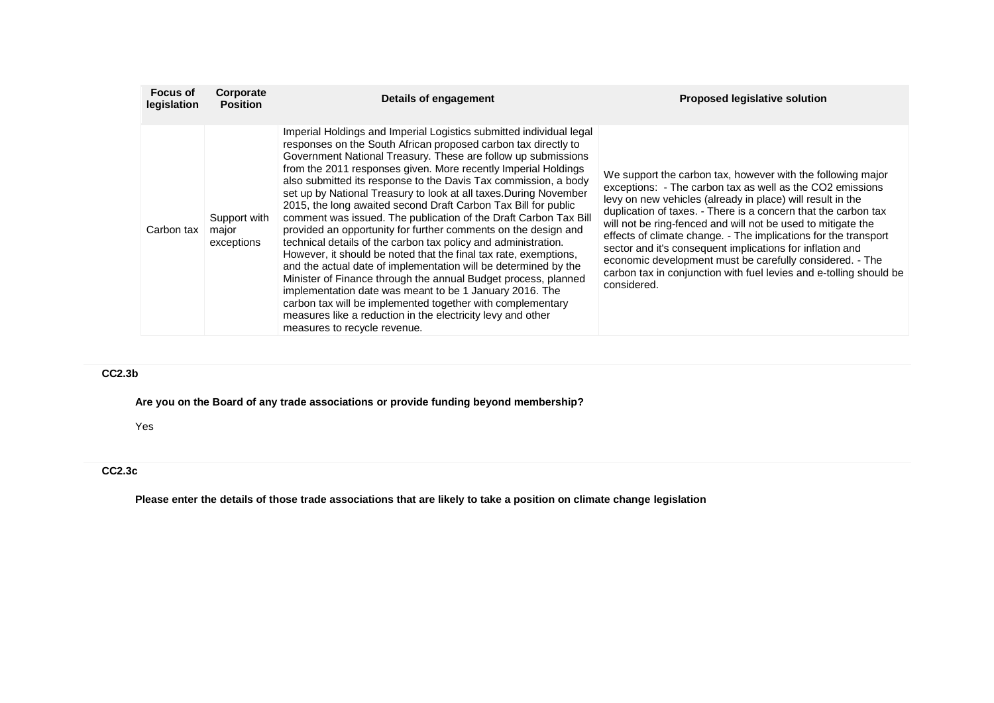| <b>Focus of</b><br>legislation | Corporate<br><b>Position</b>        | Details of engagement                                                                                                                                                                                                                                                                                                                                                                                                                                                                                                                                                                                                                                                                                                                                                                                                                                                                                                                                                                                                                                                                                                       | <b>Proposed legislative solution</b>                                                                                                                                                                                                                                                                                                                                                                                                                                                                                                                                                                      |
|--------------------------------|-------------------------------------|-----------------------------------------------------------------------------------------------------------------------------------------------------------------------------------------------------------------------------------------------------------------------------------------------------------------------------------------------------------------------------------------------------------------------------------------------------------------------------------------------------------------------------------------------------------------------------------------------------------------------------------------------------------------------------------------------------------------------------------------------------------------------------------------------------------------------------------------------------------------------------------------------------------------------------------------------------------------------------------------------------------------------------------------------------------------------------------------------------------------------------|-----------------------------------------------------------------------------------------------------------------------------------------------------------------------------------------------------------------------------------------------------------------------------------------------------------------------------------------------------------------------------------------------------------------------------------------------------------------------------------------------------------------------------------------------------------------------------------------------------------|
| Carbon tax                     | Support with<br>major<br>exceptions | Imperial Holdings and Imperial Logistics submitted individual legal<br>responses on the South African proposed carbon tax directly to<br>Government National Treasury. These are follow up submissions<br>from the 2011 responses given. More recently Imperial Holdings<br>also submitted its response to the Davis Tax commission, a body<br>set up by National Treasury to look at all taxes. During November<br>2015, the long awaited second Draft Carbon Tax Bill for public<br>comment was issued. The publication of the Draft Carbon Tax Bill<br>provided an opportunity for further comments on the design and<br>technical details of the carbon tax policy and administration.<br>However, it should be noted that the final tax rate, exemptions,<br>and the actual date of implementation will be determined by the<br>Minister of Finance through the annual Budget process, planned<br>implementation date was meant to be 1 January 2016. The<br>carbon tax will be implemented together with complementary<br>measures like a reduction in the electricity levy and other<br>measures to recycle revenue. | We support the carbon tax, however with the following major<br>exceptions: - The carbon tax as well as the CO2 emissions<br>levy on new vehicles (already in place) will result in the<br>duplication of taxes. - There is a concern that the carbon tax<br>will not be ring-fenced and will not be used to mitigate the<br>effects of climate change. - The implications for the transport<br>sector and it's consequent implications for inflation and<br>economic development must be carefully considered. - The<br>carbon tax in conjunction with fuel levies and e-tolling should be<br>considered. |

# **CC2.3b**

**Are you on the Board of any trade associations or provide funding beyond membership?**

Yes

## **CC2.3c**

**Please enter the details of those trade associations that are likely to take a position on climate change legislation**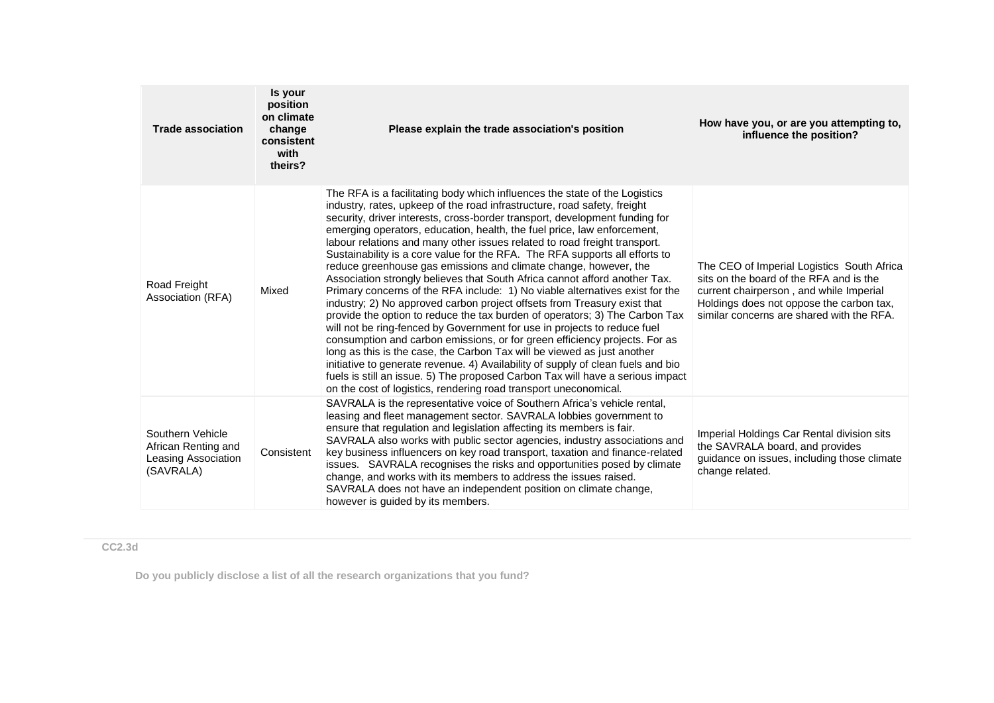| <b>Trade association</b>                                                    | Is your<br>position<br>on climate<br>change<br>consistent<br>with<br>theirs? | Please explain the trade association's position                                                                                                                                                                                                                                                                                                                                                                                                                                                                                                                                                                                                                                                                                                                                                                                                                                                                                                                                                                                                                                                                                                                                                                                                                                                                                                          | How have you, or are you attempting to,<br>influence the position?                                                                                                                                                        |
|-----------------------------------------------------------------------------|------------------------------------------------------------------------------|----------------------------------------------------------------------------------------------------------------------------------------------------------------------------------------------------------------------------------------------------------------------------------------------------------------------------------------------------------------------------------------------------------------------------------------------------------------------------------------------------------------------------------------------------------------------------------------------------------------------------------------------------------------------------------------------------------------------------------------------------------------------------------------------------------------------------------------------------------------------------------------------------------------------------------------------------------------------------------------------------------------------------------------------------------------------------------------------------------------------------------------------------------------------------------------------------------------------------------------------------------------------------------------------------------------------------------------------------------|---------------------------------------------------------------------------------------------------------------------------------------------------------------------------------------------------------------------------|
| Road Freight<br>Association (RFA)                                           | Mixed                                                                        | The RFA is a facilitating body which influences the state of the Logistics<br>industry, rates, upkeep of the road infrastructure, road safety, freight<br>security, driver interests, cross-border transport, development funding for<br>emerging operators, education, health, the fuel price, law enforcement,<br>labour relations and many other issues related to road freight transport.<br>Sustainability is a core value for the RFA. The RFA supports all efforts to<br>reduce greenhouse gas emissions and climate change, however, the<br>Association strongly believes that South Africa cannot afford another Tax.<br>Primary concerns of the RFA include: 1) No viable alternatives exist for the<br>industry; 2) No approved carbon project offsets from Treasury exist that<br>provide the option to reduce the tax burden of operators; 3) The Carbon Tax<br>will not be ring-fenced by Government for use in projects to reduce fuel<br>consumption and carbon emissions, or for green efficiency projects. For as<br>long as this is the case, the Carbon Tax will be viewed as just another<br>initiative to generate revenue. 4) Availability of supply of clean fuels and bio<br>fuels is still an issue. 5) The proposed Carbon Tax will have a serious impact<br>on the cost of logistics, rendering road transport uneconomical. | The CEO of Imperial Logistics South Africa<br>sits on the board of the RFA and is the<br>current chairperson, and while Imperial<br>Holdings does not oppose the carbon tax,<br>similar concerns are shared with the RFA. |
| Southern Vehicle<br>African Renting and<br>Leasing Association<br>(SAVRALA) | Consistent                                                                   | SAVRALA is the representative voice of Southern Africa's vehicle rental,<br>leasing and fleet management sector. SAVRALA lobbies government to<br>ensure that regulation and legislation affecting its members is fair.<br>SAVRALA also works with public sector agencies, industry associations and<br>key business influencers on key road transport, taxation and finance-related<br>issues. SAVRALA recognises the risks and opportunities posed by climate<br>change, and works with its members to address the issues raised.<br>SAVRALA does not have an independent position on climate change,<br>however is guided by its members.                                                                                                                                                                                                                                                                                                                                                                                                                                                                                                                                                                                                                                                                                                             | Imperial Holdings Car Rental division sits<br>the SAVRALA board, and provides<br>guidance on issues, including those climate<br>change related.                                                                           |

**CC2.3d**

**Do you publicly disclose a list of all the research organizations that you fund?**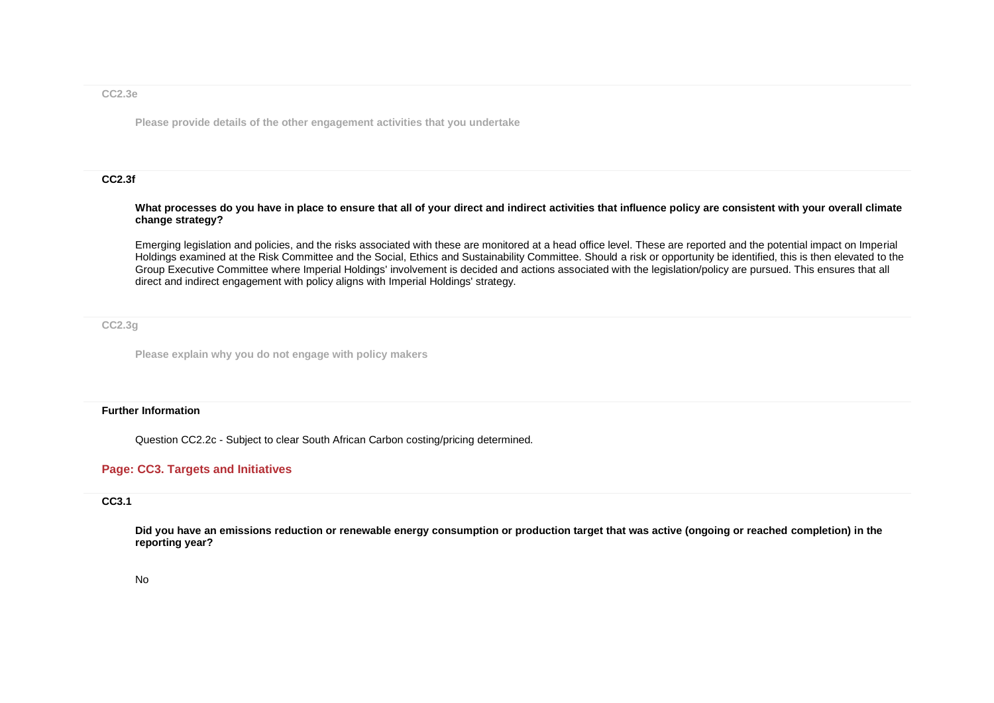### **CC2.3e**

**Please provide details of the other engagement activities that you undertake**

#### **CC2.3f**

#### **What processes do you have in place to ensure that all of your direct and indirect activities that influence policy are consistent with your overall climate change strategy?**

Emerging legislation and policies, and the risks associated with these are monitored at a head office level. These are reported and the potential impact on Imperial Holdings examined at the Risk Committee and the Social, Ethics and Sustainability Committee. Should a risk or opportunity be identified, this is then elevated to the Group Executive Committee where Imperial Holdings' involvement is decided and actions associated with the legislation/policy are pursued. This ensures that all direct and indirect engagement with policy aligns with Imperial Holdings' strategy.

**CC2.3g**

**Please explain why you do not engage with policy makers**

#### **Further Information**

Question CC2.2c - Subject to clear South African Carbon costing/pricing determined.

## **Page: CC3. Targets and Initiatives**

### **CC3.1**

**Did you have an emissions reduction or renewable energy consumption or production target that was active (ongoing or reached completion) in the reporting year?**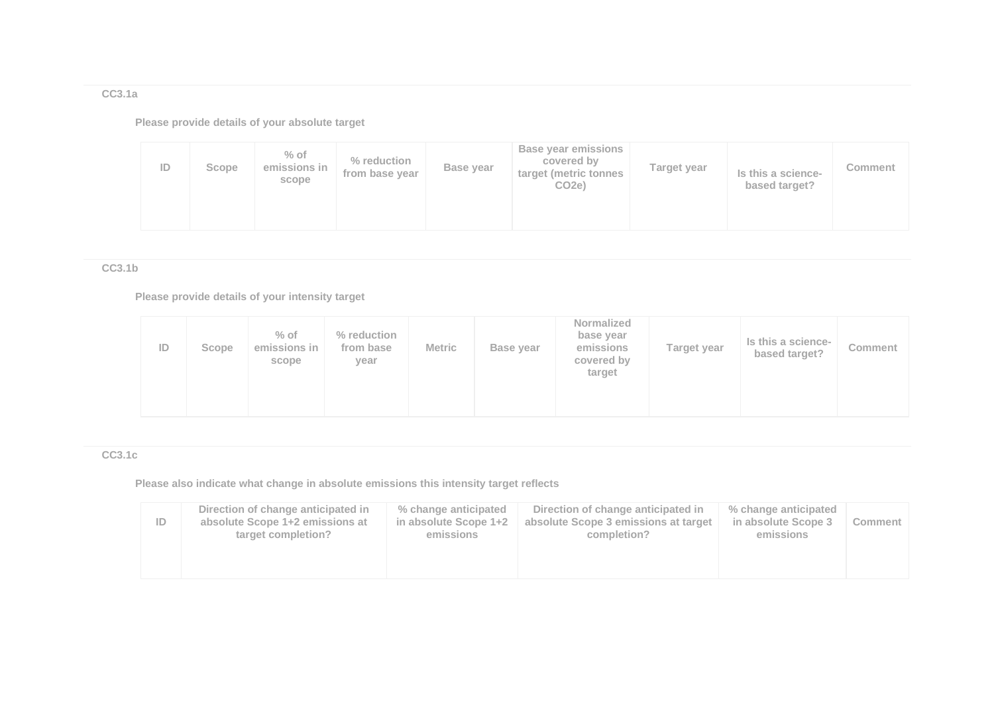**CC3.1a**

**Please provide details of your absolute target**

| ID | Scope | $%$ of<br>emissions in<br>scope | % reduction<br>from base year | Base year | <b>Base year emissions</b><br>covered by<br>target (metric tonnes<br>CO <sub>2e</sub> ) | Target year | Is this a science-<br>based target? | Comment |
|----|-------|---------------------------------|-------------------------------|-----------|-----------------------------------------------------------------------------------------|-------------|-------------------------------------|---------|
|----|-------|---------------------------------|-------------------------------|-----------|-----------------------------------------------------------------------------------------|-------------|-------------------------------------|---------|

**CC3.1b**

**Please provide details of your intensity target**

| ID | Scope | $%$ of<br>emissions in<br>scope | % reduction<br>from base<br>year | <b>Metric</b> | Base year | Normalized<br>base year<br>emissions<br>covered by<br>target | Target year | Is this a science-<br>based target? | Comment |
|----|-------|---------------------------------|----------------------------------|---------------|-----------|--------------------------------------------------------------|-------------|-------------------------------------|---------|
|----|-------|---------------------------------|----------------------------------|---------------|-----------|--------------------------------------------------------------|-------------|-------------------------------------|---------|

# **CC3.1c**

**Please also indicate what change in absolute emissions this intensity target reflects**

| ID | Direction of change anticipated in<br>absolute Scope 1+2 emissions at<br>target completion? | % change anticipated<br>in absolute Scope 1+2<br>emissions | Direction of change anticipated in<br>absolute Scope 3 emissions at target<br>completion? | % change anticipated<br>in absolute Scope 3<br>emissions | Comment |
|----|---------------------------------------------------------------------------------------------|------------------------------------------------------------|-------------------------------------------------------------------------------------------|----------------------------------------------------------|---------|
|    |                                                                                             |                                                            |                                                                                           |                                                          |         |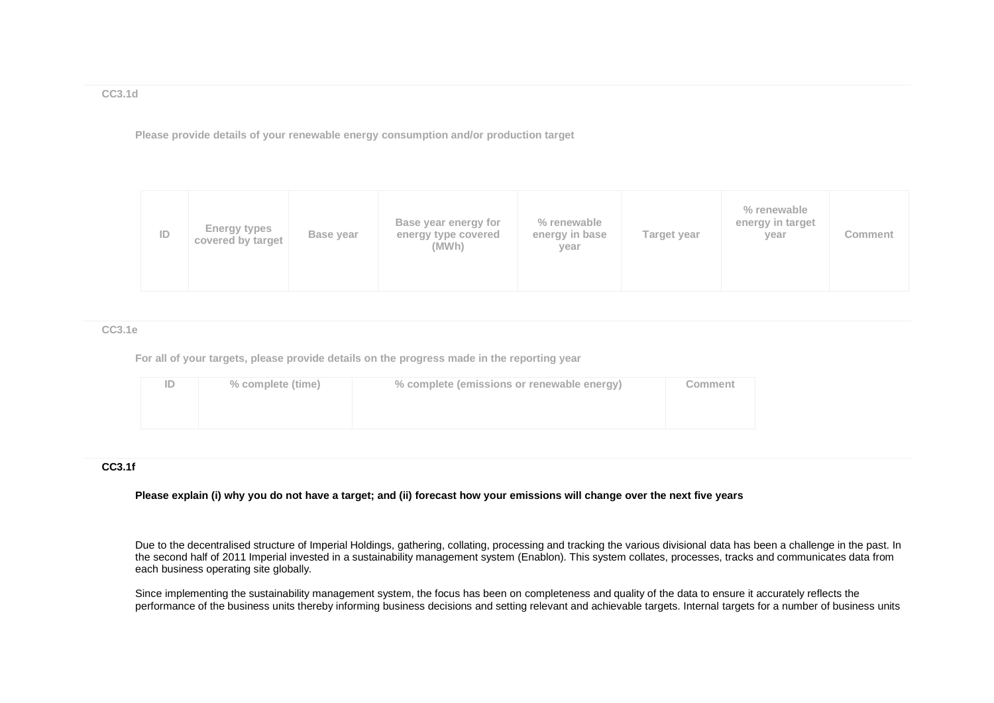**CC3.1d**

**Please provide details of your renewable energy consumption and/or production target**

| ID | Energy types<br>covered by target | Base year | Base year energy for<br>energy type covered<br>(MWh) | % renewable<br>energy in base<br>year | Target year | % renewable<br>energy in target<br>year | <b>Comment</b> |
|----|-----------------------------------|-----------|------------------------------------------------------|---------------------------------------|-------------|-----------------------------------------|----------------|
|----|-----------------------------------|-----------|------------------------------------------------------|---------------------------------------|-------------|-----------------------------------------|----------------|

**CC3.1e**

**For all of your targets, please provide details on the progress made in the reporting year**

| % complete (time) | % complete (emissions or renewable energy) | Comment |
|-------------------|--------------------------------------------|---------|
|                   |                                            |         |
|                   |                                            |         |

### **CC3.1f**

**Please explain (i) why you do not have a target; and (ii) forecast how your emissions will change over the next five years**

Due to the decentralised structure of Imperial Holdings, gathering, collating, processing and tracking the various divisional data has been a challenge in the past. In the second half of 2011 Imperial invested in a sustainability management system (Enablon). This system collates, processes, tracks and communicates data from each business operating site globally.

Since implementing the sustainability management system, the focus has been on completeness and quality of the data to ensure it accurately reflects the performance of the business units thereby informing business decisions and setting relevant and achievable targets. Internal targets for a number of business units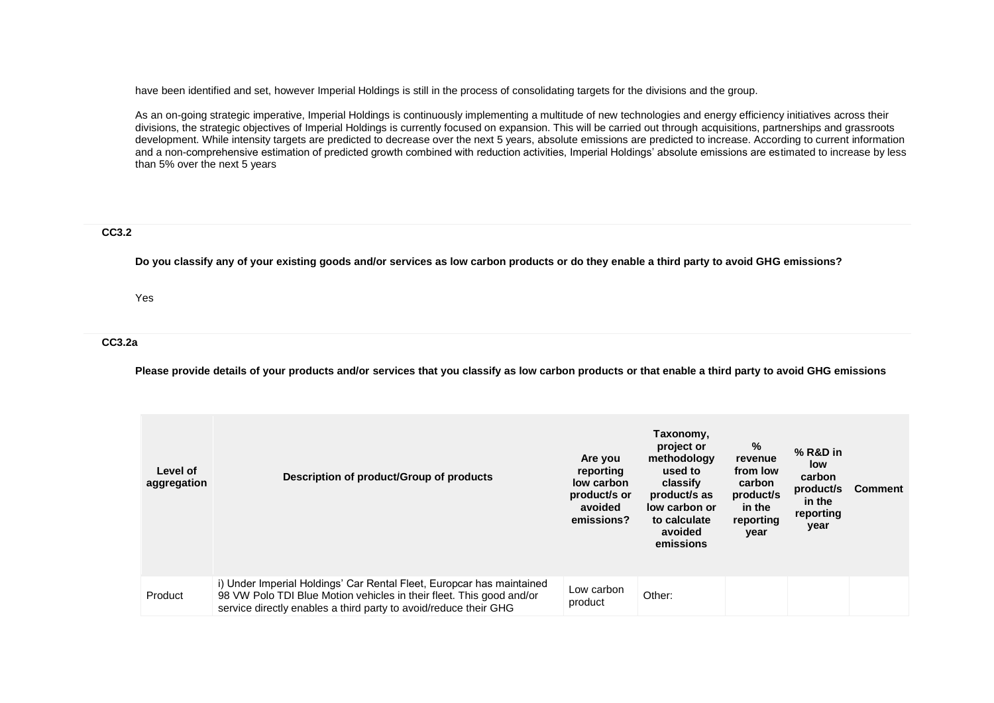have been identified and set, however Imperial Holdings is still in the process of consolidating targets for the divisions and the group.

As an on-going strategic imperative, Imperial Holdings is continuously implementing a multitude of new technologies and energy efficiency initiatives across their divisions, the strategic objectives of Imperial Holdings is currently focused on expansion. This will be carried out through acquisitions, partnerships and grassroots development. While intensity targets are predicted to decrease over the next 5 years, absolute emissions are predicted to increase. According to current information and a non-comprehensive estimation of predicted growth combined with reduction activities, Imperial Holdings' absolute emissions are estimated to increase by less than 5% over the next 5 years

### **CC3.2**

**Do you classify any of your existing goods and/or services as low carbon products or do they enable a third party to avoid GHG emissions?**

Yes

### **CC3.2a**

**Please provide details of your products and/or services that you classify as low carbon products or that enable a third party to avoid GHG emissions**

| Level of<br>aggregation | Description of product/Group of products                                                                                                                                                                          | Are you<br>reporting<br>low carbon<br>product/s or<br>avoided<br>emissions? | Taxonomy,<br>project or<br>methodology<br>used to<br>classify<br>product/s as<br>low carbon or<br>to calculate<br>avoided<br>emissions | %<br>revenue<br>from low<br>carbon<br>product/s<br>in the<br>reporting<br>year | $%$ R&D in<br>low<br>carbon<br>product/s<br>in the<br>reporting<br>year | <b>Comment</b> |
|-------------------------|-------------------------------------------------------------------------------------------------------------------------------------------------------------------------------------------------------------------|-----------------------------------------------------------------------------|----------------------------------------------------------------------------------------------------------------------------------------|--------------------------------------------------------------------------------|-------------------------------------------------------------------------|----------------|
| Product                 | i) Under Imperial Holdings' Car Rental Fleet, Europcar has maintained<br>98 VW Polo TDI Blue Motion vehicles in their fleet. This good and/or<br>service directly enables a third party to avoid/reduce their GHG | Low carbon<br>product                                                       | Other:                                                                                                                                 |                                                                                |                                                                         |                |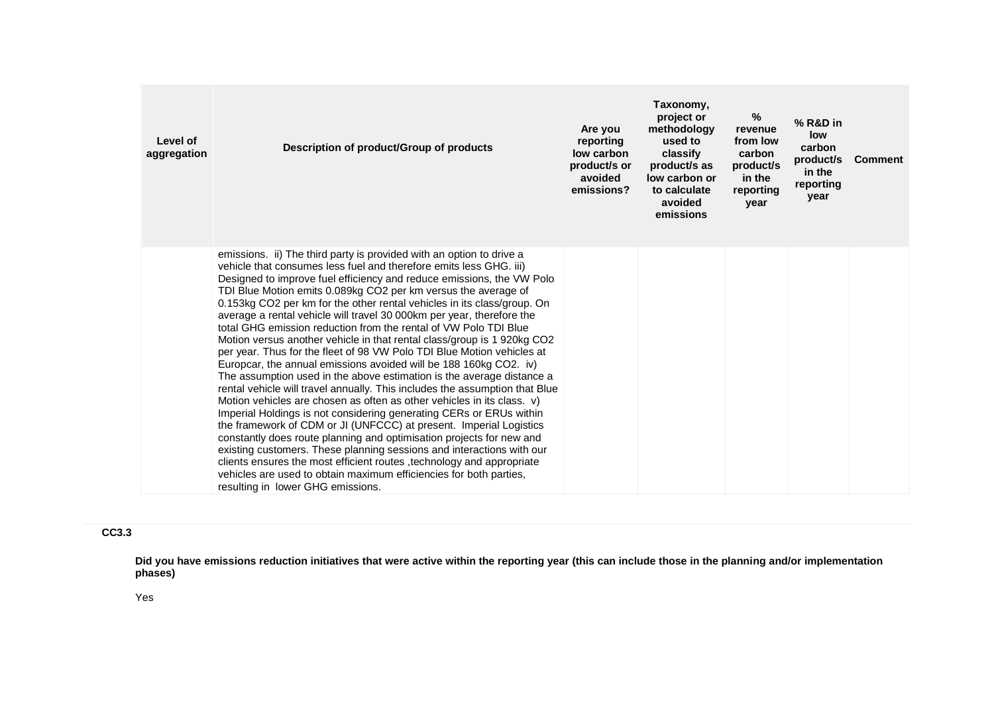| Level of<br>aggregation | Description of product/Group of products                                                                                                                                                                                                                                                                                                                                                                                                                                                                                                                                                                                                                                                                                                                                                                                                                                                                                                                                                                                                                                                                                                                                                                                                                                                                                                                                                                                                                    | Are you<br>reporting<br>low carbon<br>product/s or<br>avoided<br>emissions? | Taxonomy,<br>project or<br>methodology<br>used to<br>classify<br>product/s as<br>low carbon or<br>to calculate<br>avoided<br>emissions | %<br>revenue<br>from low<br>carbon<br>product/s<br>in the<br>reporting<br>vear | % R&D in<br>low<br>carbon<br>product/s<br>in the<br>reporting<br>year | <b>Comment</b> |
|-------------------------|-------------------------------------------------------------------------------------------------------------------------------------------------------------------------------------------------------------------------------------------------------------------------------------------------------------------------------------------------------------------------------------------------------------------------------------------------------------------------------------------------------------------------------------------------------------------------------------------------------------------------------------------------------------------------------------------------------------------------------------------------------------------------------------------------------------------------------------------------------------------------------------------------------------------------------------------------------------------------------------------------------------------------------------------------------------------------------------------------------------------------------------------------------------------------------------------------------------------------------------------------------------------------------------------------------------------------------------------------------------------------------------------------------------------------------------------------------------|-----------------------------------------------------------------------------|----------------------------------------------------------------------------------------------------------------------------------------|--------------------------------------------------------------------------------|-----------------------------------------------------------------------|----------------|
|                         | emissions. ii) The third party is provided with an option to drive a<br>vehicle that consumes less fuel and therefore emits less GHG. iii)<br>Designed to improve fuel efficiency and reduce emissions, the VW Polo<br>TDI Blue Motion emits 0.089kg CO2 per km versus the average of<br>0.153kg CO2 per km for the other rental vehicles in its class/group. On<br>average a rental vehicle will travel 30 000km per year, therefore the<br>total GHG emission reduction from the rental of VW Polo TDI Blue<br>Motion versus another vehicle in that rental class/group is 1920kg CO2<br>per year. Thus for the fleet of 98 VW Polo TDI Blue Motion vehicles at<br>Europcar, the annual emissions avoided will be 188 160kg CO2. iv)<br>The assumption used in the above estimation is the average distance a<br>rental vehicle will travel annually. This includes the assumption that Blue<br>Motion vehicles are chosen as often as other vehicles in its class. v)<br>Imperial Holdings is not considering generating CERs or ERUs within<br>the framework of CDM or JI (UNFCCC) at present. Imperial Logistics<br>constantly does route planning and optimisation projects for new and<br>existing customers. These planning sessions and interactions with our<br>clients ensures the most efficient routes , technology and appropriate<br>vehicles are used to obtain maximum efficiencies for both parties,<br>resulting in lower GHG emissions. |                                                                             |                                                                                                                                        |                                                                                |                                                                       |                |

# **CC3.3**

**Did you have emissions reduction initiatives that were active within the reporting year (this can include those in the planning and/or implementation phases)**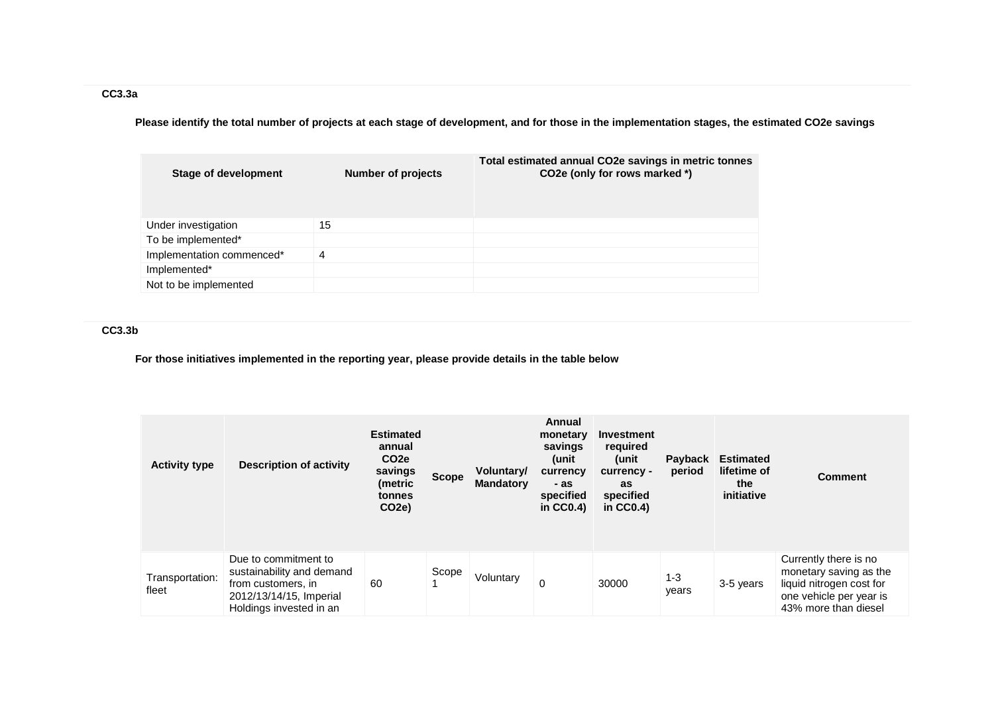**Please identify the total number of projects at each stage of development, and for those in the implementation stages, the estimated CO2e savings**

| Stage of development      | Number of projects | Total estimated annual CO2e savings in metric tonnes<br>CO2e (only for rows marked *) |
|---------------------------|--------------------|---------------------------------------------------------------------------------------|
| Under investigation       | 15                 |                                                                                       |
| To be implemented*        |                    |                                                                                       |
| Implementation commenced* | 4                  |                                                                                       |
| Implemented*              |                    |                                                                                       |
| Not to be implemented     |                    |                                                                                       |

# **CC3.3b**

**For those initiatives implemented in the reporting year, please provide details in the table below**

| <b>Activity type</b>     | <b>Description of activity</b>                                                                                                | <b>Estimated</b><br>annual<br>CO <sub>2e</sub><br>savings<br>(metric<br>tonnes<br>CO <sub>2</sub> e) | <b>Scope</b> | Voluntary/<br><b>Mandatory</b> | Annual<br>monetary<br>savings<br>(unit<br>currency<br>- as<br>specified<br>in $CC0.4$ ) | Investment<br>required<br>(unit<br>currency -<br>as<br>specified<br>in $CC0.4$ ) | <b>Payback</b><br>period | <b>Estimated</b><br>lifetime of<br>the<br>initiative | <b>Comment</b>                                                                                                                 |
|--------------------------|-------------------------------------------------------------------------------------------------------------------------------|------------------------------------------------------------------------------------------------------|--------------|--------------------------------|-----------------------------------------------------------------------------------------|----------------------------------------------------------------------------------|--------------------------|------------------------------------------------------|--------------------------------------------------------------------------------------------------------------------------------|
| Transportation:<br>fleet | Due to commitment to<br>sustainability and demand<br>from customers, in<br>2012/13/14/15, Imperial<br>Holdings invested in an | 60                                                                                                   | Scope        | Voluntary                      | $\Omega$                                                                                | 30000                                                                            | $1 - 3$<br>years         | 3-5 years                                            | Currently there is no<br>monetary saving as the<br>liquid nitrogen cost for<br>one vehicle per year is<br>43% more than diesel |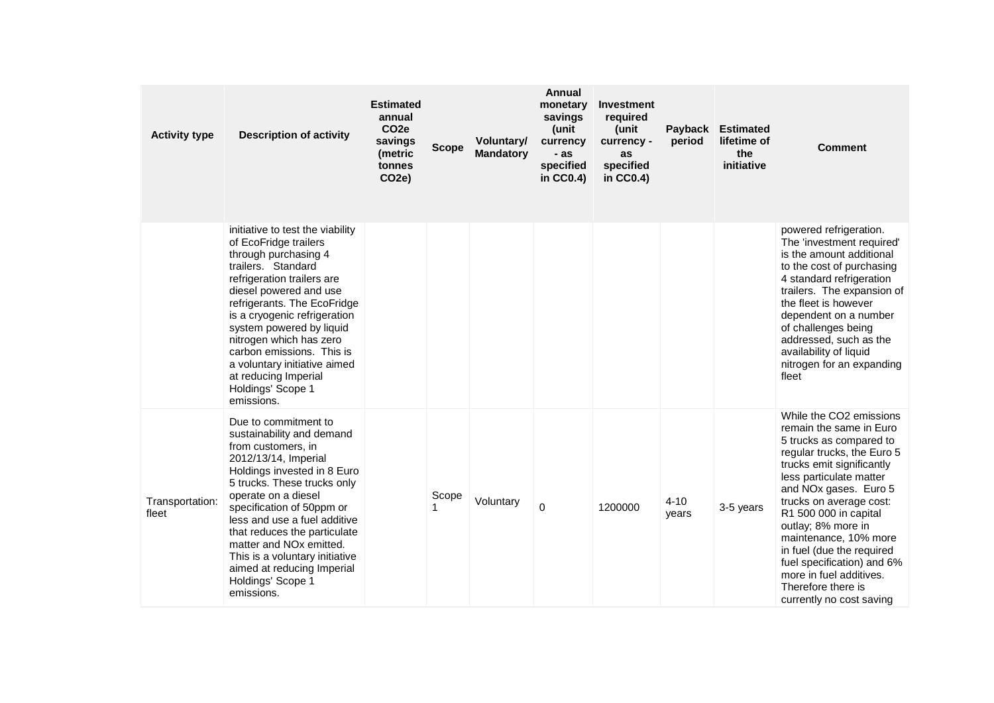| <b>Activity type</b>     | <b>Description of activity</b>                                                                                                                                                                                                                                                                                                                                                                                              | <b>Estimated</b><br>annual<br>CO <sub>2e</sub><br>savings<br>(metric<br>tonnes<br>CO <sub>2e</sub> ) | <b>Scope</b> | Voluntary/<br><b>Mandatory</b> | <b>Annual</b><br>monetary<br>savings<br>(unit<br>currency<br>- as<br>specified<br>in $CC0.4$ ) | Investment<br>required<br>(unit<br>currency -<br>as<br>specified<br>in CC0.4) | Payback<br>period | <b>Estimated</b><br>lifetime of<br>the<br>initiative | <b>Comment</b>                                                                                                                                                                                                                                                                                                                                                                                                                          |
|--------------------------|-----------------------------------------------------------------------------------------------------------------------------------------------------------------------------------------------------------------------------------------------------------------------------------------------------------------------------------------------------------------------------------------------------------------------------|------------------------------------------------------------------------------------------------------|--------------|--------------------------------|------------------------------------------------------------------------------------------------|-------------------------------------------------------------------------------|-------------------|------------------------------------------------------|-----------------------------------------------------------------------------------------------------------------------------------------------------------------------------------------------------------------------------------------------------------------------------------------------------------------------------------------------------------------------------------------------------------------------------------------|
|                          | initiative to test the viability<br>of EcoFridge trailers<br>through purchasing 4<br>trailers. Standard<br>refrigeration trailers are<br>diesel powered and use<br>refrigerants. The EcoFridge<br>is a cryogenic refrigeration<br>system powered by liquid<br>nitrogen which has zero<br>carbon emissions. This is<br>a voluntary initiative aimed<br>at reducing Imperial<br>Holdings' Scope 1<br>emissions.               |                                                                                                      |              |                                |                                                                                                |                                                                               |                   |                                                      | powered refrigeration.<br>The 'investment required'<br>is the amount additional<br>to the cost of purchasing<br>4 standard refrigeration<br>trailers. The expansion of<br>the fleet is however<br>dependent on a number<br>of challenges being<br>addressed, such as the<br>availability of liquid<br>nitrogen for an expanding<br>fleet                                                                                                |
| Transportation:<br>fleet | Due to commitment to<br>sustainability and demand<br>from customers, in<br>2012/13/14, Imperial<br>Holdings invested in 8 Euro<br>5 trucks. These trucks only<br>operate on a diesel<br>specification of 50ppm or<br>less and use a fuel additive<br>that reduces the particulate<br>matter and NO <sub>x</sub> emitted.<br>This is a voluntary initiative<br>aimed at reducing Imperial<br>Holdings' Scope 1<br>emissions. |                                                                                                      | Scope        | Voluntary                      | $\Omega$                                                                                       | 1200000                                                                       | $4 - 10$<br>years | 3-5 years                                            | While the CO2 emissions<br>remain the same in Euro<br>5 trucks as compared to<br>regular trucks, the Euro 5<br>trucks emit significantly<br>less particulate matter<br>and NOx gases. Euro 5<br>trucks on average cost:<br>R1 500 000 in capital<br>outlay; 8% more in<br>maintenance, 10% more<br>in fuel (due the required<br>fuel specification) and 6%<br>more in fuel additives.<br>Therefore there is<br>currently no cost saving |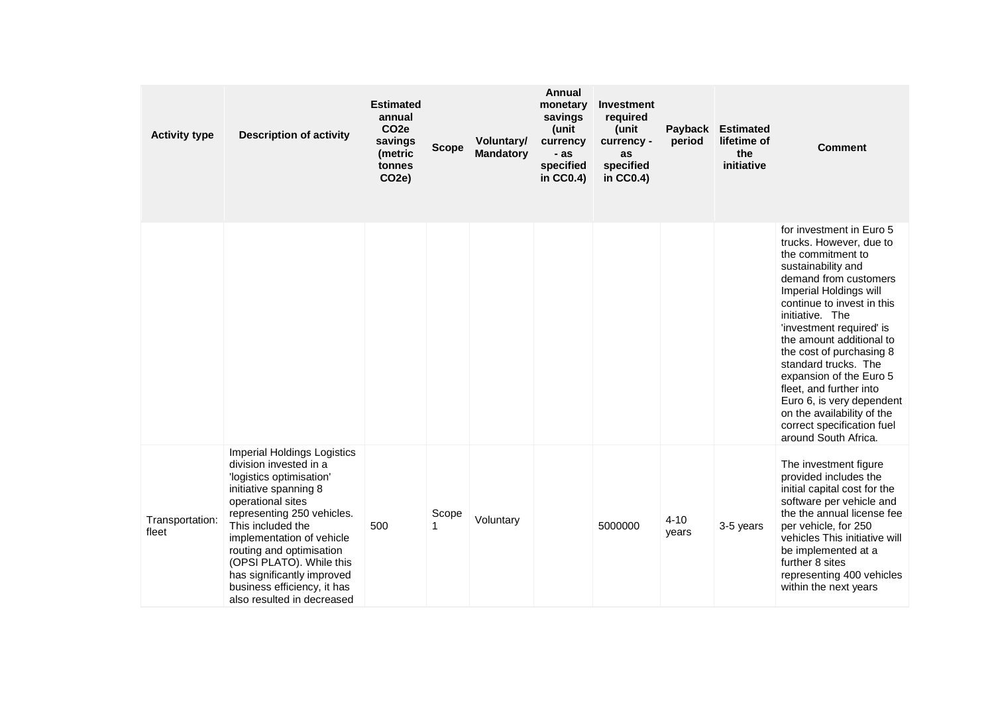| <b>Activity type</b>     | <b>Description of activity</b>                                                                                                                                                                                                                                                                                                                                            | <b>Estimated</b><br>annual<br>CO <sub>2e</sub><br>savings<br>(metric<br>tonnes<br>CO <sub>2</sub> e) | <b>Scope</b> | Voluntary/<br><b>Mandatory</b> | <b>Annual</b><br>monetary<br>savings<br>(unit<br>currency<br>- as<br>specified<br>in $CC0.4$ ) | Investment<br>required<br>(unit<br>currency -<br>as<br>specified<br>in CC0.4) | Payback<br>period | <b>Estimated</b><br>lifetime of<br>the<br>initiative | <b>Comment</b>                                                                                                                                                                                                                                                                                                                                                                                                                                                                        |
|--------------------------|---------------------------------------------------------------------------------------------------------------------------------------------------------------------------------------------------------------------------------------------------------------------------------------------------------------------------------------------------------------------------|------------------------------------------------------------------------------------------------------|--------------|--------------------------------|------------------------------------------------------------------------------------------------|-------------------------------------------------------------------------------|-------------------|------------------------------------------------------|---------------------------------------------------------------------------------------------------------------------------------------------------------------------------------------------------------------------------------------------------------------------------------------------------------------------------------------------------------------------------------------------------------------------------------------------------------------------------------------|
|                          |                                                                                                                                                                                                                                                                                                                                                                           |                                                                                                      |              |                                |                                                                                                |                                                                               |                   |                                                      | for investment in Euro 5<br>trucks. However, due to<br>the commitment to<br>sustainability and<br>demand from customers<br>Imperial Holdings will<br>continue to invest in this<br>initiative. The<br>'investment required' is<br>the amount additional to<br>the cost of purchasing 8<br>standard trucks. The<br>expansion of the Euro 5<br>fleet, and further into<br>Euro 6, is very dependent<br>on the availability of the<br>correct specification fuel<br>around South Africa. |
| Transportation:<br>fleet | <b>Imperial Holdings Logistics</b><br>division invested in a<br>'logistics optimisation'<br>initiative spanning 8<br>operational sites<br>representing 250 vehicles.<br>This included the<br>implementation of vehicle<br>routing and optimisation<br>(OPSI PLATO). While this<br>has significantly improved<br>business efficiency, it has<br>also resulted in decreased | 500                                                                                                  | Scope<br>1   | Voluntary                      |                                                                                                | 5000000                                                                       | $4 - 10$<br>years | 3-5 years                                            | The investment figure<br>provided includes the<br>initial capital cost for the<br>software per vehicle and<br>the the annual license fee<br>per vehicle, for 250<br>vehicles This initiative will<br>be implemented at a<br>further 8 sites<br>representing 400 vehicles<br>within the next years                                                                                                                                                                                     |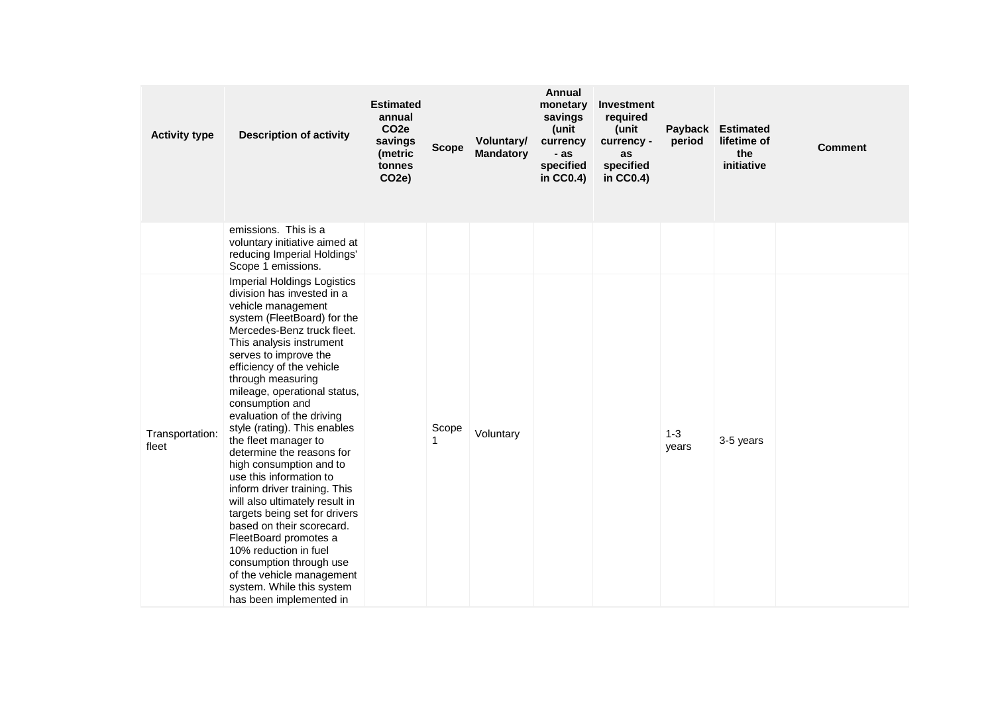| <b>Activity type</b>     | <b>Description of activity</b>                                                                                                                                                                                                                                                                                                                                                                                                                                                                                                                                                                                                                                                                                                                                                   | <b>Estimated</b><br>annual<br>CO <sub>2e</sub><br>savings<br>(metric<br>tonnes<br>CO <sub>2e</sub> ) | <b>Scope</b> | Voluntary/<br><b>Mandatory</b> | <b>Annual</b><br>monetary<br>savings<br>(unit<br>currency<br>- as<br>specified<br>in $CC0.4$ ) | Investment<br>required<br>(unit<br>currency -<br>as<br>specified<br>in CC0.4) | Payback<br>period | <b>Estimated</b><br>lifetime of<br>the<br>initiative | <b>Comment</b> |
|--------------------------|----------------------------------------------------------------------------------------------------------------------------------------------------------------------------------------------------------------------------------------------------------------------------------------------------------------------------------------------------------------------------------------------------------------------------------------------------------------------------------------------------------------------------------------------------------------------------------------------------------------------------------------------------------------------------------------------------------------------------------------------------------------------------------|------------------------------------------------------------------------------------------------------|--------------|--------------------------------|------------------------------------------------------------------------------------------------|-------------------------------------------------------------------------------|-------------------|------------------------------------------------------|----------------|
|                          | emissions. This is a<br>voluntary initiative aimed at<br>reducing Imperial Holdings'<br>Scope 1 emissions.                                                                                                                                                                                                                                                                                                                                                                                                                                                                                                                                                                                                                                                                       |                                                                                                      |              |                                |                                                                                                |                                                                               |                   |                                                      |                |
| Transportation:<br>fleet | Imperial Holdings Logistics<br>division has invested in a<br>vehicle management<br>system (FleetBoard) for the<br>Mercedes-Benz truck fleet.<br>This analysis instrument<br>serves to improve the<br>efficiency of the vehicle<br>through measuring<br>mileage, operational status,<br>consumption and<br>evaluation of the driving<br>style (rating). This enables<br>the fleet manager to<br>determine the reasons for<br>high consumption and to<br>use this information to<br>inform driver training. This<br>will also ultimately result in<br>targets being set for drivers<br>based on their scorecard.<br>FleetBoard promotes a<br>10% reduction in fuel<br>consumption through use<br>of the vehicle management<br>system. While this system<br>has been implemented in |                                                                                                      | Scope<br>1   | Voluntary                      |                                                                                                |                                                                               | $1 - 3$<br>years  | 3-5 years                                            |                |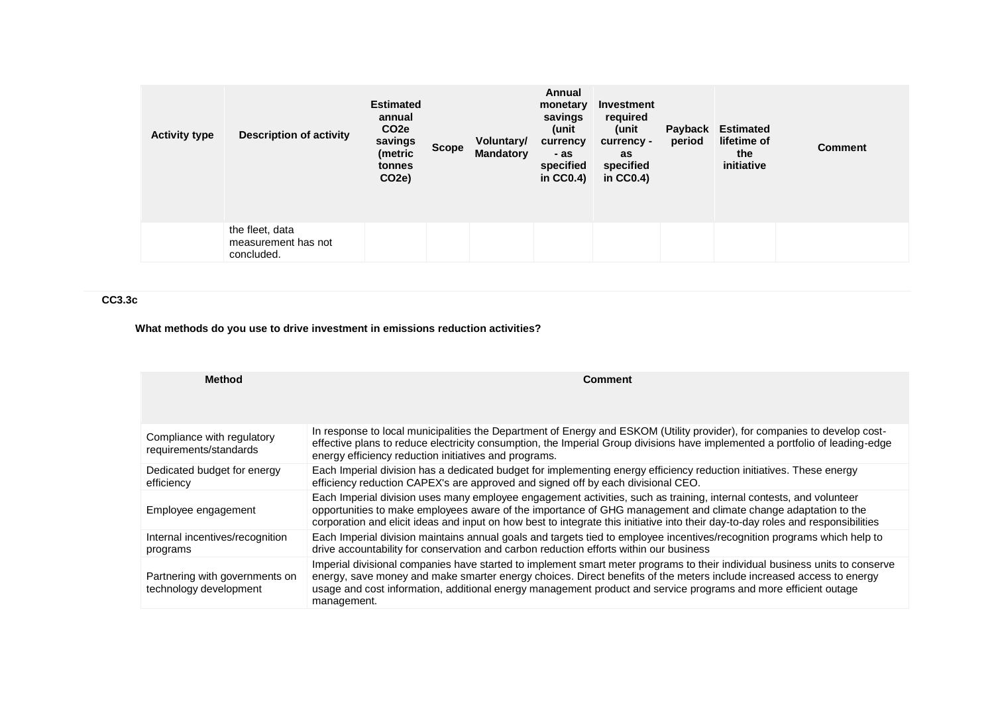| <b>Activity type</b> | <b>Description of activity</b>                       | <b>Estimated</b><br>annual<br>CO <sub>2</sub> e<br>savings<br>(metric<br>tonnes<br>CO <sub>2</sub> e) | <b>Scope</b> | Voluntary/<br><b>Mandatory</b> | Annual<br>monetary<br>savings<br>(unit<br>currency<br>- as<br>specified<br>in $CC0.4$ ) | Investment<br>required<br>(unit<br>currency -<br>as<br>specified<br>in $CC0.4$ ) | Payback<br>period | <b>Estimated</b><br>lifetime of<br>the<br>initiative | <b>Comment</b> |
|----------------------|------------------------------------------------------|-------------------------------------------------------------------------------------------------------|--------------|--------------------------------|-----------------------------------------------------------------------------------------|----------------------------------------------------------------------------------|-------------------|------------------------------------------------------|----------------|
|                      | the fleet, data<br>measurement has not<br>concluded. |                                                                                                       |              |                                |                                                                                         |                                                                                  |                   |                                                      |                |

## **CC3.3c**

# **What methods do you use to drive investment in emissions reduction activities?**

| <b>Method</b>                                            | <b>Comment</b>                                                                                                                                                                                                                                                                                                                                                                        |
|----------------------------------------------------------|---------------------------------------------------------------------------------------------------------------------------------------------------------------------------------------------------------------------------------------------------------------------------------------------------------------------------------------------------------------------------------------|
| Compliance with regulatory<br>requirements/standards     | In response to local municipalities the Department of Energy and ESKOM (Utility provider), for companies to develop cost-<br>effective plans to reduce electricity consumption, the Imperial Group divisions have implemented a portfolio of leading-edge<br>energy efficiency reduction initiatives and programs.                                                                    |
| Dedicated budget for energy<br>efficiency                | Each Imperial division has a dedicated budget for implementing energy efficiency reduction initiatives. These energy<br>efficiency reduction CAPEX's are approved and signed off by each divisional CEO.                                                                                                                                                                              |
| Employee engagement                                      | Each Imperial division uses many employee engagement activities, such as training, internal contests, and volunteer<br>opportunities to make employees aware of the importance of GHG management and climate change adaptation to the<br>corporation and elicit ideas and input on how best to integrate this initiative into their day-to-day roles and responsibilities             |
| Internal incentives/recognition<br>programs              | Each Imperial division maintains annual goals and targets tied to employee incentives/recognition programs which help to<br>drive accountability for conservation and carbon reduction efforts within our business                                                                                                                                                                    |
| Partnering with governments on<br>technology development | Imperial divisional companies have started to implement smart meter programs to their individual business units to conserve<br>energy, save money and make smarter energy choices. Direct benefits of the meters include increased access to energy<br>usage and cost information, additional energy management product and service programs and more efficient outage<br>management. |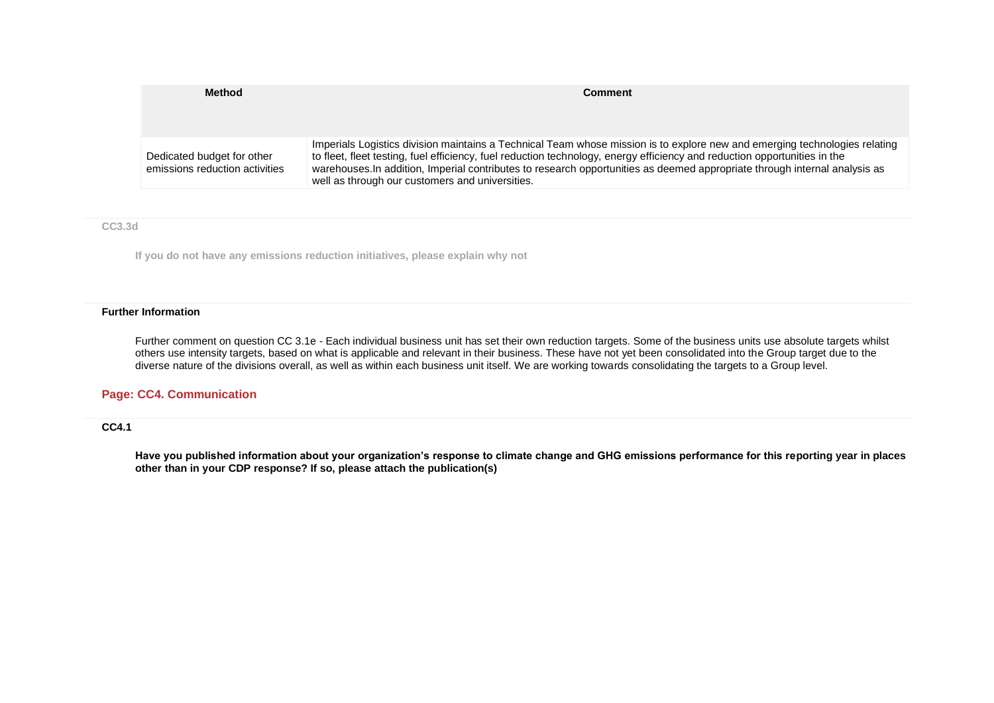| <b>Method</b>                                                | <b>Comment</b>                                                                                                                                                                                                                                                                                                                                                                                                                           |
|--------------------------------------------------------------|------------------------------------------------------------------------------------------------------------------------------------------------------------------------------------------------------------------------------------------------------------------------------------------------------------------------------------------------------------------------------------------------------------------------------------------|
| Dedicated budget for other<br>emissions reduction activities | Imperials Logistics division maintains a Technical Team whose mission is to explore new and emerging technologies relating<br>to fleet, fleet testing, fuel efficiency, fuel reduction technology, energy efficiency and reduction opportunities in the<br>warehouses. In addition, Imperial contributes to research opportunities as deemed appropriate through internal analysis as<br>well as through our customers and universities. |

**CC3.3d**

**If you do not have any emissions reduction initiatives, please explain why not**

#### **Further Information**

Further comment on question CC 3.1e - Each individual business unit has set their own reduction targets. Some of the business units use absolute targets whilst others use intensity targets, based on what is applicable and relevant in their business. These have not yet been consolidated into the Group target due to the diverse nature of the divisions overall, as well as within each business unit itself. We are working towards consolidating the targets to a Group level.

### **Page: CC4. Communication**

## **CC4.1**

**Have you published information about your organization's response to climate change and GHG emissions performance for this reporting year in places other than in your CDP response? If so, please attach the publication(s)**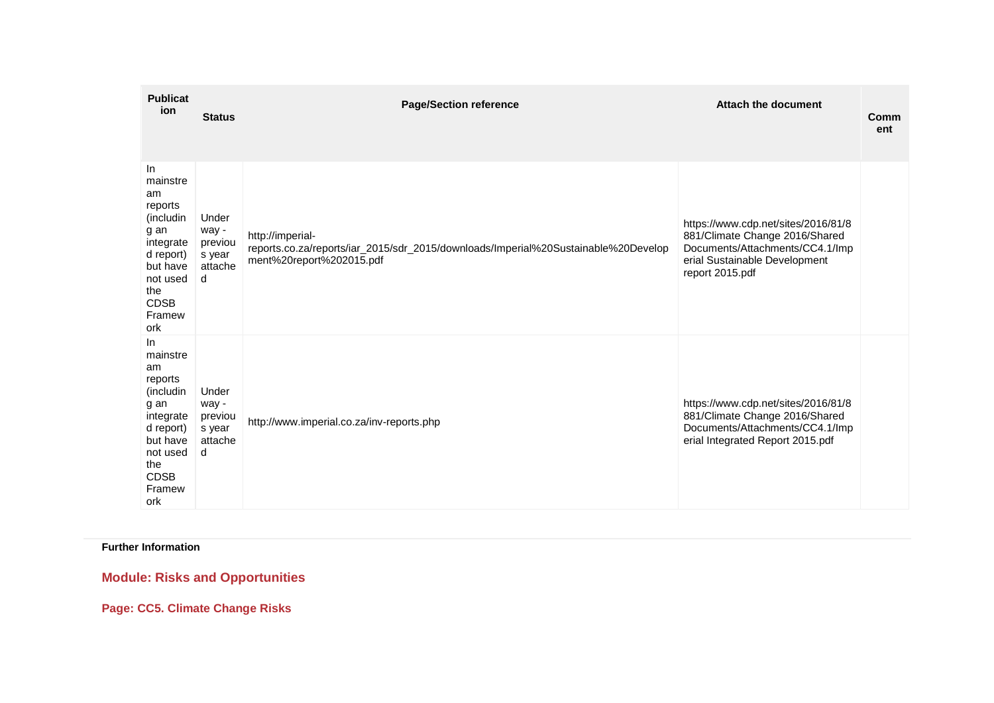| <b>Publicat</b><br>ion                                                                                                                         | <b>Status</b>                                       | <b>Page/Section reference</b>                                                                                                      | <b>Attach the document</b>                                                                                                                                   | Comm<br>ent |
|------------------------------------------------------------------------------------------------------------------------------------------------|-----------------------------------------------------|------------------------------------------------------------------------------------------------------------------------------------|--------------------------------------------------------------------------------------------------------------------------------------------------------------|-------------|
| In<br>mainstre<br>am<br>reports<br>(includin<br>g an<br>integrate<br>d report)<br>but have<br>not used<br>the<br><b>CDSB</b><br>Framew<br>ork  | Under<br>way -<br>previou<br>s year<br>attache<br>d | http://imperial-<br>reports.co.za/reports/iar_2015/sdr_2015/downloads/Imperial%20Sustainable%20Develop<br>ment%20report%202015.pdf | https://www.cdp.net/sites/2016/81/8<br>881/Climate Change 2016/Shared<br>Documents/Attachments/CC4.1/Imp<br>erial Sustainable Development<br>report 2015.pdf |             |
| In.<br>mainstre<br>am<br>reports<br>(includin<br>g an<br>integrate<br>d report)<br>but have<br>not used<br>the<br><b>CDSB</b><br>Framew<br>ork | Under<br>way -<br>previou<br>s year<br>attache<br>d | http://www.imperial.co.za/inv-reports.php                                                                                          | https://www.cdp.net/sites/2016/81/8<br>881/Climate Change 2016/Shared<br>Documents/Attachments/CC4.1/Imp<br>erial Integrated Report 2015.pdf                 |             |

**Further Information**

**Module: Risks and Opportunities**

**Page: CC5. Climate Change Risks**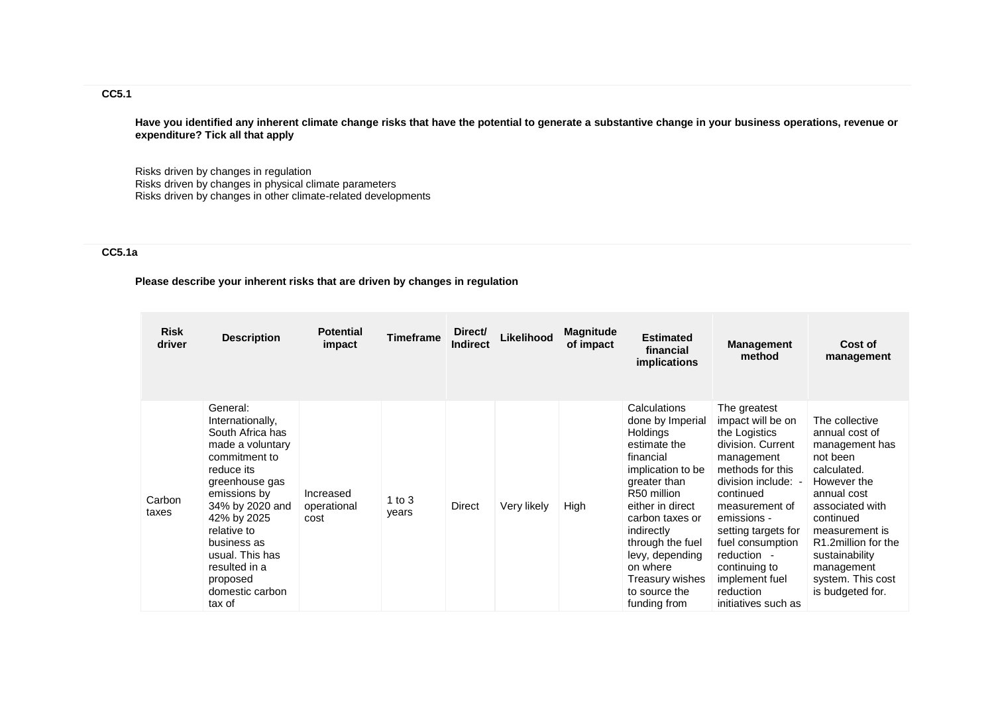## **CC5.1**

**Have you identified any inherent climate change risks that have the potential to generate a substantive change in your business operations, revenue or expenditure? Tick all that apply**

Risks driven by changes in regulation Risks driven by changes in physical climate parameters Risks driven by changes in other climate-related developments

## **CC5.1a**

## **Please describe your inherent risks that are driven by changes in regulation**

| <b>Risk</b><br>driver | <b>Description</b>                                                                                                                                                                                                                                                                 | <b>Potential</b><br>impact       | <b>Timeframe</b>  | Direct/<br><b>Indirect</b> | Likelihood  | <b>Magnitude</b><br>of impact | <b>Estimated</b><br>financial<br><i>implications</i>                                                                                                                                                                                                                                             | <b>Management</b><br>method                                                                                                                                                                                                                                                                                     | Cost of<br>management                                                                                                                                                                                                                                         |
|-----------------------|------------------------------------------------------------------------------------------------------------------------------------------------------------------------------------------------------------------------------------------------------------------------------------|----------------------------------|-------------------|----------------------------|-------------|-------------------------------|--------------------------------------------------------------------------------------------------------------------------------------------------------------------------------------------------------------------------------------------------------------------------------------------------|-----------------------------------------------------------------------------------------------------------------------------------------------------------------------------------------------------------------------------------------------------------------------------------------------------------------|---------------------------------------------------------------------------------------------------------------------------------------------------------------------------------------------------------------------------------------------------------------|
| Carbon<br>taxes       | General:<br>Internationally,<br>South Africa has<br>made a voluntary<br>commitment to<br>reduce its<br>greenhouse gas<br>emissions by<br>34% by 2020 and<br>42% by 2025<br>relative to<br>business as<br>usual. This has<br>resulted in a<br>proposed<br>domestic carbon<br>tax of | Increased<br>operational<br>cost | 1 to $3$<br>years | Direct                     | Very likely | High                          | Calculations<br>done by Imperial<br><b>Holdings</b><br>estimate the<br>financial<br>implication to be<br>greater than<br>R50 million<br>either in direct<br>carbon taxes or<br>indirectly<br>through the fuel<br>levy, depending<br>on where<br>Treasury wishes<br>to source the<br>funding from | The greatest<br>impact will be on<br>the Logistics<br>division, Current<br>management<br>methods for this<br>division include: -<br>continued<br>measurement of<br>emissions -<br>setting targets for<br>fuel consumption<br>reduction -<br>continuing to<br>implement fuel<br>reduction<br>initiatives such as | The collective<br>annual cost of<br>management has<br>not been<br>calculated.<br>However the<br>annual cost<br>associated with<br>continued<br>measurement is<br>R1.2million for the<br>sustainability<br>management<br>system. This cost<br>is budgeted for. |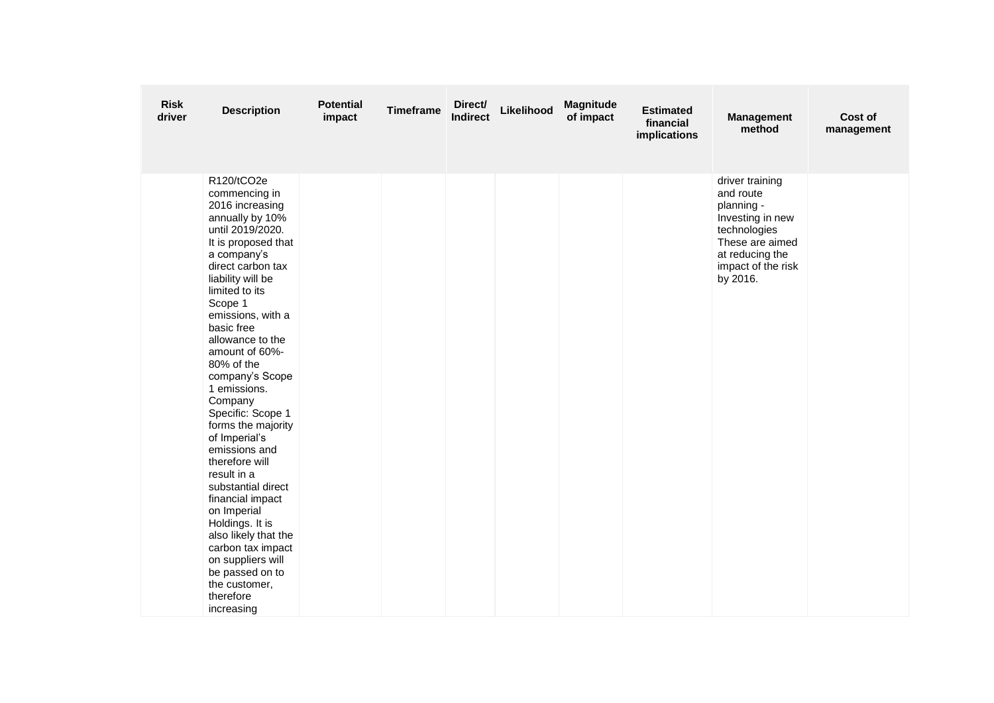| <b>Risk</b><br>driver | <b>Description</b>                                                                                                                                                                                                                                                                                                                                                                                                                                                                                                                                                                                                                                                 | <b>Potential</b><br>impact | <b>Timeframe</b> | Direct/<br><b>Indirect</b> | Likelihood | Magnitude<br>of impact | <b>Estimated</b><br>financial<br>implications | <b>Management</b><br>method                                                                                                                            | Cost of<br>management |
|-----------------------|--------------------------------------------------------------------------------------------------------------------------------------------------------------------------------------------------------------------------------------------------------------------------------------------------------------------------------------------------------------------------------------------------------------------------------------------------------------------------------------------------------------------------------------------------------------------------------------------------------------------------------------------------------------------|----------------------------|------------------|----------------------------|------------|------------------------|-----------------------------------------------|--------------------------------------------------------------------------------------------------------------------------------------------------------|-----------------------|
|                       | R120/tCO2e<br>commencing in<br>2016 increasing<br>annually by 10%<br>until 2019/2020.<br>It is proposed that<br>a company's<br>direct carbon tax<br>liability will be<br>limited to its<br>Scope 1<br>emissions, with a<br>basic free<br>allowance to the<br>amount of 60%-<br>80% of the<br>company's Scope<br>1 emissions.<br>Company<br>Specific: Scope 1<br>forms the majority<br>of Imperial's<br>emissions and<br>therefore will<br>result in a<br>substantial direct<br>financial impact<br>on Imperial<br>Holdings. It is<br>also likely that the<br>carbon tax impact<br>on suppliers will<br>be passed on to<br>the customer,<br>therefore<br>increasing |                            |                  |                            |            |                        |                                               | driver training<br>and route<br>planning -<br>Investing in new<br>technologies<br>These are aimed<br>at reducing the<br>impact of the risk<br>by 2016. |                       |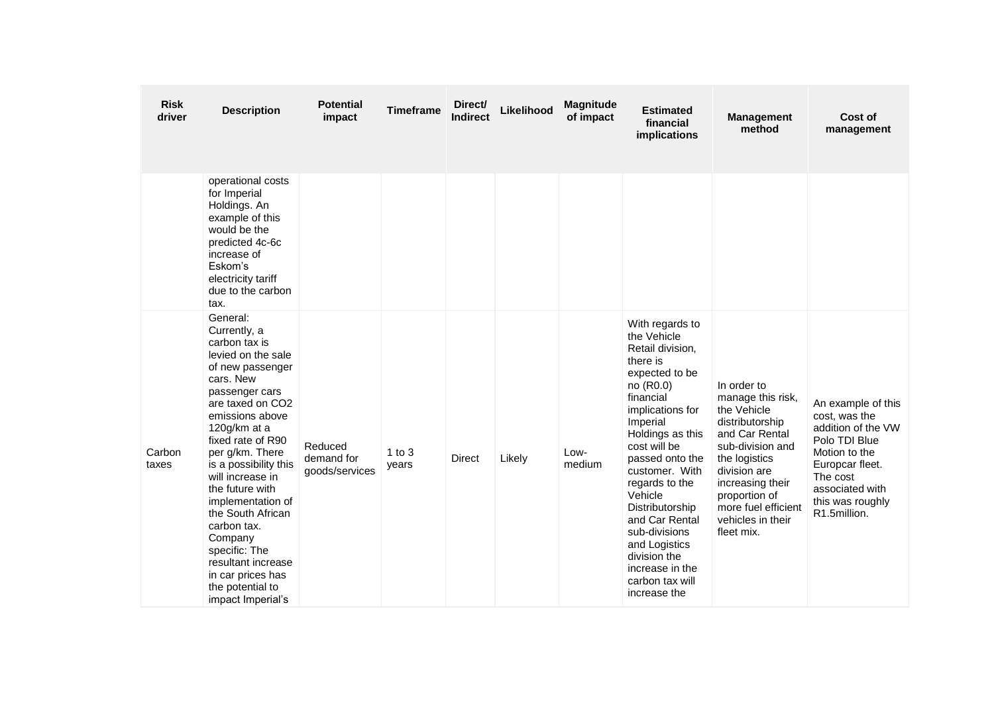| <b>Risk</b><br>driver | <b>Description</b>                                                                                                                                                                                                                                                                                                                                                                                                                                         | Potential<br>impact                     | <b>Timeframe</b>    | Direct/<br><b>Indirect</b> | Likelihood | <b>Magnitude</b><br>of impact | <b>Estimated</b><br>financial<br>implications                                                                                                                                                                                                                                                                                                                                                 | <b>Management</b><br>method                                                                                                                                                                                                              | Cost of<br>management                                                                                                                                                             |
|-----------------------|------------------------------------------------------------------------------------------------------------------------------------------------------------------------------------------------------------------------------------------------------------------------------------------------------------------------------------------------------------------------------------------------------------------------------------------------------------|-----------------------------------------|---------------------|----------------------------|------------|-------------------------------|-----------------------------------------------------------------------------------------------------------------------------------------------------------------------------------------------------------------------------------------------------------------------------------------------------------------------------------------------------------------------------------------------|------------------------------------------------------------------------------------------------------------------------------------------------------------------------------------------------------------------------------------------|-----------------------------------------------------------------------------------------------------------------------------------------------------------------------------------|
|                       | operational costs<br>for Imperial<br>Holdings. An<br>example of this<br>would be the<br>predicted 4c-6c<br>increase of<br>Eskom's<br>electricity tariff<br>due to the carbon<br>tax.                                                                                                                                                                                                                                                                       |                                         |                     |                            |            |                               |                                                                                                                                                                                                                                                                                                                                                                                               |                                                                                                                                                                                                                                          |                                                                                                                                                                                   |
| Carbon<br>taxes       | General:<br>Currently, a<br>carbon tax is<br>levied on the sale<br>of new passenger<br>cars. New<br>passenger cars<br>are taxed on CO2<br>emissions above<br>120g/km at a<br>fixed rate of R90<br>per g/km. There<br>is a possibility this<br>will increase in<br>the future with<br>implementation of<br>the South African<br>carbon tax.<br>Company<br>specific: The<br>resultant increase<br>in car prices has<br>the potential to<br>impact Imperial's | Reduced<br>demand for<br>goods/services | $1$ to $3$<br>years | <b>Direct</b>              | Likely     | Low-<br>medium                | With regards to<br>the Vehicle<br>Retail division,<br>there is<br>expected to be<br>no (R0.0)<br>financial<br>implications for<br>Imperial<br>Holdings as this<br>cost will be<br>passed onto the<br>customer. With<br>regards to the<br>Vehicle<br>Distributorship<br>and Car Rental<br>sub-divisions<br>and Logistics<br>division the<br>increase in the<br>carbon tax will<br>increase the | In order to<br>manage this risk,<br>the Vehicle<br>distributorship<br>and Car Rental<br>sub-division and<br>the logistics<br>division are<br>increasing their<br>proportion of<br>more fuel efficient<br>vehicles in their<br>fleet mix. | An example of this<br>cost, was the<br>addition of the VW<br>Polo TDI Blue<br>Motion to the<br>Europcar fleet.<br>The cost<br>associated with<br>this was roughly<br>R1.5million. |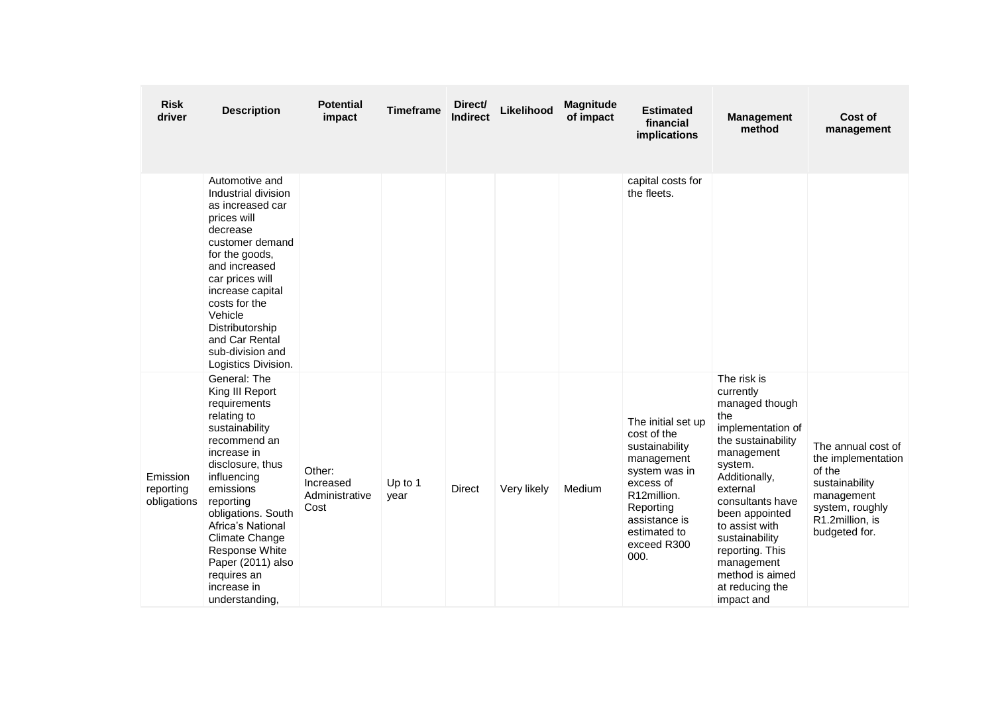| <b>Risk</b><br>driver                | <b>Description</b>                                                                                                                                                                                                                                                                                                               | <b>Potential</b><br>impact                    | <b>Timeframe</b> | Direct/<br><b>Indirect</b> | Likelihood  | <b>Magnitude</b><br>of impact | <b>Estimated</b><br>financial<br>implications                                                                                                                                       | <b>Management</b><br>method                                                                                                                                                                                                                                                                                       | Cost of<br>management                                                                                                                     |
|--------------------------------------|----------------------------------------------------------------------------------------------------------------------------------------------------------------------------------------------------------------------------------------------------------------------------------------------------------------------------------|-----------------------------------------------|------------------|----------------------------|-------------|-------------------------------|-------------------------------------------------------------------------------------------------------------------------------------------------------------------------------------|-------------------------------------------------------------------------------------------------------------------------------------------------------------------------------------------------------------------------------------------------------------------------------------------------------------------|-------------------------------------------------------------------------------------------------------------------------------------------|
|                                      | Automotive and<br>Industrial division<br>as increased car<br>prices will<br>decrease<br>customer demand<br>for the goods,<br>and increased<br>car prices will<br>increase capital<br>costs for the<br>Vehicle<br>Distributorship<br>and Car Rental<br>sub-division and<br>Logistics Division.                                    |                                               |                  |                            |             |                               | capital costs for<br>the fleets.                                                                                                                                                    |                                                                                                                                                                                                                                                                                                                   |                                                                                                                                           |
| Emission<br>reporting<br>obligations | General: The<br>King III Report<br>requirements<br>relating to<br>sustainability<br>recommend an<br>increase in<br>disclosure, thus<br>influencing<br>emissions<br>reporting<br>obligations. South<br>Africa's National<br>Climate Change<br>Response White<br>Paper (2011) also<br>requires an<br>increase in<br>understanding, | Other:<br>Increased<br>Administrative<br>Cost | Up to 1<br>year  | <b>Direct</b>              | Very likely | Medium                        | The initial set up<br>cost of the<br>sustainability<br>management<br>system was in<br>excess of<br>R12million.<br>Reporting<br>assistance is<br>estimated to<br>exceed R300<br>000. | The risk is<br>currently<br>managed though<br>the<br>implementation of<br>the sustainability<br>management<br>system.<br>Additionally,<br>external<br>consultants have<br>been appointed<br>to assist with<br>sustainability<br>reporting. This<br>management<br>method is aimed<br>at reducing the<br>impact and | The annual cost of<br>the implementation<br>of the<br>sustainability<br>management<br>system, roughly<br>R1.2million, is<br>budgeted for. |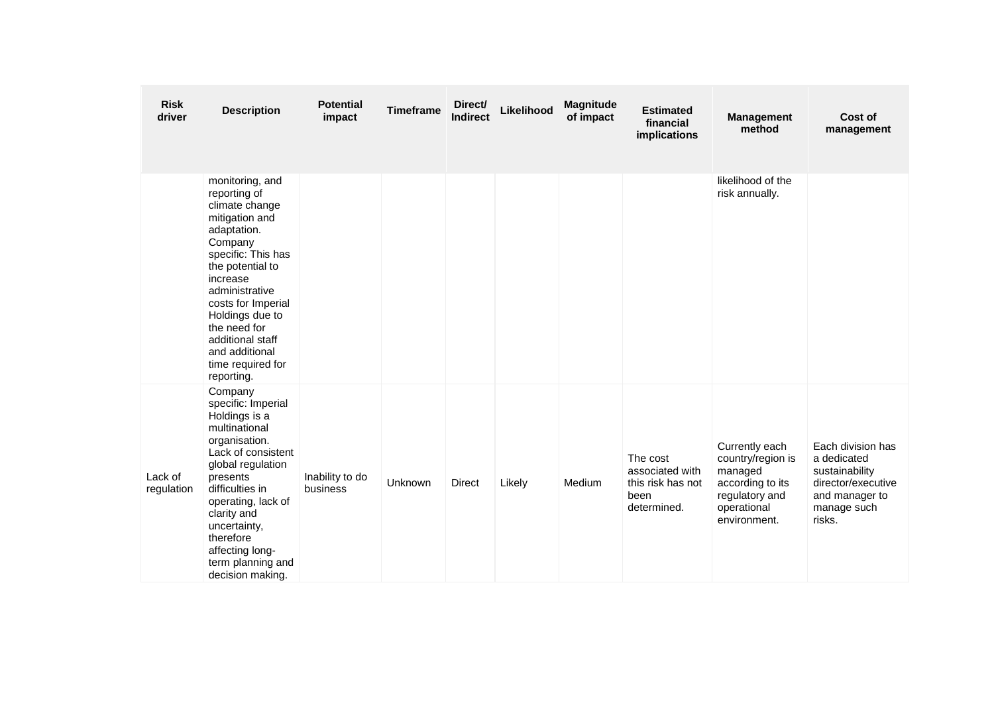| <b>Risk</b><br>driver | <b>Description</b>                                                                                                                                                                                                                                                                                      | <b>Potential</b><br>impact  | <b>Timeframe</b> | Direct/<br><b>Indirect</b> | Likelihood | Magnitude<br>of impact | <b>Estimated</b><br>financial<br>implications                           | <b>Management</b><br>method                                                                                         | Cost of<br>management                                                                                               |
|-----------------------|---------------------------------------------------------------------------------------------------------------------------------------------------------------------------------------------------------------------------------------------------------------------------------------------------------|-----------------------------|------------------|----------------------------|------------|------------------------|-------------------------------------------------------------------------|---------------------------------------------------------------------------------------------------------------------|---------------------------------------------------------------------------------------------------------------------|
|                       | monitoring, and<br>reporting of<br>climate change<br>mitigation and<br>adaptation.<br>Company<br>specific: This has<br>the potential to<br>increase<br>administrative<br>costs for Imperial<br>Holdings due to<br>the need for<br>additional staff<br>and additional<br>time required for<br>reporting. |                             |                  |                            |            |                        |                                                                         | likelihood of the<br>risk annually.                                                                                 |                                                                                                                     |
| Lack of<br>regulation | Company<br>specific: Imperial<br>Holdings is a<br>multinational<br>organisation.<br>Lack of consistent<br>global regulation<br>presents<br>difficulties in<br>operating, lack of<br>clarity and<br>uncertainty,<br>therefore<br>affecting long-<br>term planning and<br>decision making.                | Inability to do<br>business | Unknown          | <b>Direct</b>              | Likely     | Medium                 | The cost<br>associated with<br>this risk has not<br>been<br>determined. | Currently each<br>country/region is<br>managed<br>according to its<br>regulatory and<br>operational<br>environment. | Each division has<br>a dedicated<br>sustainability<br>director/executive<br>and manager to<br>manage such<br>risks. |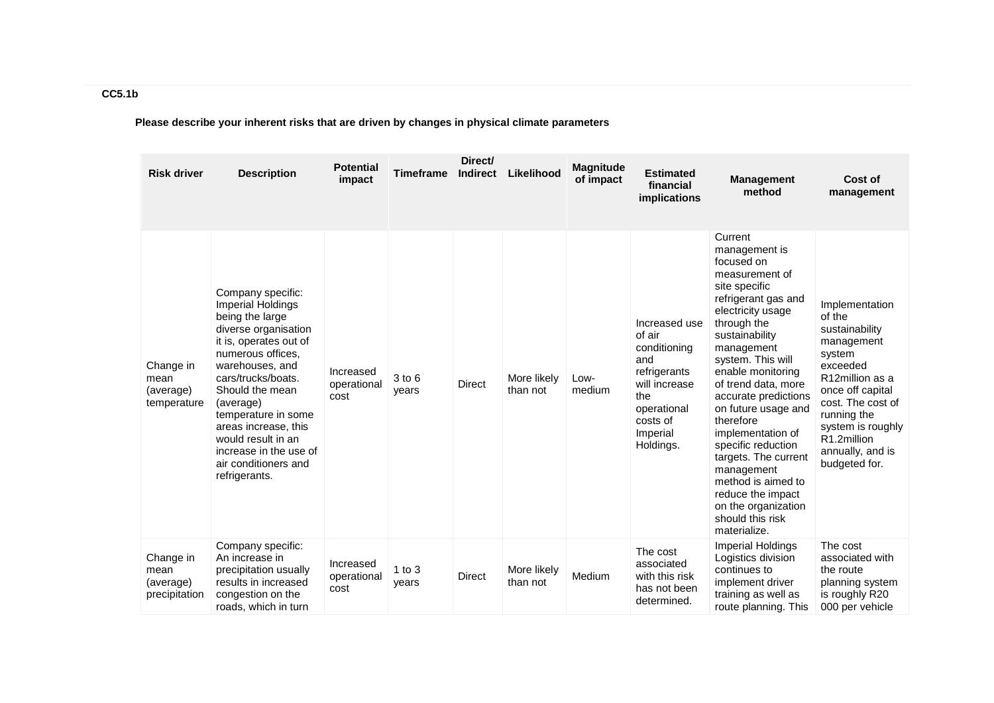**Please describe your inherent risks that are driven by changes in physical climate parameters**

| <b>Risk driver</b>                              | <b>Description</b>                                                                                                                                                                                                                                                                                                                                | <b>Potential</b><br>impact       | Timeframe           | Direct/<br><b>Indirect</b> | Likelihood              | <b>Magnitude</b><br>of impact | <b>Estimated</b><br>financial<br><i>implications</i>                                                                                       | <b>Management</b><br>method                                                                                                                                                                                                                                                                                                                                                                                                                                                              | Cost of<br>management                                                                                                                                                                                                              |
|-------------------------------------------------|---------------------------------------------------------------------------------------------------------------------------------------------------------------------------------------------------------------------------------------------------------------------------------------------------------------------------------------------------|----------------------------------|---------------------|----------------------------|-------------------------|-------------------------------|--------------------------------------------------------------------------------------------------------------------------------------------|------------------------------------------------------------------------------------------------------------------------------------------------------------------------------------------------------------------------------------------------------------------------------------------------------------------------------------------------------------------------------------------------------------------------------------------------------------------------------------------|------------------------------------------------------------------------------------------------------------------------------------------------------------------------------------------------------------------------------------|
| Change in<br>mean<br>(average)<br>temperature   | Company specific:<br>Imperial Holdings<br>being the large<br>diverse organisation<br>it is, operates out of<br>numerous offices.<br>warehouses, and<br>cars/trucks/boats.<br>Should the mean<br>(average)<br>temperature in some<br>areas increase, this<br>would result in an<br>increase in the use of<br>air conditioners and<br>refrigerants. | Increased<br>operational<br>cost | 3 to 6<br>years     | Direct                     | More likely<br>than not | Low-<br>medium                | Increased use<br>of air<br>conditioning<br>and<br>refrigerants<br>will increase<br>the<br>operational<br>costs of<br>Imperial<br>Holdings. | Current<br>management is<br>focused on<br>measurement of<br>site specific<br>refrigerant gas and<br>electricity usage<br>through the<br>sustainability<br>management<br>system. This will<br>enable monitoring<br>of trend data, more<br>accurate predictions<br>on future usage and<br>therefore<br>implementation of<br>specific reduction<br>targets. The current<br>management<br>method is aimed to<br>reduce the impact<br>on the organization<br>should this risk<br>materialize. | Implementation<br>of the<br>sustainability<br>management<br>system<br>exceeded<br>R12million as a<br>once off capital<br>cost. The cost of<br>running the<br>system is roughly<br>R1.2million<br>annually, and is<br>budgeted for. |
| Change in<br>mean<br>(average)<br>precipitation | Company specific:<br>An increase in<br>precipitation usually<br>results in increased<br>congestion on the<br>roads, which in turn                                                                                                                                                                                                                 | Increased<br>operational<br>cost | $1$ to $3$<br>years | Direct                     | More likely<br>than not | Medium                        | The cost<br>associated<br>with this risk<br>has not been<br>determined.                                                                    | <b>Imperial Holdings</b><br>Logistics division<br>continues to<br>implement driver<br>training as well as<br>route planning. This                                                                                                                                                                                                                                                                                                                                                        | The cost<br>associated with<br>the route<br>planning system<br>is roughly R20<br>000 per vehicle                                                                                                                                   |

**CC5.1b**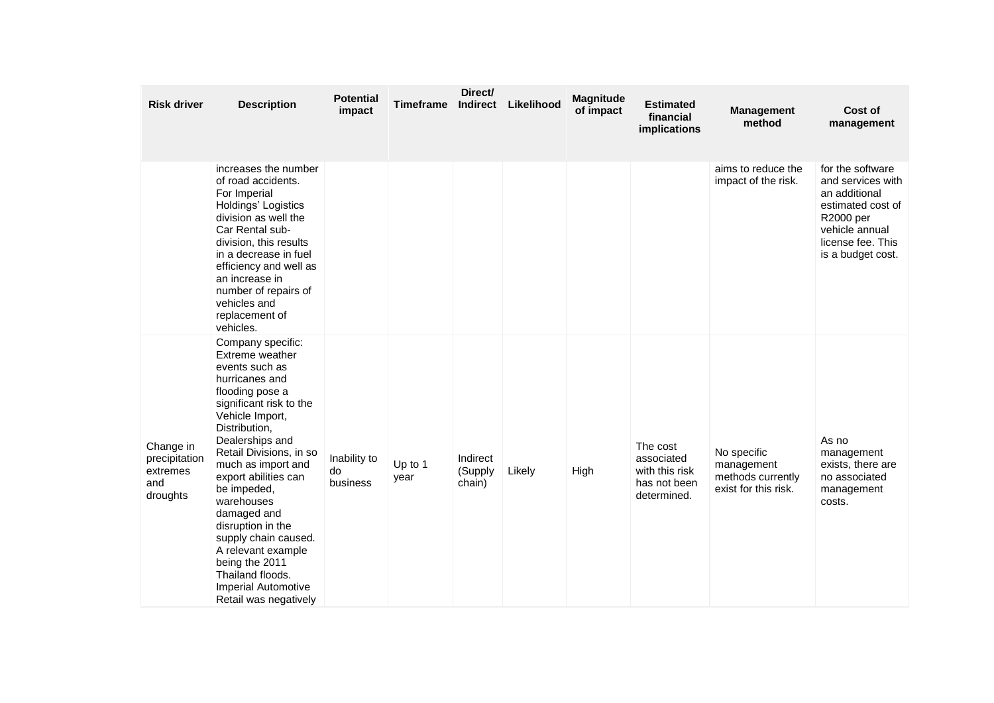| <b>Risk driver</b>                                        | <b>Description</b>                                                                                                                                                                                                                                                                                                                                                                                                                                                 | <b>Potential</b><br>impact     | <b>Timeframe</b> | Direct/<br><b>Indirect</b>    | Likelihood | Magnitude<br>of impact | <b>Estimated</b><br>financial<br>implications                           | <b>Management</b><br>method                                            | Cost of<br>management                                                                                                                                |
|-----------------------------------------------------------|--------------------------------------------------------------------------------------------------------------------------------------------------------------------------------------------------------------------------------------------------------------------------------------------------------------------------------------------------------------------------------------------------------------------------------------------------------------------|--------------------------------|------------------|-------------------------------|------------|------------------------|-------------------------------------------------------------------------|------------------------------------------------------------------------|------------------------------------------------------------------------------------------------------------------------------------------------------|
|                                                           | increases the number<br>of road accidents.<br>For Imperial<br>Holdings' Logistics<br>division as well the<br>Car Rental sub-<br>division, this results<br>in a decrease in fuel<br>efficiency and well as<br>an increase in<br>number of repairs of<br>vehicles and<br>replacement of<br>vehicles.                                                                                                                                                                 |                                |                  |                               |            |                        |                                                                         | aims to reduce the<br>impact of the risk.                              | for the software<br>and services with<br>an additional<br>estimated cost of<br>R2000 per<br>vehicle annual<br>license fee. This<br>is a budget cost. |
| Change in<br>precipitation<br>extremes<br>and<br>droughts | Company specific:<br>Extreme weather<br>events such as<br>hurricanes and<br>flooding pose a<br>significant risk to the<br>Vehicle Import,<br>Distribution,<br>Dealerships and<br>Retail Divisions, in so<br>much as import and<br>export abilities can<br>be impeded,<br>warehouses<br>damaged and<br>disruption in the<br>supply chain caused.<br>A relevant example<br>being the 2011<br>Thailand floods.<br><b>Imperial Automotive</b><br>Retail was negatively | Inability to<br>do<br>business | Up to 1<br>year  | Indirect<br>(Supply<br>chain) | Likely     | High                   | The cost<br>associated<br>with this risk<br>has not been<br>determined. | No specific<br>management<br>methods currently<br>exist for this risk. | As no<br>management<br>exists, there are<br>no associated<br>management<br>costs.                                                                    |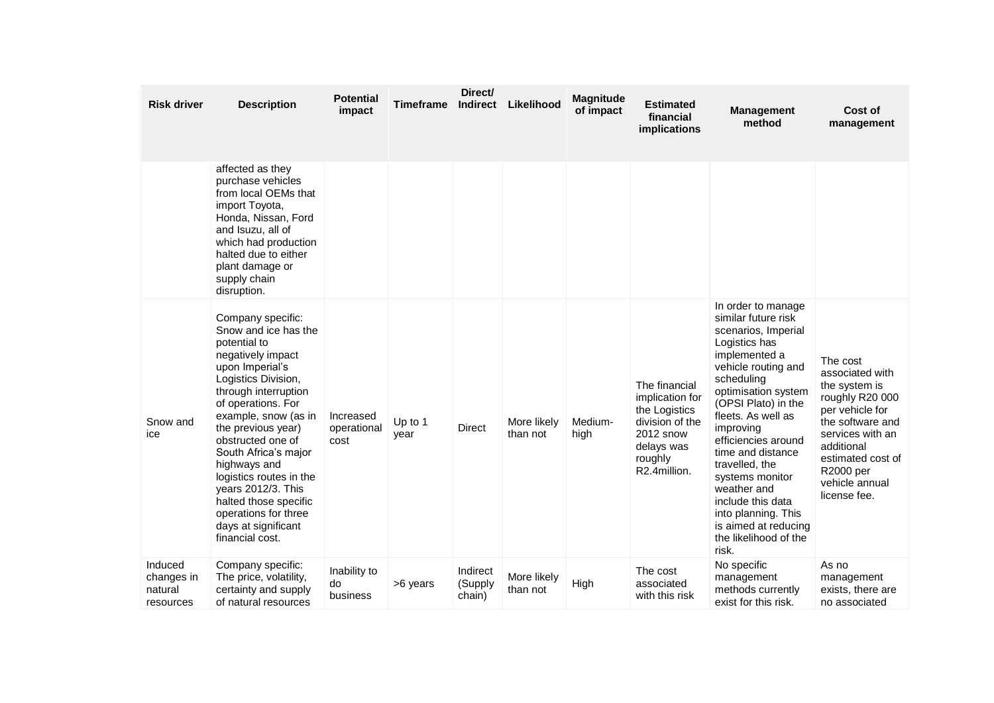| <b>Risk driver</b>                            | <b>Description</b>                                                                                                                                                                                                                                                                                                                                                                                                            | <b>Potential</b><br>impact       | Timeframe       | Direct/<br><b>Indirect</b>    | Likelihood              | <b>Magnitude</b><br>of impact | <b>Estimated</b><br>financial<br>implications                                                                              | <b>Management</b><br>method                                                                                                                                                                                                                                                                                                                                                                                                    | Cost of<br>management                                                                                                                                                                                        |
|-----------------------------------------------|-------------------------------------------------------------------------------------------------------------------------------------------------------------------------------------------------------------------------------------------------------------------------------------------------------------------------------------------------------------------------------------------------------------------------------|----------------------------------|-----------------|-------------------------------|-------------------------|-------------------------------|----------------------------------------------------------------------------------------------------------------------------|--------------------------------------------------------------------------------------------------------------------------------------------------------------------------------------------------------------------------------------------------------------------------------------------------------------------------------------------------------------------------------------------------------------------------------|--------------------------------------------------------------------------------------------------------------------------------------------------------------------------------------------------------------|
|                                               | affected as they<br>purchase vehicles<br>from local OEMs that<br>import Toyota,<br>Honda, Nissan, Ford<br>and Isuzu, all of<br>which had production<br>halted due to either<br>plant damage or<br>supply chain<br>disruption.                                                                                                                                                                                                 |                                  |                 |                               |                         |                               |                                                                                                                            |                                                                                                                                                                                                                                                                                                                                                                                                                                |                                                                                                                                                                                                              |
| Snow and<br>ice                               | Company specific:<br>Snow and ice has the<br>potential to<br>negatively impact<br>upon Imperial's<br>Logistics Division,<br>through interruption<br>of operations. For<br>example, snow (as in<br>the previous year)<br>obstructed one of<br>South Africa's major<br>highways and<br>logistics routes in the<br>years 2012/3. This<br>halted those specific<br>operations for three<br>days at significant<br>financial cost. | Increased<br>operational<br>cost | Up to 1<br>year | Direct                        | More likely<br>than not | Medium-<br>high               | The financial<br>implication for<br>the Logistics<br>division of the<br>2012 snow<br>delays was<br>roughly<br>R2.4million. | In order to manage<br>similar future risk<br>scenarios, Imperial<br>Logistics has<br>implemented a<br>vehicle routing and<br>scheduling<br>optimisation system<br>(OPSI Plato) in the<br>fleets. As well as<br>improving<br>efficiencies around<br>time and distance<br>travelled, the<br>systems monitor<br>weather and<br>include this data<br>into planning. This<br>is aimed at reducing<br>the likelihood of the<br>risk. | The cost<br>associated with<br>the system is<br>roughly R20 000<br>per vehicle for<br>the software and<br>services with an<br>additional<br>estimated cost of<br>R2000 per<br>vehicle annual<br>license fee. |
| Induced<br>changes in<br>natural<br>resources | Company specific:<br>The price, volatility,<br>certainty and supply<br>of natural resources                                                                                                                                                                                                                                                                                                                                   | Inability to<br>do<br>business   | >6 years        | Indirect<br>(Supply<br>chain) | More likely<br>than not | High                          | The cost<br>associated<br>with this risk                                                                                   | No specific<br>management<br>methods currently<br>exist for this risk.                                                                                                                                                                                                                                                                                                                                                         | As no<br>management<br>exists, there are<br>no associated                                                                                                                                                    |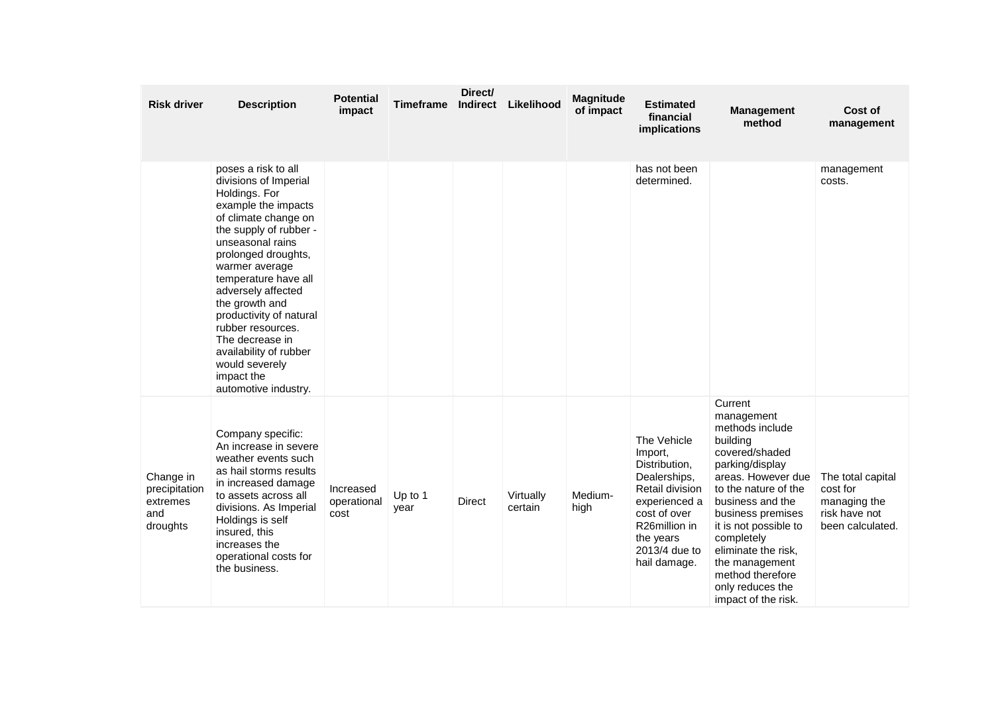| <b>Risk driver</b>                                        | <b>Description</b>                                                                                                                                                                                                                                                                                                                                                                                                       | <b>Potential</b><br>impact       | Timeframe       | Direct/<br><b>Indirect</b> | Likelihood           | <b>Magnitude</b><br>of impact | <b>Estimated</b><br>financial<br>implications                                                                                                                                           | <b>Management</b><br>method                                                                                                                                                                                                                                                                                                     | Cost of<br>management                                                              |
|-----------------------------------------------------------|--------------------------------------------------------------------------------------------------------------------------------------------------------------------------------------------------------------------------------------------------------------------------------------------------------------------------------------------------------------------------------------------------------------------------|----------------------------------|-----------------|----------------------------|----------------------|-------------------------------|-----------------------------------------------------------------------------------------------------------------------------------------------------------------------------------------|---------------------------------------------------------------------------------------------------------------------------------------------------------------------------------------------------------------------------------------------------------------------------------------------------------------------------------|------------------------------------------------------------------------------------|
|                                                           | poses a risk to all<br>divisions of Imperial<br>Holdings. For<br>example the impacts<br>of climate change on<br>the supply of rubber -<br>unseasonal rains<br>prolonged droughts,<br>warmer average<br>temperature have all<br>adversely affected<br>the growth and<br>productivity of natural<br>rubber resources.<br>The decrease in<br>availability of rubber<br>would severely<br>impact the<br>automotive industry. |                                  |                 |                            |                      |                               | has not been<br>determined.                                                                                                                                                             |                                                                                                                                                                                                                                                                                                                                 | management<br>costs.                                                               |
| Change in<br>precipitation<br>extremes<br>and<br>droughts | Company specific:<br>An increase in severe<br>weather events such<br>as hail storms results<br>in increased damage<br>to assets across all<br>divisions. As Imperial<br>Holdings is self<br>insured, this<br>increases the<br>operational costs for<br>the business.                                                                                                                                                     | Increased<br>operational<br>cost | Up to 1<br>year | <b>Direct</b>              | Virtually<br>certain | Medium-<br>high               | The Vehicle<br>Import,<br>Distribution,<br>Dealerships,<br>Retail division<br>experienced a<br>cost of over<br>R <sub>26</sub> million in<br>the years<br>2013/4 due to<br>hail damage. | Current<br>management<br>methods include<br>building<br>covered/shaded<br>parking/display<br>areas. However due<br>to the nature of the<br>business and the<br>business premises<br>it is not possible to<br>completely<br>eliminate the risk,<br>the management<br>method therefore<br>only reduces the<br>impact of the risk. | The total capital<br>cost for<br>managing the<br>risk have not<br>been calculated. |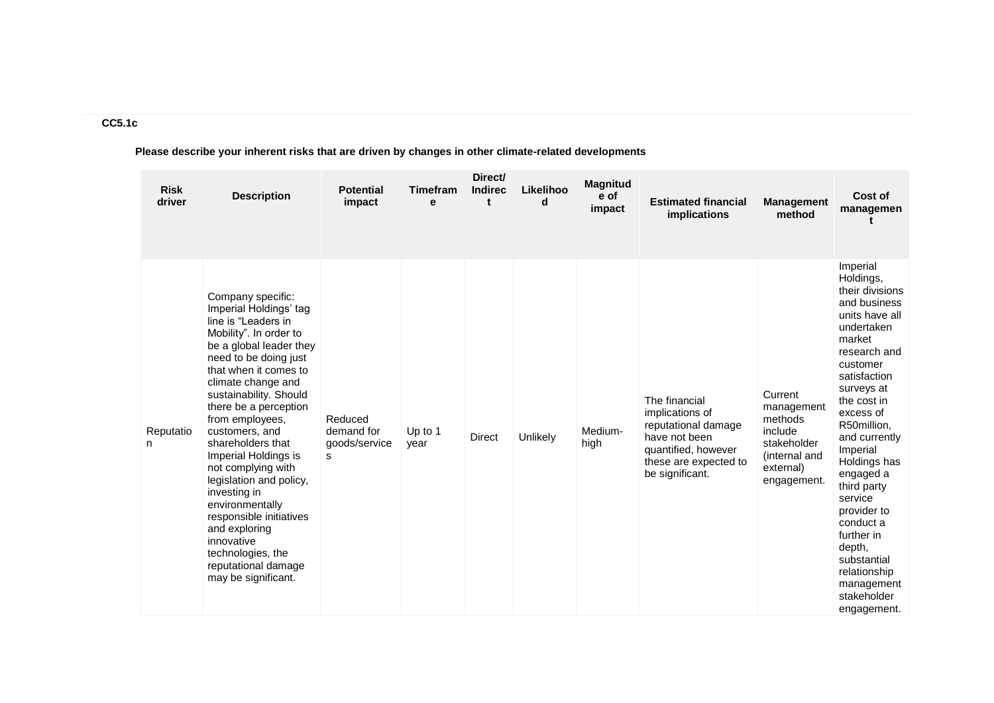# **CC5.1c**

**Please describe your inherent risks that are driven by changes in other climate-related developments**

| <b>Risk</b><br>driver | <b>Description</b>                                                                                                                                                                                                                                                                                                                                                                                                                                                                                                                                    | <b>Potential</b><br>impact                  | <b>Timefram</b><br>e | Direct/<br><b>Indirec</b><br>t | Likelihoo<br>d | <b>Magnitud</b><br>e of<br>impact | <b>Estimated financial</b><br>implications                                                                                                  | <b>Management</b><br>method                                                                             | Cost of<br>managemen                                                                                                                                                                                                                                                                                                                                                                                                       |
|-----------------------|-------------------------------------------------------------------------------------------------------------------------------------------------------------------------------------------------------------------------------------------------------------------------------------------------------------------------------------------------------------------------------------------------------------------------------------------------------------------------------------------------------------------------------------------------------|---------------------------------------------|----------------------|--------------------------------|----------------|-----------------------------------|---------------------------------------------------------------------------------------------------------------------------------------------|---------------------------------------------------------------------------------------------------------|----------------------------------------------------------------------------------------------------------------------------------------------------------------------------------------------------------------------------------------------------------------------------------------------------------------------------------------------------------------------------------------------------------------------------|
| Reputatio<br>n        | Company specific:<br>Imperial Holdings' tag<br>line is "Leaders in<br>Mobility". In order to<br>be a global leader they<br>need to be doing just<br>that when it comes to<br>climate change and<br>sustainability. Should<br>there be a perception<br>from employees,<br>customers, and<br>shareholders that<br>Imperial Holdings is<br>not complying with<br>legislation and policy,<br>investing in<br>environmentally<br>responsible initiatives<br>and exploring<br>innovative<br>technologies, the<br>reputational damage<br>may be significant. | Reduced<br>demand for<br>goods/service<br>s | Up to 1<br>vear      | <b>Direct</b>                  | Unlikely       | Medium-<br>high                   | The financial<br>implications of<br>reputational damage<br>have not been<br>quantified, however<br>these are expected to<br>be significant. | Current<br>management<br>methods<br>include<br>stakeholder<br>(internal and<br>external)<br>engagement. | Imperial<br>Holdings,<br>their divisions<br>and business<br>units have all<br>undertaken<br>market<br>research and<br>customer<br>satisfaction<br>surveys at<br>the cost in<br>excess of<br>R50million,<br>and currently<br>Imperial<br>Holdings has<br>engaged a<br>third party<br>service<br>provider to<br>conduct a<br>further in<br>depth,<br>substantial<br>relationship<br>management<br>stakeholder<br>engagement. |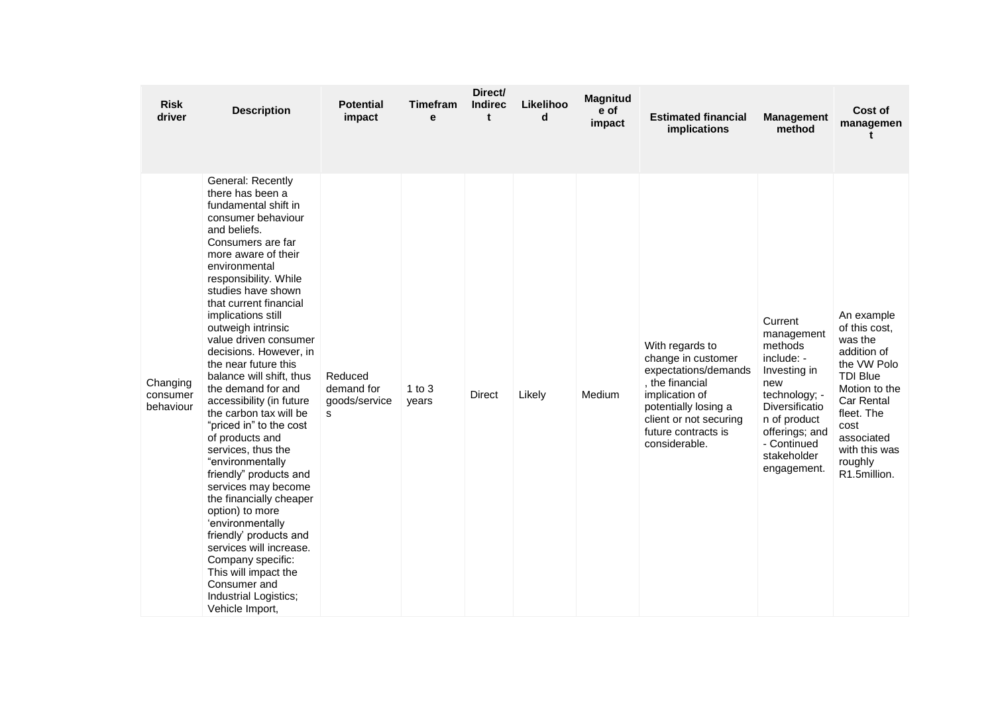| <b>Risk</b><br>driver             | <b>Description</b>                                                                                                                                                                                                                                                                                                                                                                                                                                                                                                                                                                                                                                                                                                                                                                                                                                | <b>Potential</b><br>impact                  | <b>Timefram</b><br>e | Direct/<br><b>Indirec</b><br>t | Likelihoo<br>d | <b>Magnitud</b><br>e of<br>impact | <b>Estimated financial</b><br>implications                                                                                                                                                   | <b>Management</b><br>method                                                                                                                                                             | Cost of<br>managemen<br>t                                                                                                                                                                                     |
|-----------------------------------|---------------------------------------------------------------------------------------------------------------------------------------------------------------------------------------------------------------------------------------------------------------------------------------------------------------------------------------------------------------------------------------------------------------------------------------------------------------------------------------------------------------------------------------------------------------------------------------------------------------------------------------------------------------------------------------------------------------------------------------------------------------------------------------------------------------------------------------------------|---------------------------------------------|----------------------|--------------------------------|----------------|-----------------------------------|----------------------------------------------------------------------------------------------------------------------------------------------------------------------------------------------|-----------------------------------------------------------------------------------------------------------------------------------------------------------------------------------------|---------------------------------------------------------------------------------------------------------------------------------------------------------------------------------------------------------------|
| Changing<br>consumer<br>behaviour | General: Recently<br>there has been a<br>fundamental shift in<br>consumer behaviour<br>and beliefs.<br>Consumers are far<br>more aware of their<br>environmental<br>responsibility. While<br>studies have shown<br>that current financial<br>implications still<br>outweigh intrinsic<br>value driven consumer<br>decisions. However, in<br>the near future this<br>balance will shift, thus<br>the demand for and<br>accessibility (in future<br>the carbon tax will be<br>"priced in" to the cost<br>of products and<br>services, thus the<br>"environmentally<br>friendly" products and<br>services may become<br>the financially cheaper<br>option) to more<br>'environmentally<br>friendly' products and<br>services will increase.<br>Company specific:<br>This will impact the<br>Consumer and<br>Industrial Logistics;<br>Vehicle Import, | Reduced<br>demand for<br>goods/service<br>s | $1$ to $3$<br>years  | <b>Direct</b>                  | Likely         | Medium                            | With regards to<br>change in customer<br>expectations/demands<br>, the financial<br>implication of<br>potentially losing a<br>client or not securing<br>future contracts is<br>considerable. | Current<br>management<br>methods<br>include: -<br>Investing in<br>new<br>technology; -<br>Diversificatio<br>n of product<br>offerings; and<br>- Continued<br>stakeholder<br>engagement. | An example<br>of this cost.<br>was the<br>addition of<br>the VW Polo<br><b>TDI Blue</b><br>Motion to the<br><b>Car Rental</b><br>fleet. The<br>cost<br>associated<br>with this was<br>roughly<br>R1.5million. |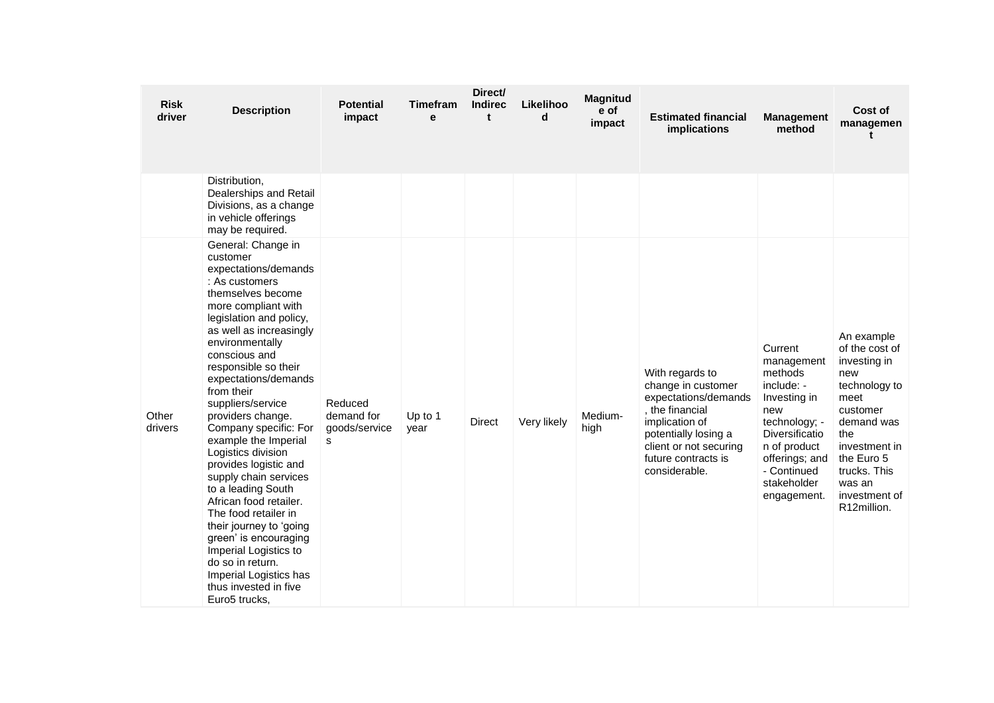| <b>Risk</b><br>driver | <b>Description</b>                                                                                                                                                                                                                                                                                                                                                                                                                                                                                                                                                                                                                                                                                       | <b>Potential</b><br>impact                  | <b>Timefram</b><br>e | Direct/<br><b>Indirec</b><br>$\mathbf t$ | Likelihoo<br>d | <b>Magnitud</b><br>e of<br>impact | <b>Estimated financial</b><br>implications                                                                                                                                                   | <b>Management</b><br>method                                                                                                                                                             | Cost of<br>managemen<br>t                                                                                                                                                                              |
|-----------------------|----------------------------------------------------------------------------------------------------------------------------------------------------------------------------------------------------------------------------------------------------------------------------------------------------------------------------------------------------------------------------------------------------------------------------------------------------------------------------------------------------------------------------------------------------------------------------------------------------------------------------------------------------------------------------------------------------------|---------------------------------------------|----------------------|------------------------------------------|----------------|-----------------------------------|----------------------------------------------------------------------------------------------------------------------------------------------------------------------------------------------|-----------------------------------------------------------------------------------------------------------------------------------------------------------------------------------------|--------------------------------------------------------------------------------------------------------------------------------------------------------------------------------------------------------|
|                       | Distribution,<br>Dealerships and Retail<br>Divisions, as a change<br>in vehicle offerings<br>may be required.                                                                                                                                                                                                                                                                                                                                                                                                                                                                                                                                                                                            |                                             |                      |                                          |                |                                   |                                                                                                                                                                                              |                                                                                                                                                                                         |                                                                                                                                                                                                        |
| Other<br>drivers      | General: Change in<br>customer<br>expectations/demands<br>: As customers<br>themselves become<br>more compliant with<br>legislation and policy,<br>as well as increasingly<br>environmentally<br>conscious and<br>responsible so their<br>expectations/demands<br>from their<br>suppliers/service<br>providers change.<br>Company specific: For<br>example the Imperial<br>Logistics division<br>provides logistic and<br>supply chain services<br>to a leading South<br>African food retailer.<br>The food retailer in<br>their journey to 'going<br>green' is encouraging<br>Imperial Logistics to<br>do so in return.<br>Imperial Logistics has<br>thus invested in five<br>Euro <sub>5</sub> trucks, | Reduced<br>demand for<br>goods/service<br>s | Up to 1<br>year      | <b>Direct</b>                            | Very likely    | Medium-<br>high                   | With regards to<br>change in customer<br>expectations/demands<br>, the financial<br>implication of<br>potentially losing a<br>client or not securing<br>future contracts is<br>considerable. | Current<br>management<br>methods<br>include: -<br>Investing in<br>new<br>technology; -<br>Diversificatio<br>n of product<br>offerings; and<br>- Continued<br>stakeholder<br>engagement. | An example<br>of the cost of<br>investing in<br>new<br>technology to<br>meet<br>customer<br>demand was<br>the<br>investment in<br>the Euro 5<br>trucks. This<br>was an<br>investment of<br>R12million. |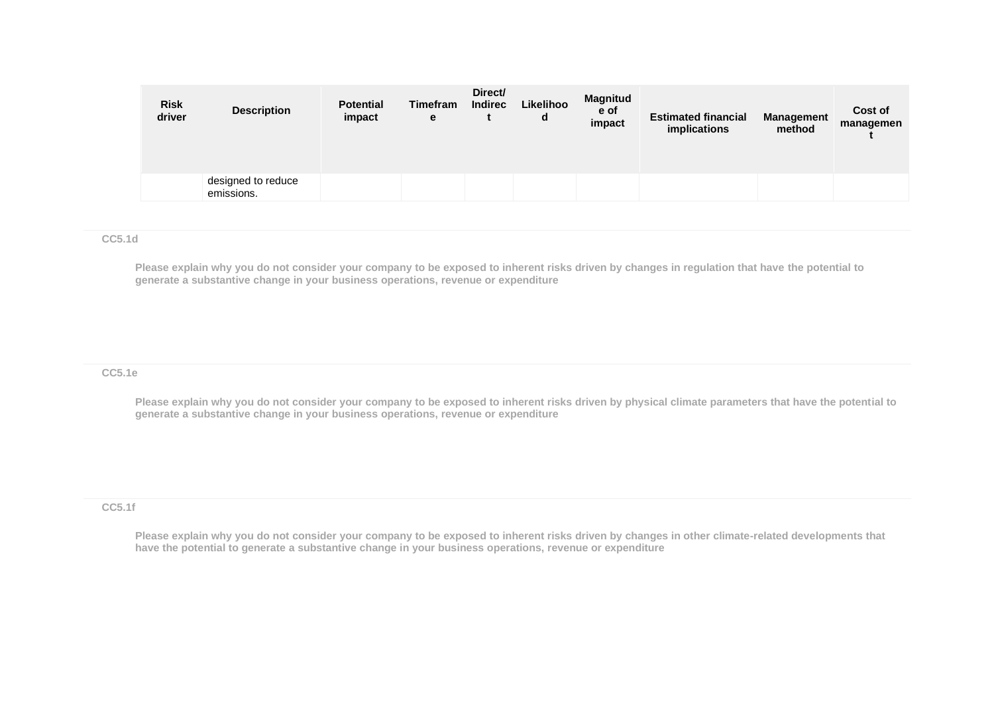| <b>Risk</b><br>driver | <b>Description</b>               | <b>Potential</b><br>impact | <b>Timefram</b><br>е | Direct/<br><b>Indirec</b> | Likelihoo<br>d | <b>Magnitud</b><br>e of<br>impact | <b>Estimated financial</b><br>implications | <b>Management</b><br>method | Cost of<br>managemen |
|-----------------------|----------------------------------|----------------------------|----------------------|---------------------------|----------------|-----------------------------------|--------------------------------------------|-----------------------------|----------------------|
|                       | designed to reduce<br>emissions. |                            |                      |                           |                |                                   |                                            |                             |                      |

#### **CC5.1d**

**Please explain why you do not consider your company to be exposed to inherent risks driven by changes in regulation that have the potential to generate a substantive change in your business operations, revenue or expenditure** 

#### **CC5.1e**

**Please explain why you do not consider your company to be exposed to inherent risks driven by physical climate parameters that have the potential to generate a substantive change in your business operations, revenue or expenditure**

#### **CC5.1f**

**Please explain why you do not consider your company to be exposed to inherent risks driven by changes in other climate-related developments that have the potential to generate a substantive change in your business operations, revenue or expenditure**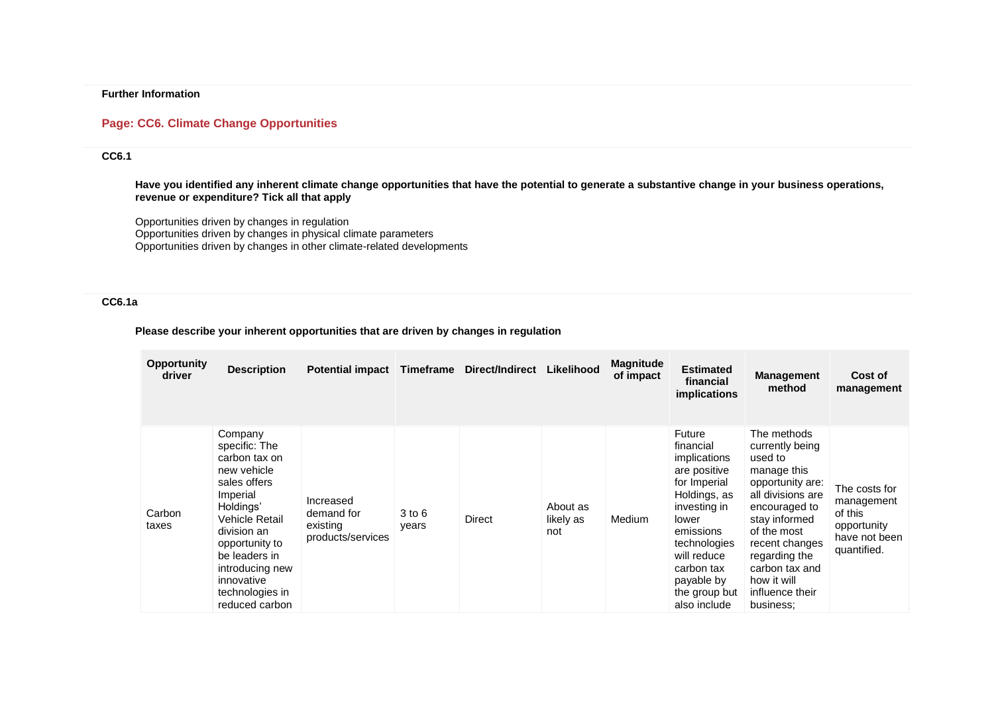### **Further Information**

#### **Page: CC6. Climate Change Opportunities**

### **CC6.1**

**Have you identified any inherent climate change opportunities that have the potential to generate a substantive change in your business operations, revenue or expenditure? Tick all that apply**

Opportunities driven by changes in regulation Opportunities driven by changes in physical climate parameters Opportunities driven by changes in other climate-related developments

### **CC6.1a**

#### **Please describe your inherent opportunities that are driven by changes in regulation**

| <b>Opportunity</b><br>driver | <b>Description</b>                                                                                                                                                                                                                          | <b>Potential impact</b>                                  |                     | Timeframe Direct/Indirect | Likelihood                   | <b>Magnitude</b><br>of impact | <b>Estimated</b><br>financial<br>implications                                                                                                                                                                         | <b>Management</b><br>method                                                                                                                                                                                                                            | Cost of<br>management                                                                 |
|------------------------------|---------------------------------------------------------------------------------------------------------------------------------------------------------------------------------------------------------------------------------------------|----------------------------------------------------------|---------------------|---------------------------|------------------------------|-------------------------------|-----------------------------------------------------------------------------------------------------------------------------------------------------------------------------------------------------------------------|--------------------------------------------------------------------------------------------------------------------------------------------------------------------------------------------------------------------------------------------------------|---------------------------------------------------------------------------------------|
| Carbon<br>taxes              | Company<br>specific: The<br>carbon tax on<br>new vehicle<br>sales offers<br>Imperial<br>Holdings'<br>Vehicle Retail<br>division an<br>opportunity to<br>be leaders in<br>introducing new<br>innovative<br>technologies in<br>reduced carbon | Increased<br>demand for<br>existing<br>products/services | $3$ to $6$<br>years | <b>Direct</b>             | About as<br>likely as<br>not | Medium                        | Future<br>financial<br>implications<br>are positive<br>for Imperial<br>Holdings, as<br>investing in<br>lower<br>emissions<br>technologies<br>will reduce<br>carbon tax<br>payable by<br>the group but<br>also include | The methods<br>currently being<br>used to<br>manage this<br>opportunity are:<br>all divisions are<br>encouraged to<br>stay informed<br>of the most<br>recent changes<br>regarding the<br>carbon tax and<br>how it will<br>influence their<br>business: | The costs for<br>management<br>of this<br>opportunity<br>have not been<br>quantified. |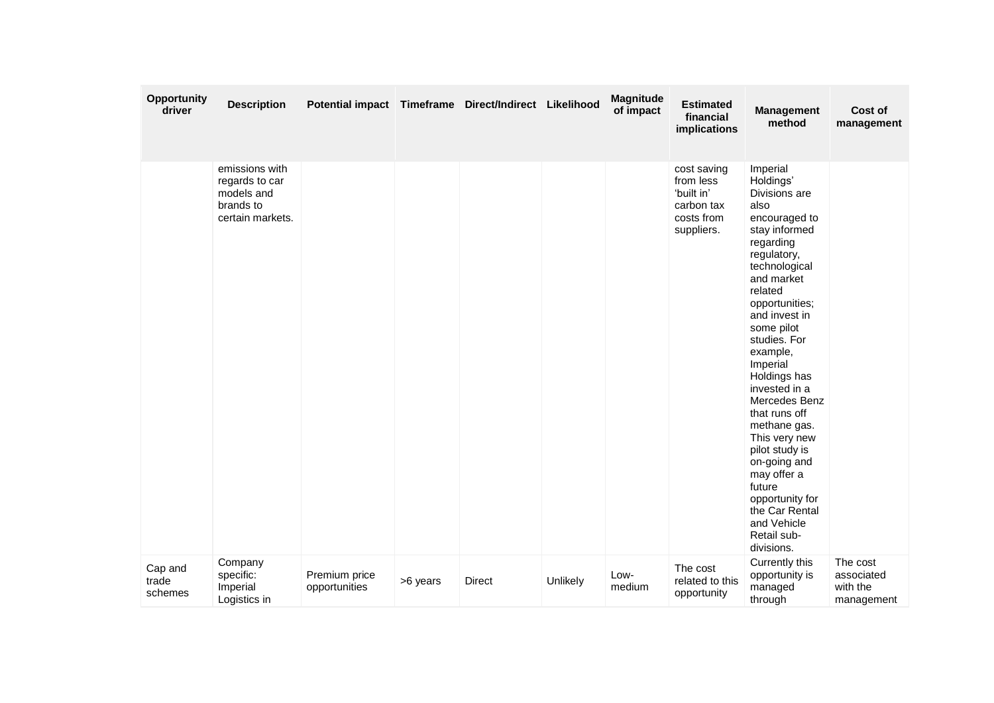| Opportunity<br>driver       | <b>Description</b>                                                              | Potential impact Timeframe Direct/Indirect Likelihood |          |        |          | <b>Magnitude</b><br>of impact | <b>Estimated</b><br>financial<br>implications                                    | <b>Management</b><br>method                                                                                                                                                                                                                                                                                                                                                                                                                                                                     | Cost of<br>management                            |
|-----------------------------|---------------------------------------------------------------------------------|-------------------------------------------------------|----------|--------|----------|-------------------------------|----------------------------------------------------------------------------------|-------------------------------------------------------------------------------------------------------------------------------------------------------------------------------------------------------------------------------------------------------------------------------------------------------------------------------------------------------------------------------------------------------------------------------------------------------------------------------------------------|--------------------------------------------------|
|                             | emissions with<br>regards to car<br>models and<br>brands to<br>certain markets. |                                                       |          |        |          |                               | cost saving<br>from less<br>'built in'<br>carbon tax<br>costs from<br>suppliers. | Imperial<br>Holdings'<br>Divisions are<br>also<br>encouraged to<br>stay informed<br>regarding<br>regulatory,<br>technological<br>and market<br>related<br>opportunities;<br>and invest in<br>some pilot<br>studies. For<br>example,<br>Imperial<br>Holdings has<br>invested in a<br>Mercedes Benz<br>that runs off<br>methane gas.<br>This very new<br>pilot study is<br>on-going and<br>may offer a<br>future<br>opportunity for<br>the Car Rental<br>and Vehicle<br>Retail sub-<br>divisions. |                                                  |
| Cap and<br>trade<br>schemes | Company<br>specific:<br>Imperial<br>Logistics in                                | Premium price<br>opportunities                        | >6 years | Direct | Unlikely | Low-<br>medium                | The cost<br>related to this<br>opportunity                                       | Currently this<br>opportunity is<br>managed<br>through                                                                                                                                                                                                                                                                                                                                                                                                                                          | The cost<br>associated<br>with the<br>management |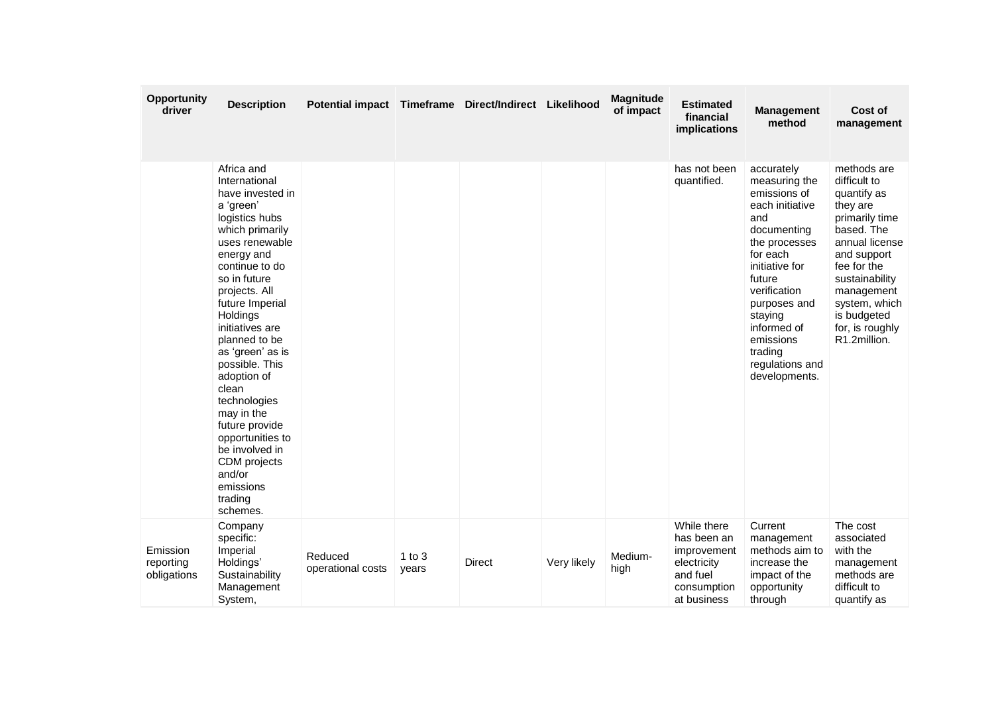| Opportunity<br>driver                | <b>Description</b>                                                                                                                                                                                                                                                                                                                                                                                                                                                        | Potential impact Timeframe Direct/Indirect Likelihood |                   |        |             | Magnitude<br>of impact | <b>Estimated</b><br>financial<br>implications                                                      | <b>Management</b><br>method                                                                                                                                                                                                                                         | Cost of<br>management                                                                                                                                                                                                                     |
|--------------------------------------|---------------------------------------------------------------------------------------------------------------------------------------------------------------------------------------------------------------------------------------------------------------------------------------------------------------------------------------------------------------------------------------------------------------------------------------------------------------------------|-------------------------------------------------------|-------------------|--------|-------------|------------------------|----------------------------------------------------------------------------------------------------|---------------------------------------------------------------------------------------------------------------------------------------------------------------------------------------------------------------------------------------------------------------------|-------------------------------------------------------------------------------------------------------------------------------------------------------------------------------------------------------------------------------------------|
|                                      | Africa and<br>International<br>have invested in<br>a 'green'<br>logistics hubs<br>which primarily<br>uses renewable<br>energy and<br>continue to do<br>so in future<br>projects. All<br>future Imperial<br>Holdings<br>initiatives are<br>planned to be<br>as 'green' as is<br>possible. This<br>adoption of<br>clean<br>technologies<br>may in the<br>future provide<br>opportunities to<br>be involved in<br>CDM projects<br>and/or<br>emissions<br>trading<br>schemes. |                                                       |                   |        |             |                        | has not been<br>quantified.                                                                        | accurately<br>measuring the<br>emissions of<br>each initiative<br>and<br>documenting<br>the processes<br>for each<br>initiative for<br>future<br>verification<br>purposes and<br>staying<br>informed of<br>emissions<br>trading<br>regulations and<br>developments. | methods are<br>difficult to<br>quantify as<br>they are<br>primarily time<br>based. The<br>annual license<br>and support<br>fee for the<br>sustainability<br>management<br>system, which<br>is budgeted<br>for, is roughly<br>R1.2million. |
| Emission<br>reporting<br>obligations | Company<br>specific:<br>Imperial<br>Holdings'<br>Sustainability<br>Management<br>System,                                                                                                                                                                                                                                                                                                                                                                                  | Reduced<br>operational costs                          | 1 to $3$<br>years | Direct | Very likely | Medium-<br>high        | While there<br>has been an<br>improvement<br>electricity<br>and fuel<br>consumption<br>at business | Current<br>management<br>methods aim to<br>increase the<br>impact of the<br>opportunity<br>through                                                                                                                                                                  | The cost<br>associated<br>with the<br>management<br>methods are<br>difficult to<br>quantify as                                                                                                                                            |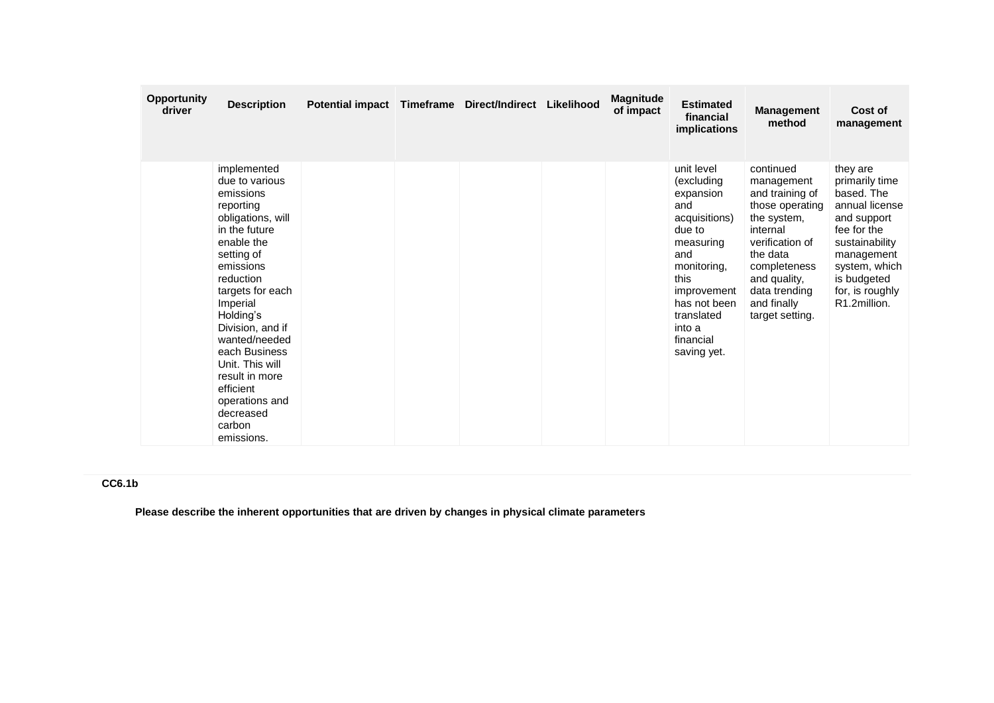| <b>Opportunity</b><br>driver | <b>Description</b>                                                                                                                                                                                                                                                                                                                                              | Potential impact Timeframe | Direct/Indirect | Likelihood | <b>Magnitude</b><br>of impact | <b>Estimated</b><br>financial<br>implications                                                                                                                                                         | <b>Management</b><br>method                                                                                                                                                                                | Cost of<br>management                                                                                                                                                                       |
|------------------------------|-----------------------------------------------------------------------------------------------------------------------------------------------------------------------------------------------------------------------------------------------------------------------------------------------------------------------------------------------------------------|----------------------------|-----------------|------------|-------------------------------|-------------------------------------------------------------------------------------------------------------------------------------------------------------------------------------------------------|------------------------------------------------------------------------------------------------------------------------------------------------------------------------------------------------------------|---------------------------------------------------------------------------------------------------------------------------------------------------------------------------------------------|
|                              | implemented<br>due to various<br>emissions<br>reporting<br>obligations, will<br>in the future<br>enable the<br>setting of<br>emissions<br>reduction<br>targets for each<br>Imperial<br>Holding's<br>Division, and if<br>wanted/needed<br>each Business<br>Unit. This will<br>result in more<br>efficient<br>operations and<br>decreased<br>carbon<br>emissions. |                            |                 |            |                               | unit level<br>(excluding<br>expansion<br>and<br>acquisitions)<br>due to<br>measuring<br>and<br>monitoring,<br>this<br>improvement<br>has not been<br>translated<br>into a<br>financial<br>saving yet. | continued<br>management<br>and training of<br>those operating<br>the system,<br>internal<br>verification of<br>the data<br>completeness<br>and quality,<br>data trending<br>and finally<br>target setting. | they are<br>primarily time<br>based. The<br>annual license<br>and support<br>fee for the<br>sustainability<br>management<br>system, which<br>is budgeted<br>for, is roughly<br>R1.2million. |

# **CC6.1b**

**Please describe the inherent opportunities that are driven by changes in physical climate parameters**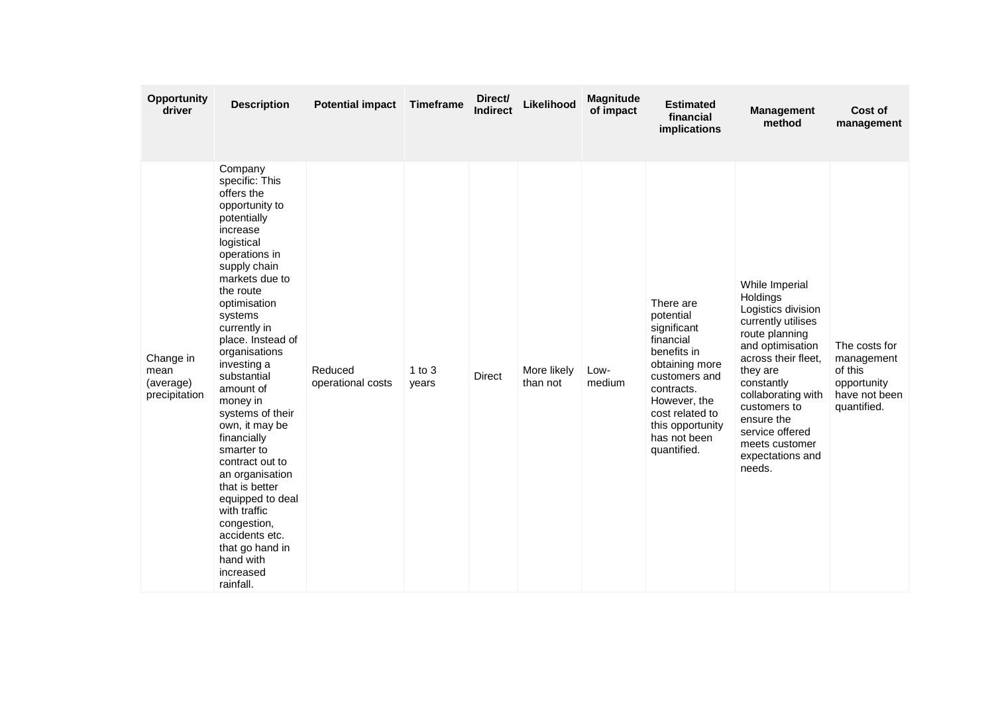| <b>Opportunity</b><br>driver                    | <b>Description</b>                                                                                                                                                                                                                                                                                                                                                                                                                                                                                                                                                   | <b>Potential impact</b>      | <b>Timeframe</b>    | Direct/<br><b>Indirect</b> | Likelihood              | <b>Magnitude</b><br>of impact | <b>Estimated</b><br>financial<br>implications                                                                                                                                                            | <b>Management</b><br>method                                                                                                                                                                                                                                                          | Cost of<br>management                                                                 |
|-------------------------------------------------|----------------------------------------------------------------------------------------------------------------------------------------------------------------------------------------------------------------------------------------------------------------------------------------------------------------------------------------------------------------------------------------------------------------------------------------------------------------------------------------------------------------------------------------------------------------------|------------------------------|---------------------|----------------------------|-------------------------|-------------------------------|----------------------------------------------------------------------------------------------------------------------------------------------------------------------------------------------------------|--------------------------------------------------------------------------------------------------------------------------------------------------------------------------------------------------------------------------------------------------------------------------------------|---------------------------------------------------------------------------------------|
| Change in<br>mean<br>(average)<br>precipitation | Company<br>specific: This<br>offers the<br>opportunity to<br>potentially<br>increase<br>logistical<br>operations in<br>supply chain<br>markets due to<br>the route<br>optimisation<br>systems<br>currently in<br>place. Instead of<br>organisations<br>investing a<br>substantial<br>amount of<br>money in<br>systems of their<br>own, it may be<br>financially<br>smarter to<br>contract out to<br>an organisation<br>that is better<br>equipped to deal<br>with traffic<br>congestion,<br>accidents etc.<br>that go hand in<br>hand with<br>increased<br>rainfall. | Reduced<br>operational costs | $1$ to $3$<br>years | Direct                     | More likely<br>than not | Low-<br>medium                | There are<br>potential<br>significant<br>financial<br>benefits in<br>obtaining more<br>customers and<br>contracts.<br>However, the<br>cost related to<br>this opportunity<br>has not been<br>quantified. | While Imperial<br>Holdings<br>Logistics division<br>currently utilises<br>route planning<br>and optimisation<br>across their fleet,<br>they are<br>constantly<br>collaborating with<br>customers to<br>ensure the<br>service offered<br>meets customer<br>expectations and<br>needs. | The costs for<br>management<br>of this<br>opportunity<br>have not been<br>quantified. |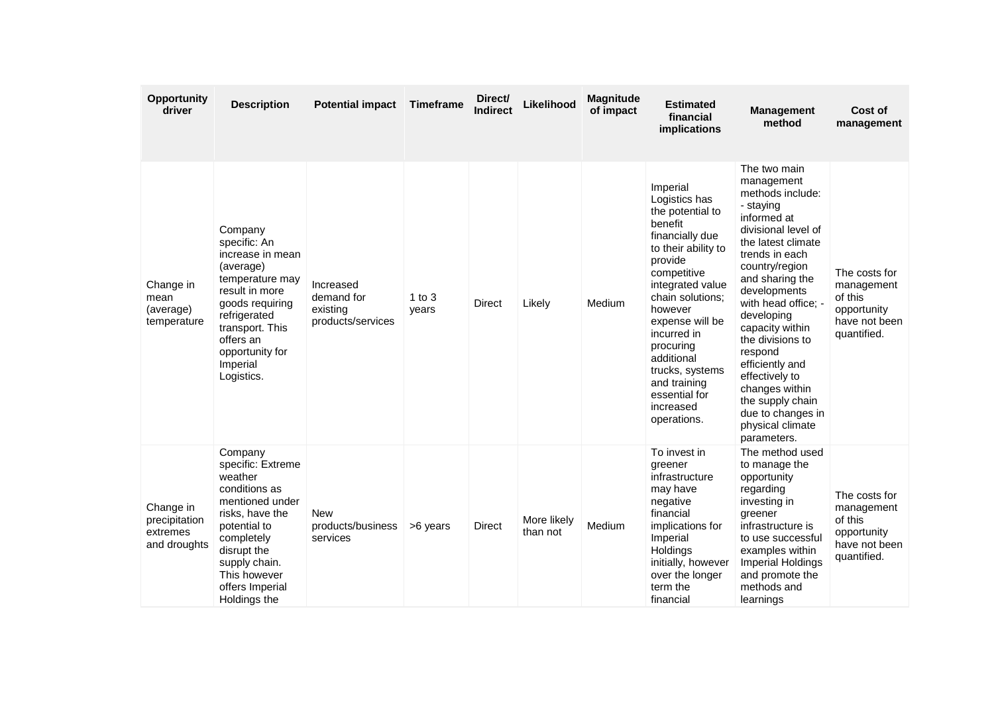| <b>Opportunity</b><br>driver                           | <b>Description</b>                                                                                                                                                                                              | <b>Potential impact</b>                                  | Timeframe         | Direct/<br><b>Indirect</b> | Likelihood              | <b>Magnitude</b><br>of impact | <b>Estimated</b><br>financial<br>implications                                                                                                                                                                                                                                                                                | <b>Management</b><br>method                                                                                                                                                                                                                                                                                                                                                                                              | Cost of<br>management                                                                 |
|--------------------------------------------------------|-----------------------------------------------------------------------------------------------------------------------------------------------------------------------------------------------------------------|----------------------------------------------------------|-------------------|----------------------------|-------------------------|-------------------------------|------------------------------------------------------------------------------------------------------------------------------------------------------------------------------------------------------------------------------------------------------------------------------------------------------------------------------|--------------------------------------------------------------------------------------------------------------------------------------------------------------------------------------------------------------------------------------------------------------------------------------------------------------------------------------------------------------------------------------------------------------------------|---------------------------------------------------------------------------------------|
| Change in<br>mean<br>(average)<br>temperature          | Company<br>specific: An<br>increase in mean<br>(average)<br>temperature may<br>result in more<br>goods requiring<br>refrigerated<br>transport. This<br>offers an<br>opportunity for<br>Imperial<br>Logistics.   | Increased<br>demand for<br>existing<br>products/services | 1 to $3$<br>years | Direct                     | Likely                  | Medium                        | Imperial<br>Logistics has<br>the potential to<br>benefit<br>financially due<br>to their ability to<br>provide<br>competitive<br>integrated value<br>chain solutions;<br>however<br>expense will be<br>incurred in<br>procuring<br>additional<br>trucks, systems<br>and training<br>essential for<br>increased<br>operations. | The two main<br>management<br>methods include:<br>- staying<br>informed at<br>divisional level of<br>the latest climate<br>trends in each<br>country/region<br>and sharing the<br>developments<br>with head office: -<br>developing<br>capacity within<br>the divisions to<br>respond<br>efficiently and<br>effectively to<br>changes within<br>the supply chain<br>due to changes in<br>physical climate<br>parameters. | The costs for<br>management<br>of this<br>opportunity<br>have not been<br>quantified. |
| Change in<br>precipitation<br>extremes<br>and droughts | Company<br>specific: Extreme<br>weather<br>conditions as<br>mentioned under<br>risks, have the<br>potential to<br>completely<br>disrupt the<br>supply chain.<br>This however<br>offers Imperial<br>Holdings the | New<br>products/business<br>services                     | >6 years          | <b>Direct</b>              | More likely<br>than not | Medium                        | To invest in<br>greener<br>infrastructure<br>may have<br>negative<br>financial<br>implications for<br>Imperial<br>Holdings<br>initially, however<br>over the longer<br>term the<br>financial                                                                                                                                 | The method used<br>to manage the<br>opportunity<br>regarding<br>investing in<br>greener<br>infrastructure is<br>to use successful<br>examples within<br>Imperial Holdings<br>and promote the<br>methods and<br>learnings                                                                                                                                                                                                 | The costs for<br>management<br>of this<br>opportunity<br>have not been<br>quantified. |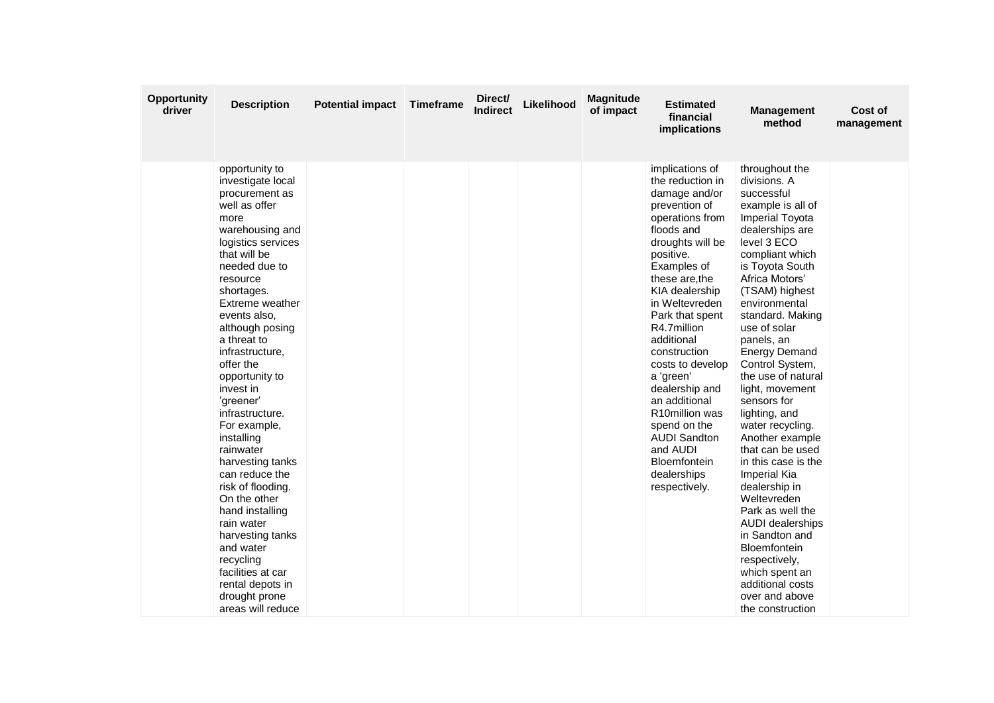| <b>Opportunity</b><br>driver | <b>Description</b>                                                                                                                                                                                                                                                                                                                                                                                                                                                                                                                                                                                                                         | <b>Potential impact</b> | <b>Timeframe</b> | Direct/<br><b>Indirect</b> | Likelihood | <b>Magnitude</b><br>of impact | <b>Estimated</b><br>financial<br>implications                                                                                                                                                                                                                                                                                                                                                                                                                         | <b>Management</b><br>method                                                                                                                                                                                                                                                                                                                                                                                                                                                                                                                                                                                                                                                                                           | Cost of<br>management |
|------------------------------|--------------------------------------------------------------------------------------------------------------------------------------------------------------------------------------------------------------------------------------------------------------------------------------------------------------------------------------------------------------------------------------------------------------------------------------------------------------------------------------------------------------------------------------------------------------------------------------------------------------------------------------------|-------------------------|------------------|----------------------------|------------|-------------------------------|-----------------------------------------------------------------------------------------------------------------------------------------------------------------------------------------------------------------------------------------------------------------------------------------------------------------------------------------------------------------------------------------------------------------------------------------------------------------------|-----------------------------------------------------------------------------------------------------------------------------------------------------------------------------------------------------------------------------------------------------------------------------------------------------------------------------------------------------------------------------------------------------------------------------------------------------------------------------------------------------------------------------------------------------------------------------------------------------------------------------------------------------------------------------------------------------------------------|-----------------------|
|                              | opportunity to<br>investigate local<br>procurement as<br>well as offer<br>more<br>warehousing and<br>logistics services<br>that will be<br>needed due to<br>resource<br>shortages.<br>Extreme weather<br>events also,<br>although posing<br>a threat to<br>infrastructure,<br>offer the<br>opportunity to<br>invest in<br>'greener'<br>infrastructure.<br>For example,<br>installing<br>rainwater<br>harvesting tanks<br>can reduce the<br>risk of flooding.<br>On the other<br>hand installing<br>rain water<br>harvesting tanks<br>and water<br>recycling<br>facilities at car<br>rental depots in<br>drought prone<br>areas will reduce |                         |                  |                            |            |                               | implications of<br>the reduction in<br>damage and/or<br>prevention of<br>operations from<br>floods and<br>droughts will be<br>positive.<br>Examples of<br>these are, the<br>KIA dealership<br>in Weltevreden<br>Park that spent<br>R4.7million<br>additional<br>construction<br>costs to develop<br>a 'green'<br>dealership and<br>an additional<br>R10million was<br>spend on the<br><b>AUDI Sandton</b><br>and AUDI<br>Bloemfontein<br>dealerships<br>respectively. | throughout the<br>divisions. A<br>successful<br>example is all of<br><b>Imperial Toyota</b><br>dealerships are<br>level 3 ECO<br>compliant which<br>is Toyota South<br>Africa Motors'<br>(TSAM) highest<br>environmental<br>standard. Making<br>use of solar<br>panels, an<br><b>Energy Demand</b><br>Control System,<br>the use of natural<br>light, movement<br>sensors for<br>lighting, and<br>water recycling.<br>Another example<br>that can be used<br>in this case is the<br>Imperial Kia<br>dealership in<br>Weltevreden<br>Park as well the<br><b>AUDI</b> dealerships<br>in Sandton and<br><b>Bloemfontein</b><br>respectively,<br>which spent an<br>additional costs<br>over and above<br>the construction |                       |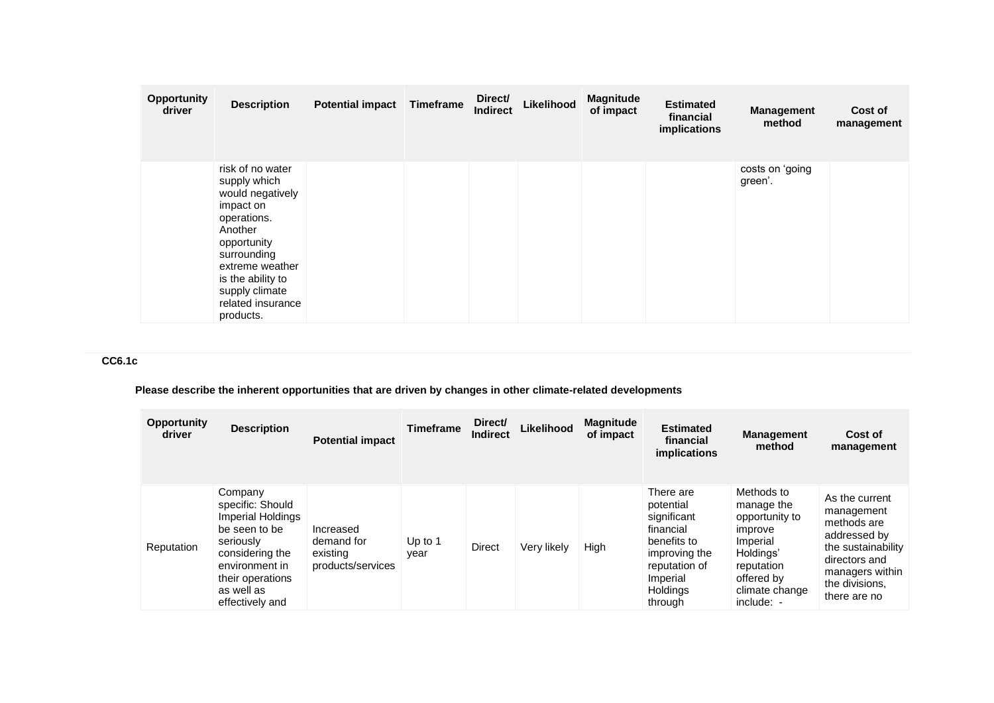| <b>Opportunity</b><br>driver | <b>Description</b>                                                                                                                                                                                                    | <b>Potential impact</b> | Timeframe | Direct/<br><b>Indirect</b> | Likelihood | <b>Magnitude</b><br>of impact | <b>Estimated</b><br>financial<br>implications | <b>Management</b><br>method | Cost of<br>management |
|------------------------------|-----------------------------------------------------------------------------------------------------------------------------------------------------------------------------------------------------------------------|-------------------------|-----------|----------------------------|------------|-------------------------------|-----------------------------------------------|-----------------------------|-----------------------|
|                              | risk of no water<br>supply which<br>would negatively<br>impact on<br>operations.<br>Another<br>opportunity<br>surrounding<br>extreme weather<br>is the ability to<br>supply climate<br>related insurance<br>products. |                         |           |                            |            |                               |                                               | costs on 'going<br>green'.  |                       |

# **CC6.1c**

# **Please describe the inherent opportunities that are driven by changes in other climate-related developments**

| <b>Opportunity</b><br>driver | <b>Description</b>                                                                                                                                                       | <b>Potential impact</b>                                  | <b>Timeframe</b>  | Direct/<br><b>Indirect</b> | Likelihood  | <b>Magnitude</b><br>of impact | <b>Estimated</b><br>financial<br><i>implications</i>                                                                                          | <b>Management</b><br>method                                                                                                                  | Cost of<br>management                                                                                                                                   |
|------------------------------|--------------------------------------------------------------------------------------------------------------------------------------------------------------------------|----------------------------------------------------------|-------------------|----------------------------|-------------|-------------------------------|-----------------------------------------------------------------------------------------------------------------------------------------------|----------------------------------------------------------------------------------------------------------------------------------------------|---------------------------------------------------------------------------------------------------------------------------------------------------------|
| Reputation                   | Company<br>specific: Should<br>Imperial Holdings<br>be seen to be<br>seriously<br>considering the<br>environment in<br>their operations<br>as well as<br>effectively and | Increased<br>demand for<br>existing<br>products/services | Up to $1$<br>year | Direct                     | Very likely | High                          | There are<br>potential<br>significant<br>financial<br>benefits to<br>improving the<br>reputation of<br>Imperial<br><b>Holdings</b><br>through | Methods to<br>manage the<br>opportunity to<br>improve<br>Imperial<br>Holdings'<br>reputation<br>offered by<br>climate change<br>$include: -$ | As the current<br>management<br>methods are<br>addressed by<br>the sustainability<br>directors and<br>managers within<br>the divisions.<br>there are no |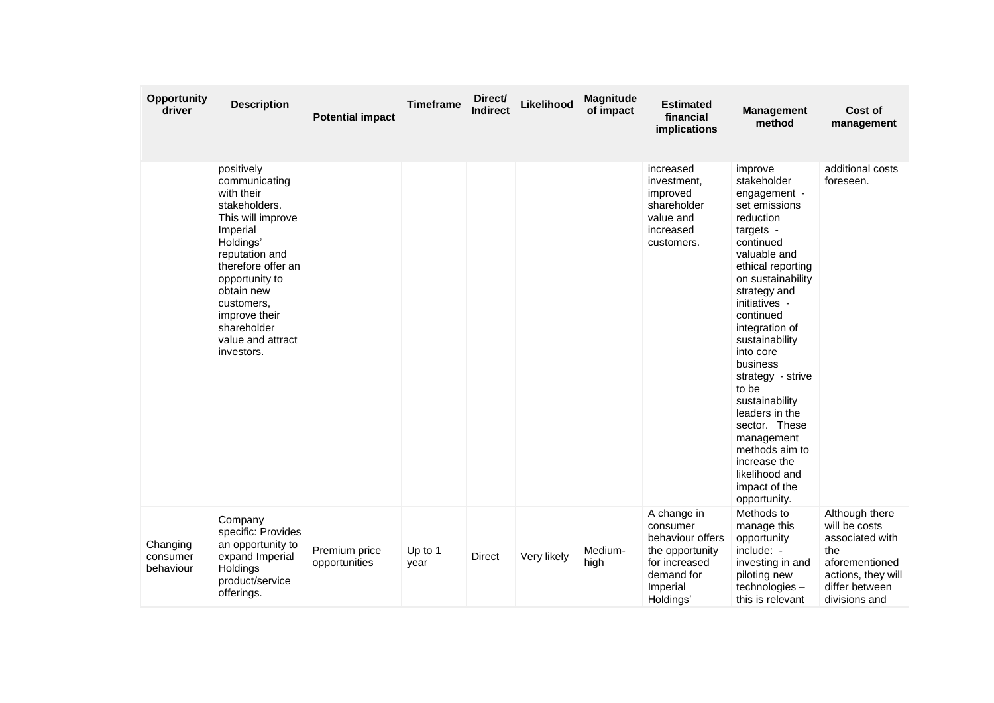| Opportunity<br>driver             | <b>Description</b>                                                                                                                                                                                                                                                | <b>Potential impact</b>        | <b>Timeframe</b> | Direct/<br><b>Indirect</b> | Likelihood  | Magnitude<br>of impact | <b>Estimated</b><br>financial<br>implications                                                                          | <b>Management</b><br>method                                                                                                                                                                                                                                                                                                                                                                                                                               | Cost of<br>management                                                                                                                |
|-----------------------------------|-------------------------------------------------------------------------------------------------------------------------------------------------------------------------------------------------------------------------------------------------------------------|--------------------------------|------------------|----------------------------|-------------|------------------------|------------------------------------------------------------------------------------------------------------------------|-----------------------------------------------------------------------------------------------------------------------------------------------------------------------------------------------------------------------------------------------------------------------------------------------------------------------------------------------------------------------------------------------------------------------------------------------------------|--------------------------------------------------------------------------------------------------------------------------------------|
|                                   | positively<br>communicating<br>with their<br>stakeholders.<br>This will improve<br>Imperial<br>Holdings'<br>reputation and<br>therefore offer an<br>opportunity to<br>obtain new<br>customers,<br>improve their<br>shareholder<br>value and attract<br>investors. |                                |                  |                            |             |                        | increased<br>investment,<br>improved<br>shareholder<br>value and<br>increased<br>customers.                            | improve<br>stakeholder<br>engagement -<br>set emissions<br>reduction<br>targets -<br>continued<br>valuable and<br>ethical reporting<br>on sustainability<br>strategy and<br>initiatives -<br>continued<br>integration of<br>sustainability<br>into core<br>business<br>strategy - strive<br>to be<br>sustainability<br>leaders in the<br>sector. These<br>management<br>methods aim to<br>increase the<br>likelihood and<br>impact of the<br>opportunity. | additional costs<br>foreseen.                                                                                                        |
| Changing<br>consumer<br>behaviour | Company<br>specific: Provides<br>an opportunity to<br>expand Imperial<br>Holdings<br>product/service<br>offerings.                                                                                                                                                | Premium price<br>opportunities | Up to 1<br>year  | <b>Direct</b>              | Very likely | Medium-<br>high        | A change in<br>consumer<br>behaviour offers<br>the opportunity<br>for increased<br>demand for<br>Imperial<br>Holdings' | Methods to<br>manage this<br>opportunity<br>include: -<br>investing in and<br>piloting new<br>technologies-<br>this is relevant                                                                                                                                                                                                                                                                                                                           | Although there<br>will be costs<br>associated with<br>the<br>aforementioned<br>actions, they will<br>differ between<br>divisions and |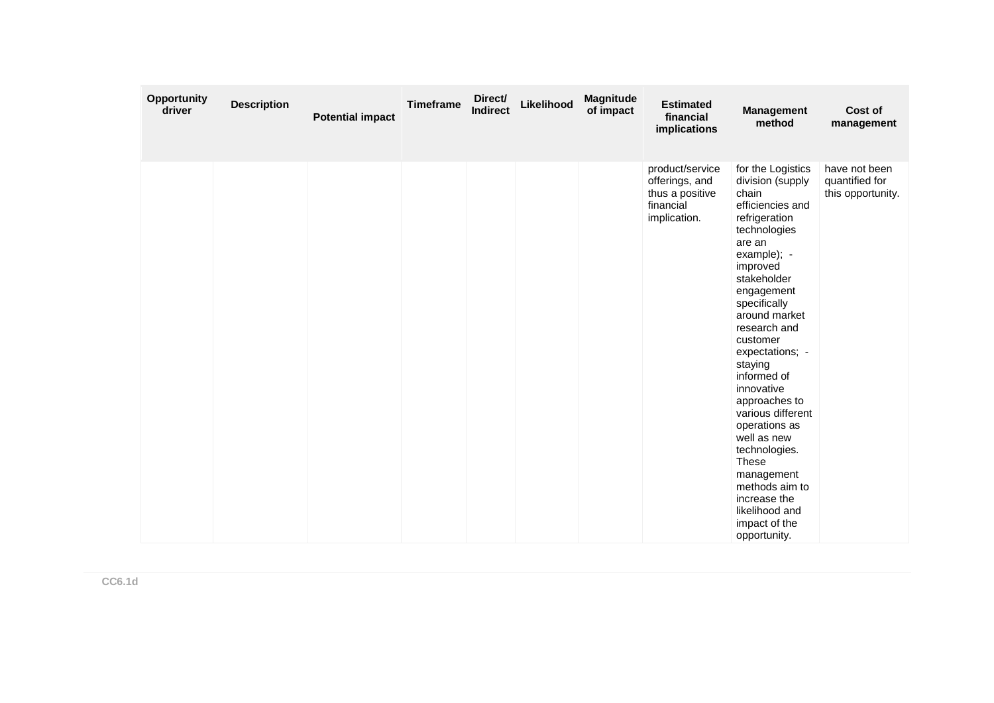| Opportunity<br>driver | <b>Description</b> | <b>Potential impact</b> | <b>Timeframe</b> | Direct/<br><b>Indirect</b> | Likelihood | Magnitude<br>of impact | <b>Estimated</b><br>financial<br>implications                                     | <b>Management</b><br>method                                                                                                                                                                                                                                                                                                                                                                                                                                                                             | Cost of<br>management                                |
|-----------------------|--------------------|-------------------------|------------------|----------------------------|------------|------------------------|-----------------------------------------------------------------------------------|---------------------------------------------------------------------------------------------------------------------------------------------------------------------------------------------------------------------------------------------------------------------------------------------------------------------------------------------------------------------------------------------------------------------------------------------------------------------------------------------------------|------------------------------------------------------|
|                       |                    |                         |                  |                            |            |                        | product/service<br>offerings, and<br>thus a positive<br>financial<br>implication. | for the Logistics<br>division (supply<br>chain<br>efficiencies and<br>refrigeration<br>technologies<br>are an<br>example); -<br>improved<br>stakeholder<br>engagement<br>specifically<br>around market<br>research and<br>customer<br>expectations; -<br>staying<br>informed of<br>innovative<br>approaches to<br>various different<br>operations as<br>well as new<br>technologies.<br><b>These</b><br>management<br>methods aim to<br>increase the<br>likelihood and<br>impact of the<br>opportunity. | have not been<br>quantified for<br>this opportunity. |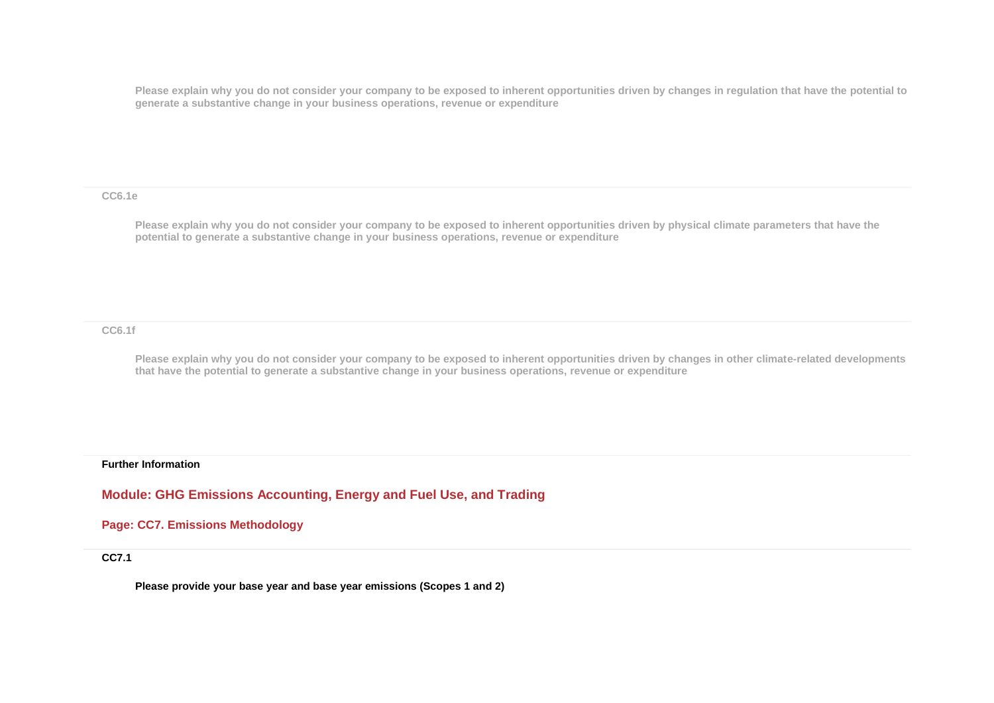**Please explain why you do not consider your company to be exposed to inherent opportunities driven by changes in regulation that have the potential to generate a substantive change in your business operations, revenue or expenditure**

**CC6.1e**

**Please explain why you do not consider your company to be exposed to inherent opportunities driven by physical climate parameters that have the potential to generate a substantive change in your business operations, revenue or expenditure**

**CC6.1f**

**Please explain why you do not consider your company to be exposed to inherent opportunities driven by changes in other climate-related developments that have the potential to generate a substantive change in your business operations, revenue or expenditure**

**Further Information**

**Module: GHG Emissions Accounting, Energy and Fuel Use, and Trading**

**Page: CC7. Emissions Methodology**

**CC7.1**

**Please provide your base year and base year emissions (Scopes 1 and 2)**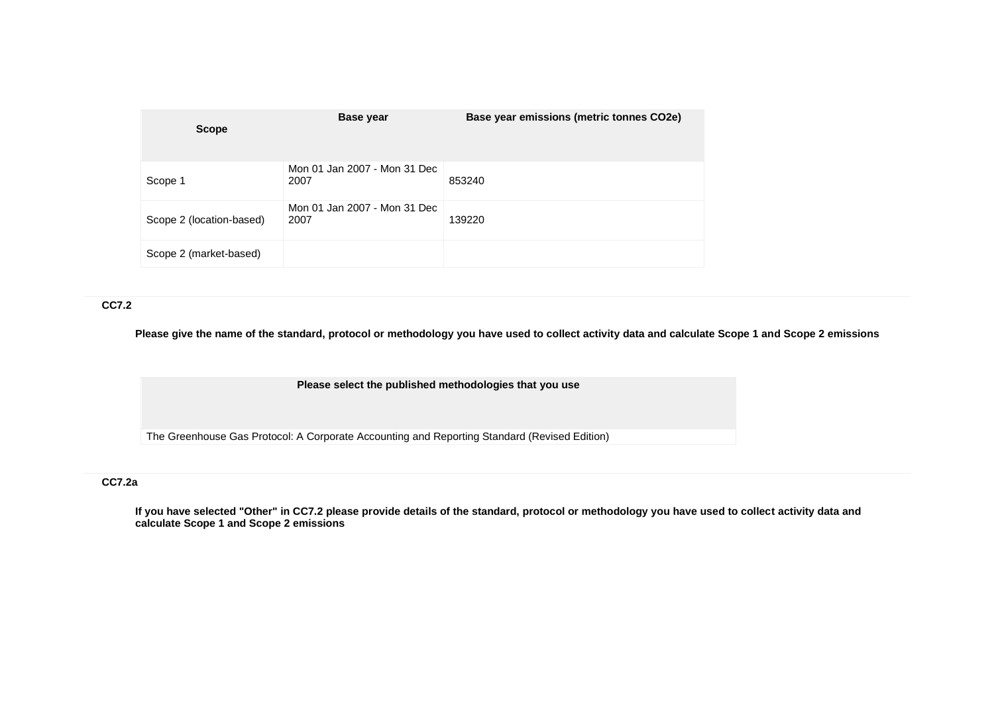| <b>Scope</b>             | Base year                            | Base year emissions (metric tonnes CO2e) |
|--------------------------|--------------------------------------|------------------------------------------|
| Scope 1                  | Mon 01 Jan 2007 - Mon 31 Dec<br>2007 | 853240                                   |
| Scope 2 (location-based) | Mon 01 Jan 2007 - Mon 31 Dec<br>2007 | 139220                                   |
| Scope 2 (market-based)   |                                      |                                          |

#### **CC7.2**

**Please give the name of the standard, protocol or methodology you have used to collect activity data and calculate Scope 1 and Scope 2 emissions** 

**Please select the published methodologies that you use**

The Greenhouse Gas Protocol: A Corporate Accounting and Reporting Standard (Revised Edition)

### **CC7.2a**

**If you have selected "Other" in CC7.2 please provide details of the standard, protocol or methodology you have used to collect activity data and calculate Scope 1 and Scope 2 emissions**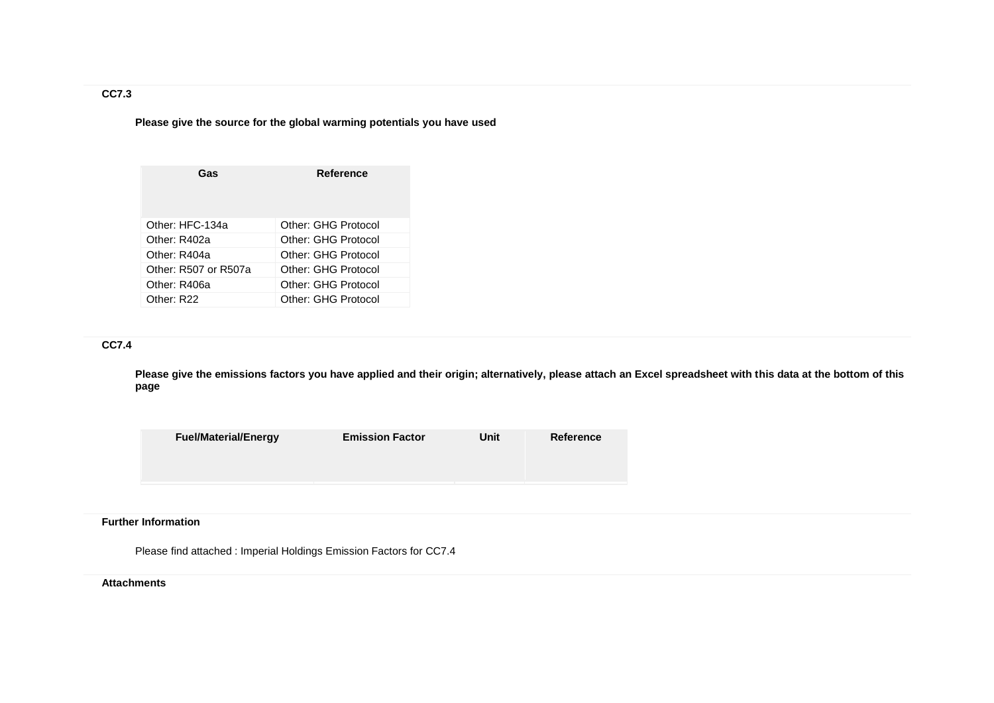## **Please give the source for the global warming potentials you have used**

| Gas                    | Reference           |
|------------------------|---------------------|
| Other: HFC-134a        | Other: GHG Protocol |
| Other: R402a           | Other: GHG Protocol |
| Other: R404a           | Other: GHG Protocol |
| Other: R507 or R507a   | Other: GHG Protocol |
| Other: R406a           | Other: GHG Protocol |
| Other: R <sub>22</sub> | Other: GHG Protocol |

## **CC7.4**

**Please give the emissions factors you have applied and their origin; alternatively, please attach an Excel spreadsheet with this data at the bottom of this page**

| <b>Fuel/Material/Energy</b> | <b>Emission Factor</b> | Unit | Reference |
|-----------------------------|------------------------|------|-----------|
|                             |                        |      |           |
|                             |                        |      |           |

#### **Further Information**

Please find attached : Imperial Holdings Emission Factors for CC7.4

#### **Attachments**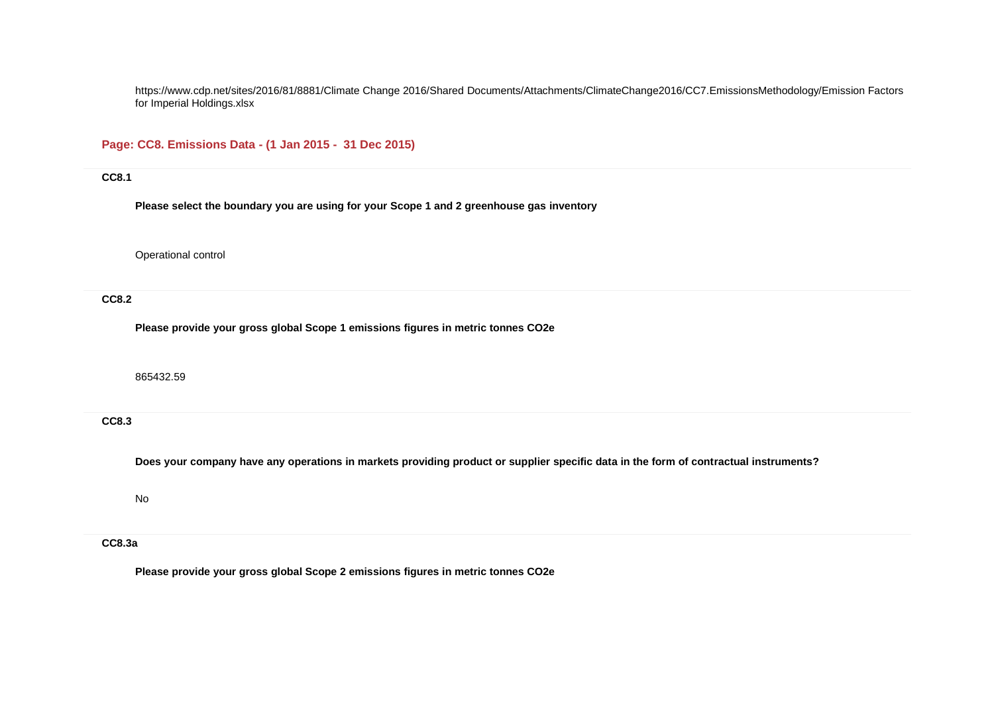https://www.cdp.net/sites/2016/81/8881/Climate Change 2016/Shared Documents/Attachments/ClimateChange2016/CC7.EmissionsMethodology/Emission Factors for Imperial Holdings.xlsx

### **Page: CC8. Emissions Data - (1 Jan 2015 - 31 Dec 2015)**

#### **CC8.1**

**Please select the boundary you are using for your Scope 1 and 2 greenhouse gas inventory**

Operational control

**CC8.2**

**Please provide your gross global Scope 1 emissions figures in metric tonnes CO2e**

865432.59

**CC8.3**

**Does your company have any operations in markets providing product or supplier specific data in the form of contractual instruments?**

No

## **CC8.3a**

**Please provide your gross global Scope 2 emissions figures in metric tonnes CO2e**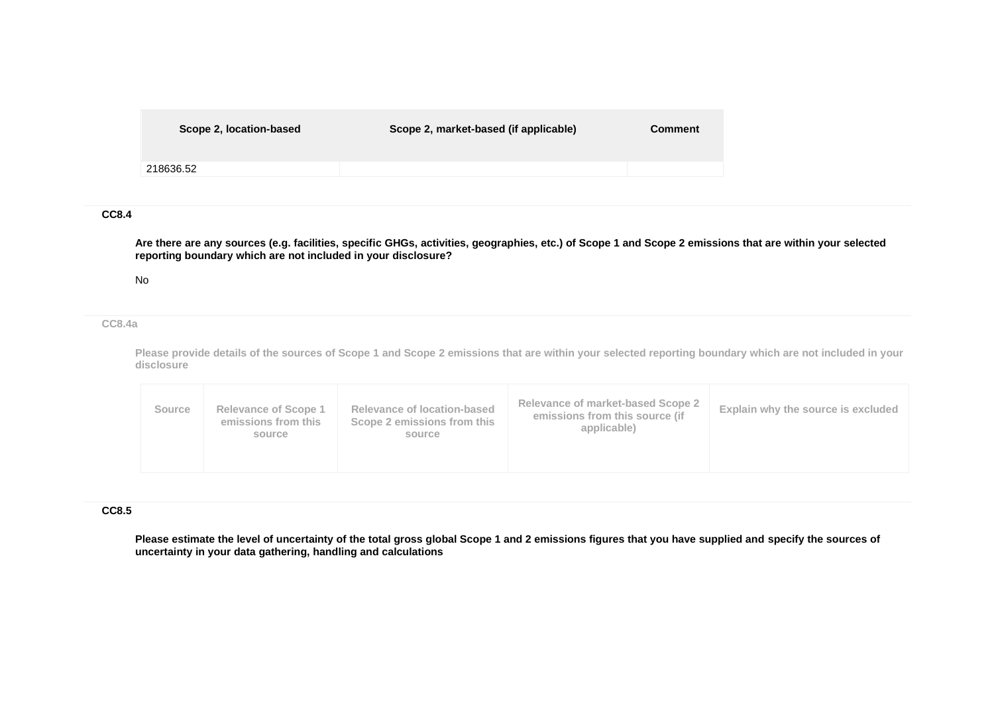| Scope 2, location-based | Scope 2, market-based (if applicable) | <b>Comment</b> |
|-------------------------|---------------------------------------|----------------|
| 218636.52               |                                       |                |
|                         |                                       |                |

### **CC8.4**

**Are there are any sources (e.g. facilities, specific GHGs, activities, geographies, etc.) of Scope 1 and Scope 2 emissions that are within your selected reporting boundary which are not included in your disclosure?**

#### No

#### **CC8.4a**

**Please provide details of the sources of Scope 1 and Scope 2 emissions that are within your selected reporting boundary which are not included in your disclosure**

|  | <b>Source</b> | <b>Relevance of Scope 1</b><br>emissions from this<br>source | Relevance of location-based<br>Scope 2 emissions from this<br>source | Relevance of market-based Scope 2<br>emissions from this source (if<br>applicable) | Explain why the source is excluded |
|--|---------------|--------------------------------------------------------------|----------------------------------------------------------------------|------------------------------------------------------------------------------------|------------------------------------|
|--|---------------|--------------------------------------------------------------|----------------------------------------------------------------------|------------------------------------------------------------------------------------|------------------------------------|

#### **CC8.5**

**Please estimate the level of uncertainty of the total gross global Scope 1 and 2 emissions figures that you have supplied and specify the sources of uncertainty in your data gathering, handling and calculations**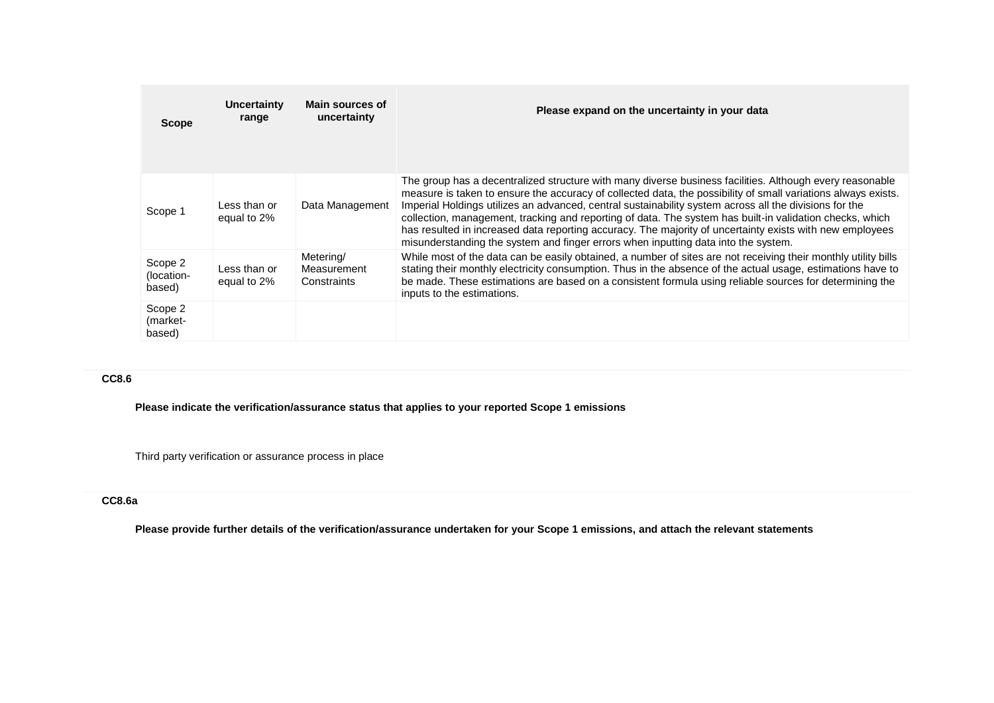| <b>Scope</b>                    | Uncertainty<br>range        | Main sources of<br>uncertainty          | Please expand on the uncertainty in your data                                                                                                                                                                                                                                                                                                                                                                                                                                                                                                                                                                                                     |
|---------------------------------|-----------------------------|-----------------------------------------|---------------------------------------------------------------------------------------------------------------------------------------------------------------------------------------------------------------------------------------------------------------------------------------------------------------------------------------------------------------------------------------------------------------------------------------------------------------------------------------------------------------------------------------------------------------------------------------------------------------------------------------------------|
| Scope 1                         | Less than or<br>equal to 2% | Data Management                         | The group has a decentralized structure with many diverse business facilities. Although every reasonable<br>measure is taken to ensure the accuracy of collected data, the possibility of small variations always exists.<br>Imperial Holdings utilizes an advanced, central sustainability system across all the divisions for the<br>collection, management, tracking and reporting of data. The system has built-in validation checks, which<br>has resulted in increased data reporting accuracy. The majority of uncertainty exists with new employees<br>misunderstanding the system and finger errors when inputting data into the system. |
| Scope 2<br>(location-<br>based) | Less than or<br>equal to 2% | Metering/<br>Measurement<br>Constraints | While most of the data can be easily obtained, a number of sites are not receiving their monthly utility bills<br>stating their monthly electricity consumption. Thus in the absence of the actual usage, estimations have to<br>be made. These estimations are based on a consistent formula using reliable sources for determining the<br>inputs to the estimations.                                                                                                                                                                                                                                                                            |
| Scope 2<br>(market-<br>based)   |                             |                                         |                                                                                                                                                                                                                                                                                                                                                                                                                                                                                                                                                                                                                                                   |

### **CC8.6**

**Please indicate the verification/assurance status that applies to your reported Scope 1 emissions**

Third party verification or assurance process in place

## **CC8.6a**

**Please provide further details of the verification/assurance undertaken for your Scope 1 emissions, and attach the relevant statements**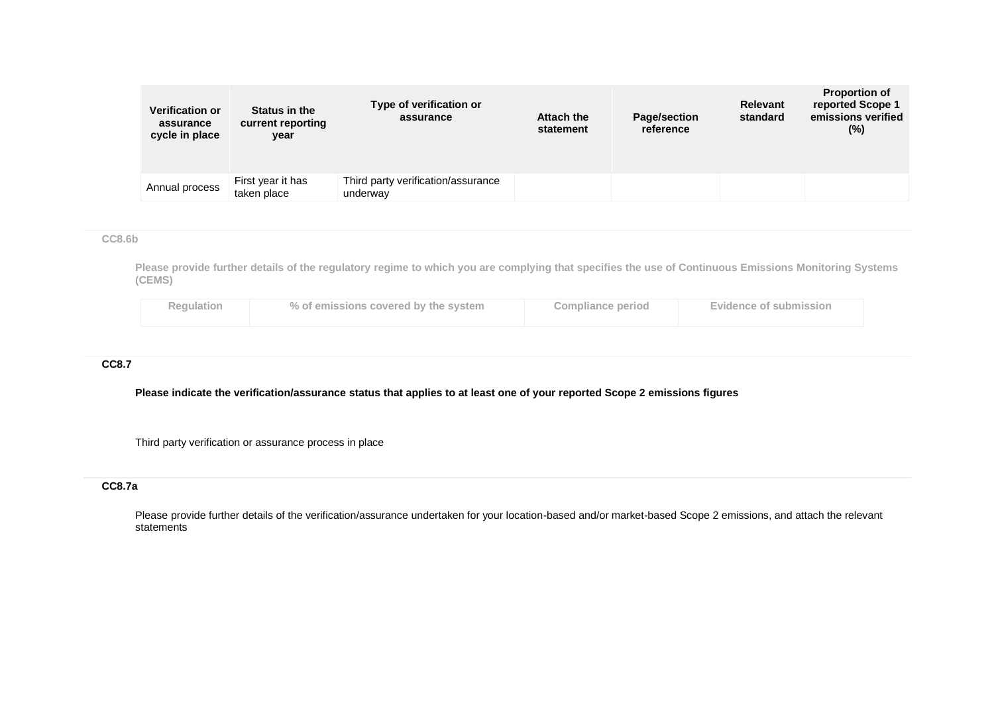| <b>Verification or</b><br>assurance<br>cycle in place | Status in the<br>current reporting<br>year | Type of verification or<br>assurance           | <b>Attach the</b><br>statement | <b>Page/section</b><br>reference | Relevant<br>standard | <b>Proportion of</b><br>reported Scope 1<br>emissions verified<br>$(\%)$ |
|-------------------------------------------------------|--------------------------------------------|------------------------------------------------|--------------------------------|----------------------------------|----------------------|--------------------------------------------------------------------------|
| Annual process                                        | First year it has<br>taken place           | Third party verification/assurance<br>underway |                                |                                  |                      |                                                                          |

## **CC8.6b**

**Please provide further details of the regulatory regime to which you are complying that specifies the use of Continuous Emissions Monitoring Systems (CEMS)**

| Regulation | % of emissions covered by the system | <b>Compliance period</b> | Evidence of submission |
|------------|--------------------------------------|--------------------------|------------------------|
|            |                                      |                          |                        |

# **CC8.7**

**Please indicate the verification/assurance status that applies to at least one of your reported Scope 2 emissions figures**

Third party verification or assurance process in place

# **CC8.7a**

Please provide further details of the verification/assurance undertaken for your location-based and/or market-based Scope 2 emissions, and attach the relevant statements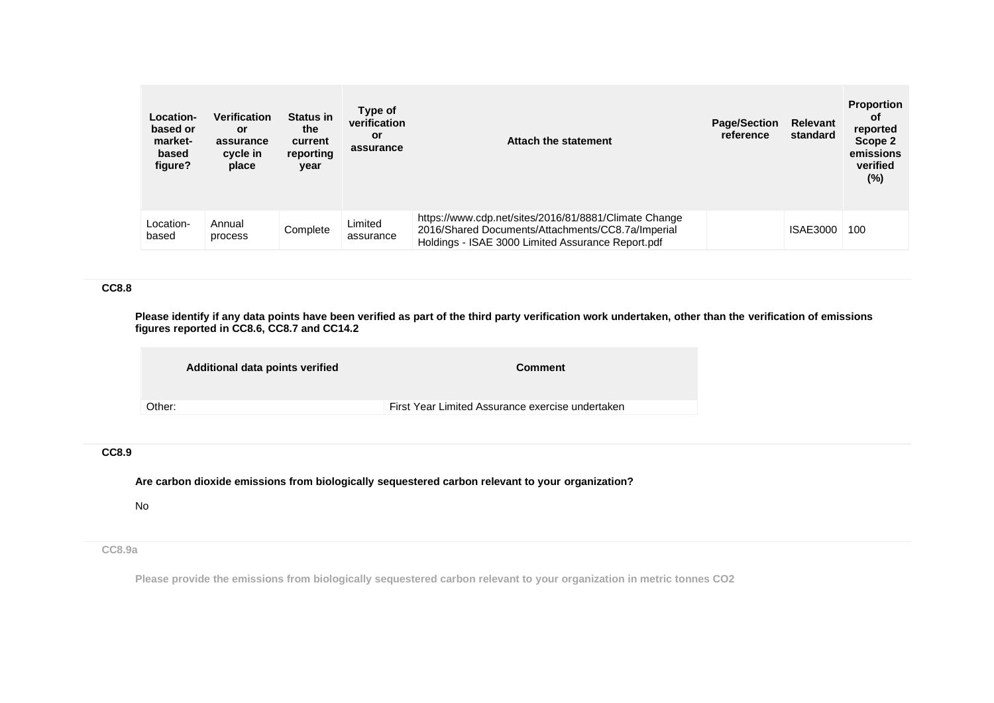| Location-<br>based or<br>market-<br>based<br>figure? | <b>Verification</b><br>or<br>assurance<br>cycle in<br>place | <b>Status in</b><br>the<br>current<br>reporting<br>year | Type of<br>verification<br>or<br>assurance | Attach the statement                                                                                                                                            | <b>Page/Section</b><br>reference | <b>Relevant</b><br>standard | <b>Proportion</b><br>0f<br>reported<br>Scope 2<br>emissions<br>verified<br>(%) |
|------------------------------------------------------|-------------------------------------------------------------|---------------------------------------------------------|--------------------------------------------|-----------------------------------------------------------------------------------------------------------------------------------------------------------------|----------------------------------|-----------------------------|--------------------------------------------------------------------------------|
| Location-<br>based                                   | Annual<br>process                                           | Complete                                                | Limited<br>assurance                       | https://www.cdp.net/sites/2016/81/8881/Climate Change<br>2016/Shared Documents/Attachments/CC8.7a/Imperial<br>Holdings - ISAE 3000 Limited Assurance Report.pdf |                                  | <b>ISAE3000</b>             | 100                                                                            |

### **CC8.8**

**Please identify if any data points have been verified as part of the third party verification work undertaken, other than the verification of emissions figures reported in CC8.6, CC8.7 and CC14.2**

|        | Additional data points verified | <b>Comment</b>                                   |
|--------|---------------------------------|--------------------------------------------------|
| Other: |                                 | First Year Limited Assurance exercise undertaken |
|        |                                 |                                                  |

## **CC8.9**

**Are carbon dioxide emissions from biologically sequestered carbon relevant to your organization?**

No

# **CC8.9a**

**Please provide the emissions from biologically sequestered carbon relevant to your organization in metric tonnes CO2**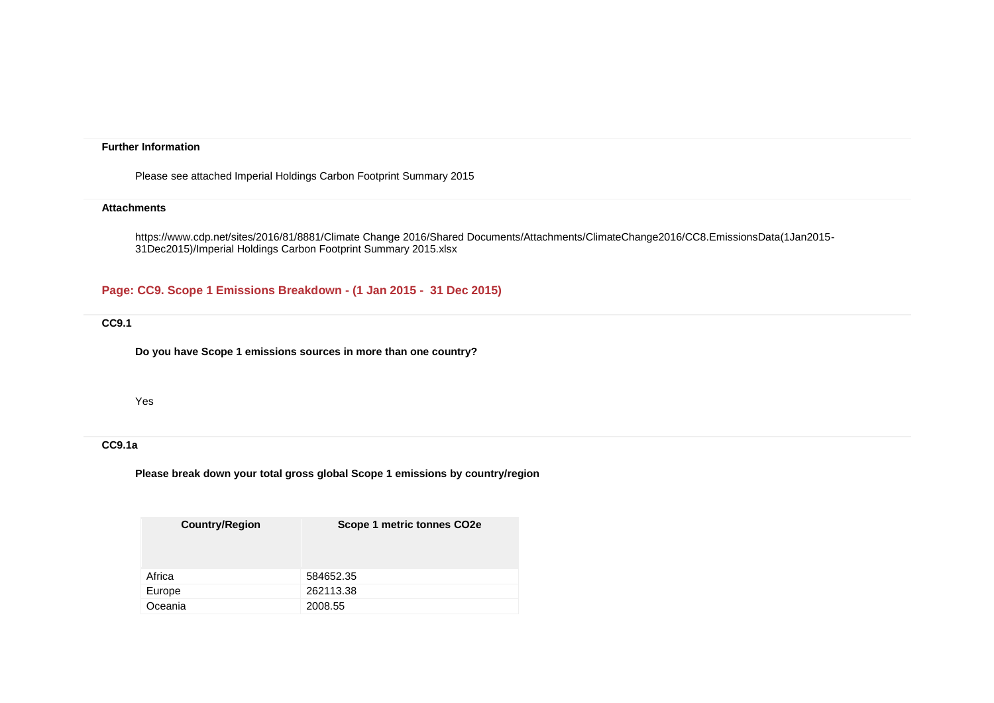#### **Further Information**

Please see attached Imperial Holdings Carbon Footprint Summary 2015

#### **Attachments**

https://www.cdp.net/sites/2016/81/8881/Climate Change 2016/Shared Documents/Attachments/ClimateChange2016/CC8.EmissionsData(1Jan2015- 31Dec2015)/Imperial Holdings Carbon Footprint Summary 2015.xlsx

**Page: CC9. Scope 1 Emissions Breakdown - (1 Jan 2015 - 31 Dec 2015)**

## **CC9.1**

**Do you have Scope 1 emissions sources in more than one country?**

## Yes

#### **CC9.1a**

**Please break down your total gross global Scope 1 emissions by country/region**

| <b>Country/Region</b> | Scope 1 metric tonnes CO2e |
|-----------------------|----------------------------|
| Africa                | 584652.35                  |
| Europe                | 262113.38                  |
| Oceania               | 2008.55                    |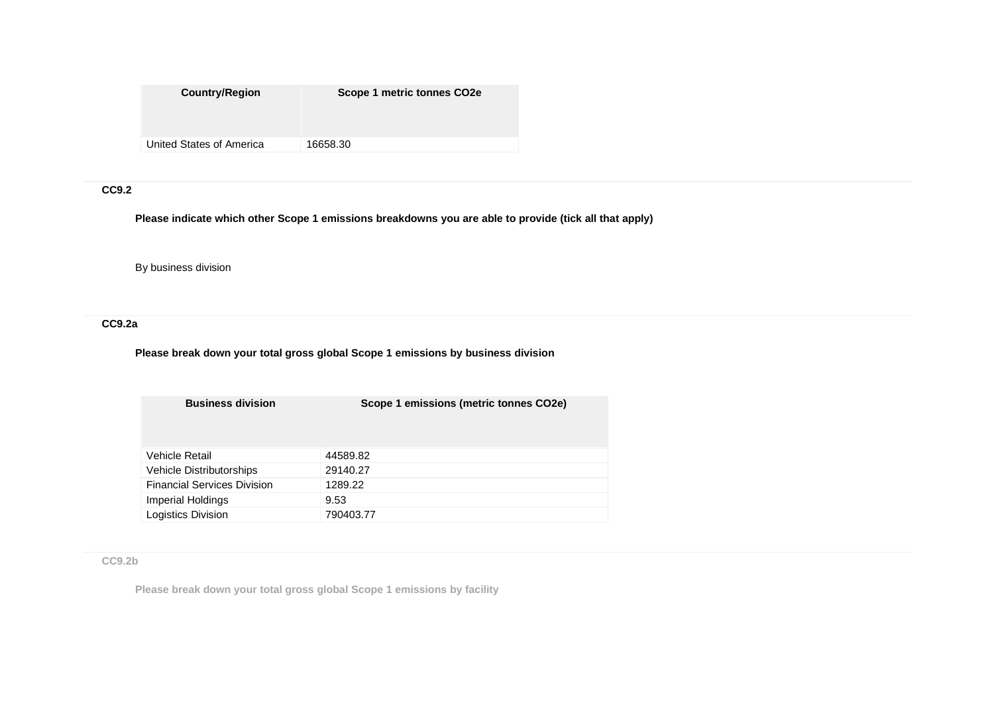| <b>Country/Region</b>    | Scope 1 metric tonnes CO <sub>2e</sub> |
|--------------------------|----------------------------------------|
|                          |                                        |
| United States of America | 16658.30                               |

## **CC9.2**

**Please indicate which other Scope 1 emissions breakdowns you are able to provide (tick all that apply)**

By business division

**CC9.2a**

**Please break down your total gross global Scope 1 emissions by business division**

| <b>Business division</b>           | Scope 1 emissions (metric tonnes CO2e) |
|------------------------------------|----------------------------------------|
| Vehicle Retail                     | 44589.82                               |
| <b>Vehicle Distributorships</b>    | 29140.27                               |
| <b>Financial Services Division</b> | 1289.22                                |
| Imperial Holdings                  | 9.53                                   |
| <b>Logistics Division</b>          | 790403.77                              |

**CC9.2b**

**Please break down your total gross global Scope 1 emissions by facility**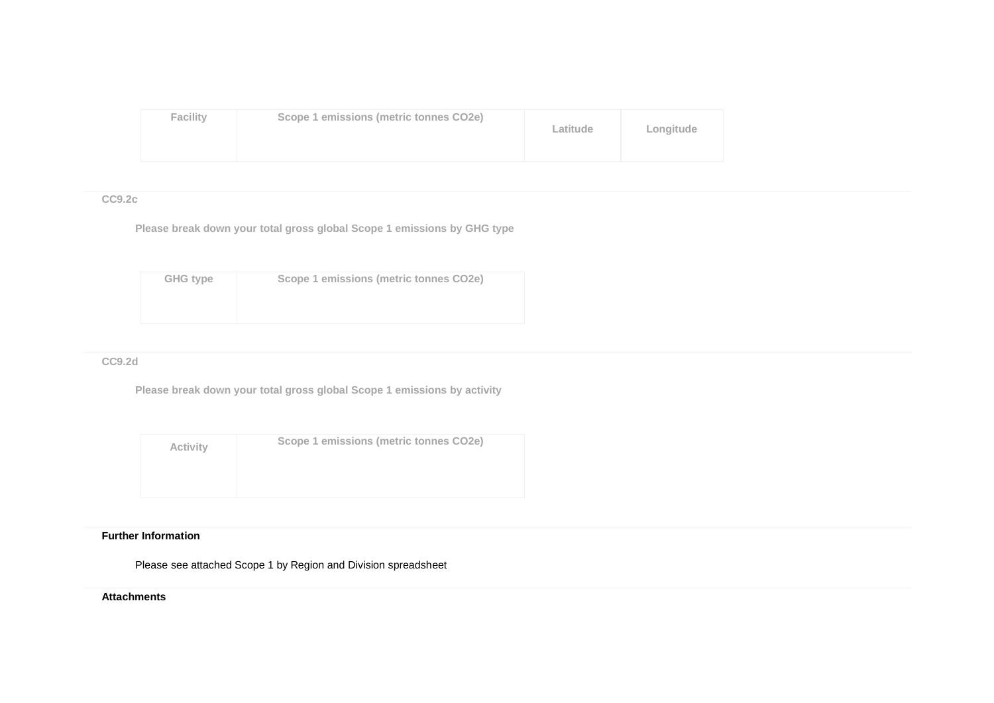| <b>Facility</b> | Scope 1 emissions (metric tonnes CO2e) | Latitude | Longitude |
|-----------------|----------------------------------------|----------|-----------|
|-----------------|----------------------------------------|----------|-----------|

## **CC9.2c**

**Please break down your total gross global Scope 1 emissions by GHG type**

| <b>GHG type</b> | Scope 1 emissions (metric tonnes CO2e) |
|-----------------|----------------------------------------|
|                 |                                        |
|                 |                                        |

#### **CC9.2d**

**Please break down your total gross global Scope 1 emissions by activity**

| <b>Activity</b> | Scope 1 emissions (metric tonnes CO2e) |
|-----------------|----------------------------------------|
|                 |                                        |
|                 |                                        |

### **Further Information**

Please see attached Scope 1 by Region and Division spreadsheet

### **Attachments**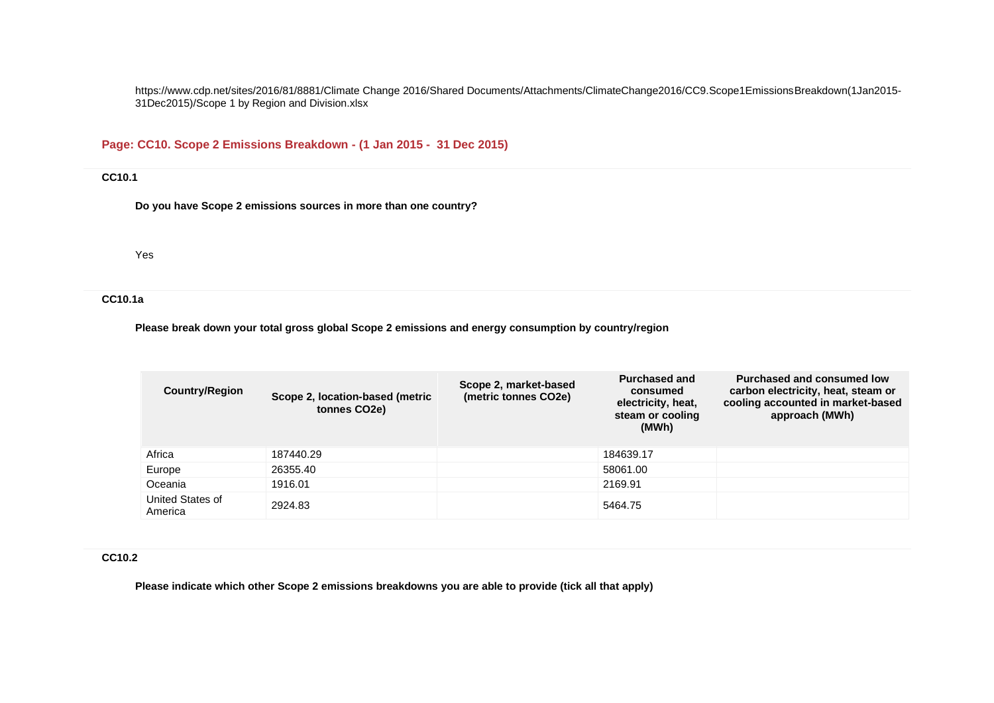https://www.cdp.net/sites/2016/81/8881/Climate Change 2016/Shared Documents/Attachments/ClimateChange2016/CC9.Scope1EmissionsBreakdown(1Jan2015- 31Dec2015)/Scope 1 by Region and Division.xlsx

# **Page: CC10. Scope 2 Emissions Breakdown - (1 Jan 2015 - 31 Dec 2015)**

## **CC10.1**

**Do you have Scope 2 emissions sources in more than one country?**

Yes

## **CC10.1a**

**Please break down your total gross global Scope 2 emissions and energy consumption by country/region**

| <b>Country/Region</b>       | Scope 2, location-based (metric<br>tonnes CO <sub>2</sub> e) | Scope 2, market-based<br>(metric tonnes CO2e) | <b>Purchased and</b><br>consumed<br>electricity, heat,<br>steam or cooling<br>(MWh) | <b>Purchased and consumed low</b><br>carbon electricity, heat, steam or<br>cooling accounted in market-based<br>approach (MWh) |
|-----------------------------|--------------------------------------------------------------|-----------------------------------------------|-------------------------------------------------------------------------------------|--------------------------------------------------------------------------------------------------------------------------------|
| Africa                      | 187440.29                                                    |                                               | 184639.17                                                                           |                                                                                                                                |
| Europe                      | 26355.40                                                     |                                               | 58061.00                                                                            |                                                                                                                                |
| Oceania                     | 1916.01                                                      |                                               | 2169.91                                                                             |                                                                                                                                |
| United States of<br>America | 2924.83                                                      |                                               | 5464.75                                                                             |                                                                                                                                |

#### **CC10.2**

**Please indicate which other Scope 2 emissions breakdowns you are able to provide (tick all that apply)**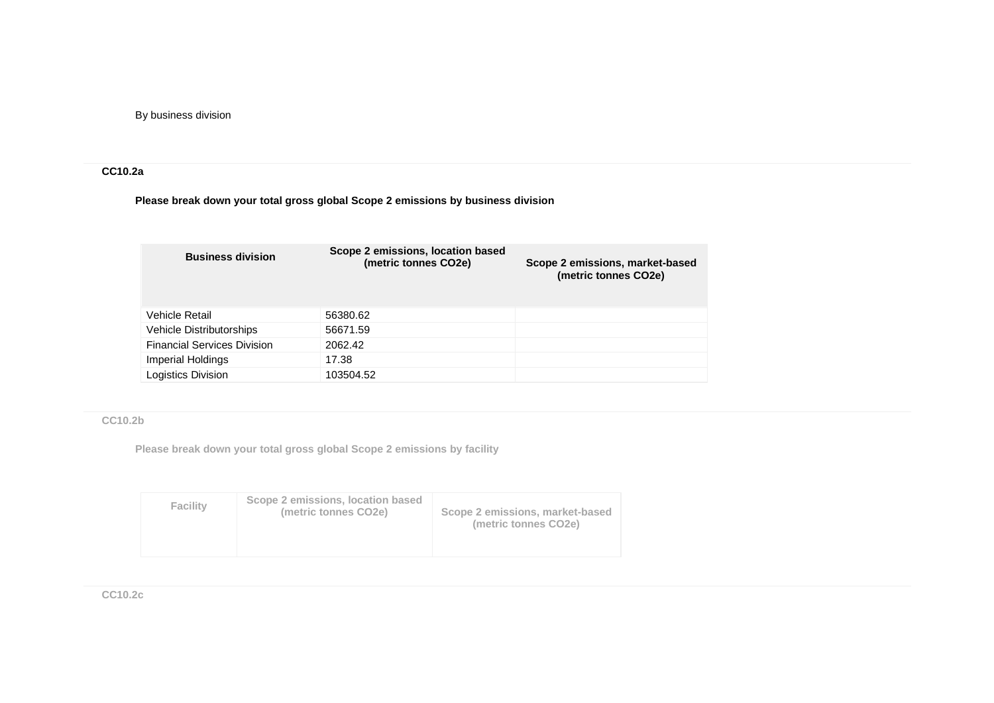By business division

## **CC10.2a**

**Please break down your total gross global Scope 2 emissions by business division**

| <b>Business division</b>           | Scope 2 emissions, location based<br>(metric tonnes CO2e) | Scope 2 emissions, market-based<br>(metric tonnes CO2e) |
|------------------------------------|-----------------------------------------------------------|---------------------------------------------------------|
| Vehicle Retail                     | 56380.62                                                  |                                                         |
| <b>Vehicle Distributorships</b>    | 56671.59                                                  |                                                         |
| <b>Financial Services Division</b> | 2062.42                                                   |                                                         |
| Imperial Holdings                  | 17.38                                                     |                                                         |
| Logistics Division                 | 103504.52                                                 |                                                         |

**CC10.2b**

**Please break down your total gross global Scope 2 emissions by facility**

| Scope 2 emissions, location based<br><b>Facility</b><br>(metric tonnes CO2e) | Scope 2 emissions, market-based<br>(metric tonnes CO <sub>2e</sub> ) |
|------------------------------------------------------------------------------|----------------------------------------------------------------------|
|------------------------------------------------------------------------------|----------------------------------------------------------------------|

**CC10.2c**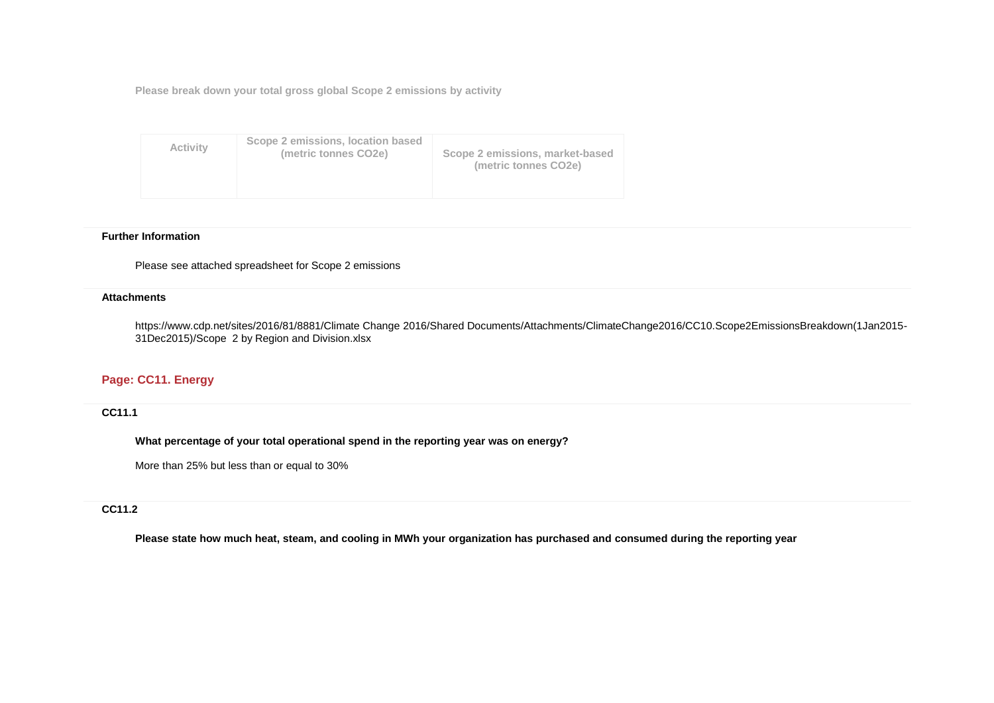**Please break down your total gross global Scope 2 emissions by activity**

| <b>Activity</b> | Scope 2 emissions, location based<br>(metric tonnes CO2e) | Scope 2 emissions, market-based<br>(metric tonnes CO2e) |
|-----------------|-----------------------------------------------------------|---------------------------------------------------------|
|-----------------|-----------------------------------------------------------|---------------------------------------------------------|

#### **Further Information**

Please see attached spreadsheet for Scope 2 emissions

#### **Attachments**

https://www.cdp.net/sites/2016/81/8881/Climate Change 2016/Shared Documents/Attachments/ClimateChange2016/CC10.Scope2EmissionsBreakdown(1Jan2015- 31Dec2015)/Scope 2 by Region and Division.xlsx

## **Page: CC11. Energy**

**CC11.1**

**What percentage of your total operational spend in the reporting year was on energy?**

More than 25% but less than or equal to 30%

## **CC11.2**

**Please state how much heat, steam, and cooling in MWh your organization has purchased and consumed during the reporting year**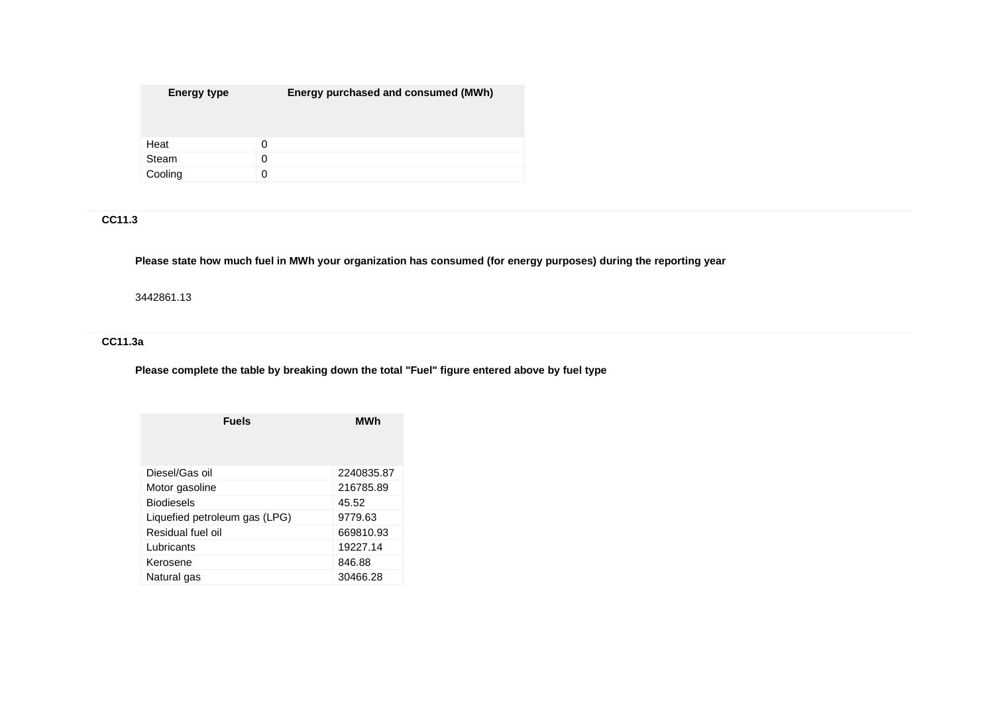| <b>Energy type</b> | Energy purchased and consumed (MWh) |
|--------------------|-------------------------------------|
| Heat               | 0                                   |
| Steam              | 0                                   |
| Cooling            |                                     |

# **CC11.3**

## **Please state how much fuel in MWh your organization has consumed (for energy purposes) during the reporting year**

#### 3442861.13

# **CC11.3a**

# **Please complete the table by breaking down the total "Fuel" figure entered above by fuel type**

| <b>Fuels</b>                  | MWh        |  |
|-------------------------------|------------|--|
| Diesel/Gas oil                | 2240835.87 |  |
| Motor gasoline                | 216785.89  |  |
| <b>Biodiesels</b>             | 45.52      |  |
| Liquefied petroleum gas (LPG) | 9779.63    |  |
| Residual fuel oil             | 669810.93  |  |
| Lubricants                    | 19227.14   |  |
| Kerosene                      | 846.88     |  |
| Natural gas                   | 30466.28   |  |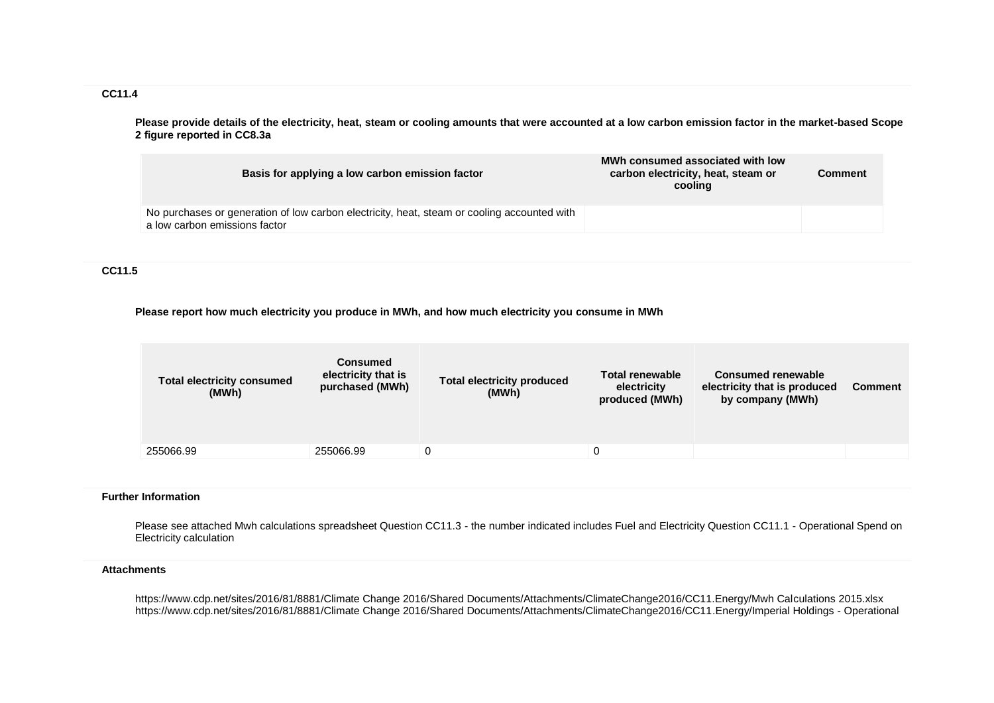**CC11.4**

**Please provide details of the electricity, heat, steam or cooling amounts that were accounted at a low carbon emission factor in the market-based Scope 2 figure reported in CC8.3a**

| Basis for applying a low carbon emission factor                                                                              | MWh consumed associated with low<br>carbon electricity, heat, steam or<br>cooling | Comment |
|------------------------------------------------------------------------------------------------------------------------------|-----------------------------------------------------------------------------------|---------|
| No purchases or generation of low carbon electricity, heat, steam or cooling accounted with<br>a low carbon emissions factor |                                                                                   |         |

**CC11.5**

#### **Please report how much electricity you produce in MWh, and how much electricity you consume in MWh**

| by company (MWh)<br>produced (MWh) | (MWh) |  |
|------------------------------------|-------|--|
| 255066.99<br>255066.99             |       |  |

#### **Further Information**

Please see attached Mwh calculations spreadsheet Question CC11.3 - the number indicated includes Fuel and Electricity Question CC11.1 - Operational Spend on Electricity calculation

#### **Attachments**

https://www.cdp.net/sites/2016/81/8881/Climate Change 2016/Shared Documents/Attachments/ClimateChange2016/CC11.Energy/Mwh Calculations 2015.xlsx https://www.cdp.net/sites/2016/81/8881/Climate Change 2016/Shared Documents/Attachments/ClimateChange2016/CC11.Energy/Imperial Holdings - Operational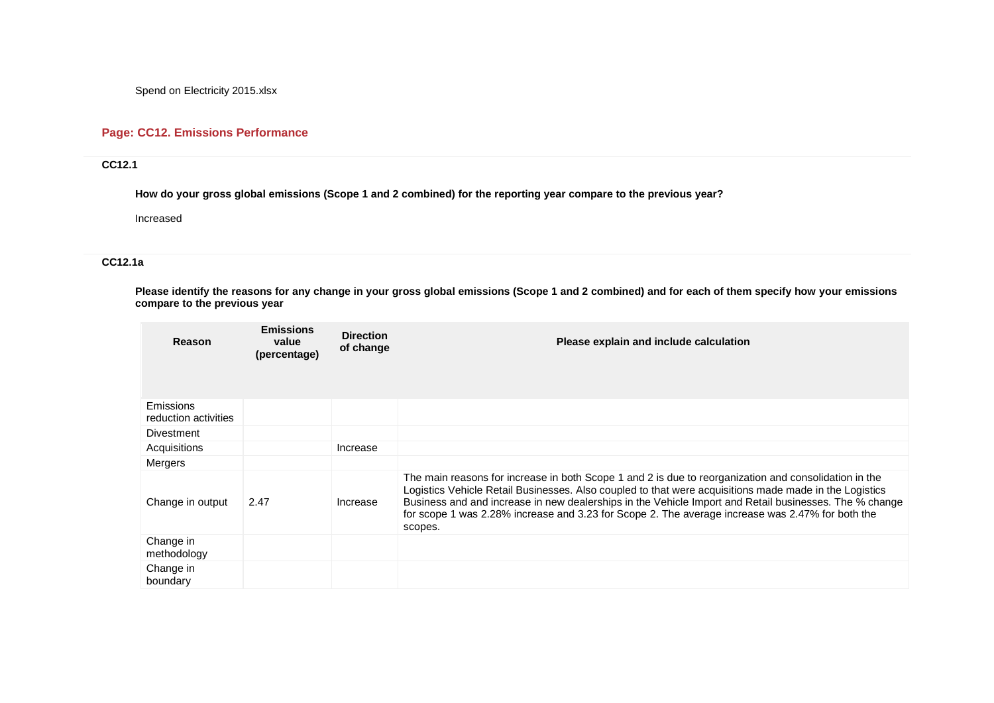Spend on Electricity 2015.xlsx

# **Page: CC12. Emissions Performance**

# **CC12.1**

**How do your gross global emissions (Scope 1 and 2 combined) for the reporting year compare to the previous year?**

Increased

## **CC12.1a**

**Please identify the reasons for any change in your gross global emissions (Scope 1 and 2 combined) and for each of them specify how your emissions compare to the previous year**

| Reason                                   | <b>Emissions</b><br>value<br>(percentage) | <b>Direction</b><br>of change | Please explain and include calculation                                                                                                                                                                                                                                                                                                                                                                                                   |
|------------------------------------------|-------------------------------------------|-------------------------------|------------------------------------------------------------------------------------------------------------------------------------------------------------------------------------------------------------------------------------------------------------------------------------------------------------------------------------------------------------------------------------------------------------------------------------------|
| <b>Emissions</b><br>reduction activities |                                           |                               |                                                                                                                                                                                                                                                                                                                                                                                                                                          |
| Divestment                               |                                           |                               |                                                                                                                                                                                                                                                                                                                                                                                                                                          |
| Acquisitions                             |                                           | Increase                      |                                                                                                                                                                                                                                                                                                                                                                                                                                          |
| <b>Mergers</b>                           |                                           |                               |                                                                                                                                                                                                                                                                                                                                                                                                                                          |
| Change in output                         | 2.47                                      | Increase                      | The main reasons for increase in both Scope 1 and 2 is due to reorganization and consolidation in the<br>Logistics Vehicle Retail Businesses. Also coupled to that were acquisitions made made in the Logistics<br>Business and and increase in new dealerships in the Vehicle Import and Retail businesses. The % change<br>for scope 1 was 2.28% increase and 3.23 for Scope 2. The average increase was 2.47% for both the<br>scopes. |
| Change in<br>methodology                 |                                           |                               |                                                                                                                                                                                                                                                                                                                                                                                                                                          |
| Change in<br>boundary                    |                                           |                               |                                                                                                                                                                                                                                                                                                                                                                                                                                          |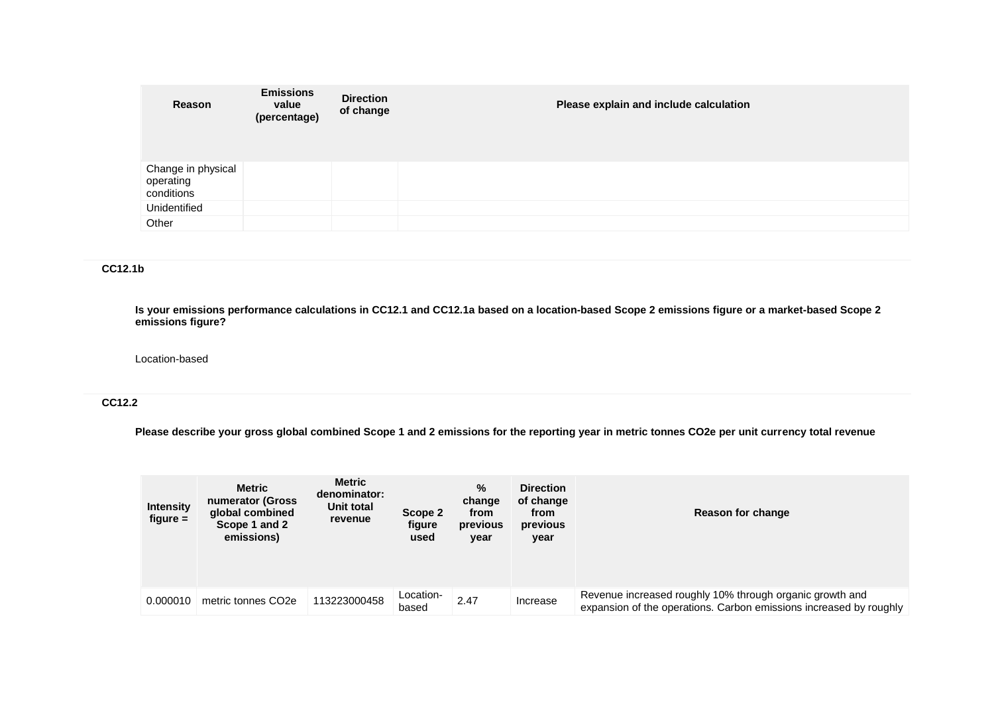| Reason                                        | <b>Emissions</b><br>value<br>(percentage) | <b>Direction</b><br>of change | Please explain and include calculation |
|-----------------------------------------------|-------------------------------------------|-------------------------------|----------------------------------------|
| Change in physical<br>operating<br>conditions |                                           |                               |                                        |
| Unidentified                                  |                                           |                               |                                        |
| Other                                         |                                           |                               |                                        |

# **CC12.1b**

**Is your emissions performance calculations in CC12.1 and CC12.1a based on a location-based Scope 2 emissions figure or a market-based Scope 2 emissions figure?**

#### Location-based

## **CC12.2**

**Please describe your gross global combined Scope 1 and 2 emissions for the reporting year in metric tonnes CO2e per unit currency total revenue**

| <b>Intensity</b><br>$figure =$ | <b>Metric</b><br>numerator (Gross<br>global combined<br>Scope 1 and 2<br>emissions) | <b>Metric</b><br>denominator:<br>Unit total<br>revenue | Scope 2<br>figure<br>used | %<br>change<br>from<br>previous<br>year | <b>Direction</b><br>of change<br>from<br>previous<br>year | Reason for change                                                                                                              |
|--------------------------------|-------------------------------------------------------------------------------------|--------------------------------------------------------|---------------------------|-----------------------------------------|-----------------------------------------------------------|--------------------------------------------------------------------------------------------------------------------------------|
| 0.000010                       | metric tonnes CO <sub>2e</sub>                                                      | 113223000458                                           | Location-<br>based        | 2.47                                    | Increase                                                  | Revenue increased roughly 10% through organic growth and<br>expansion of the operations. Carbon emissions increased by roughly |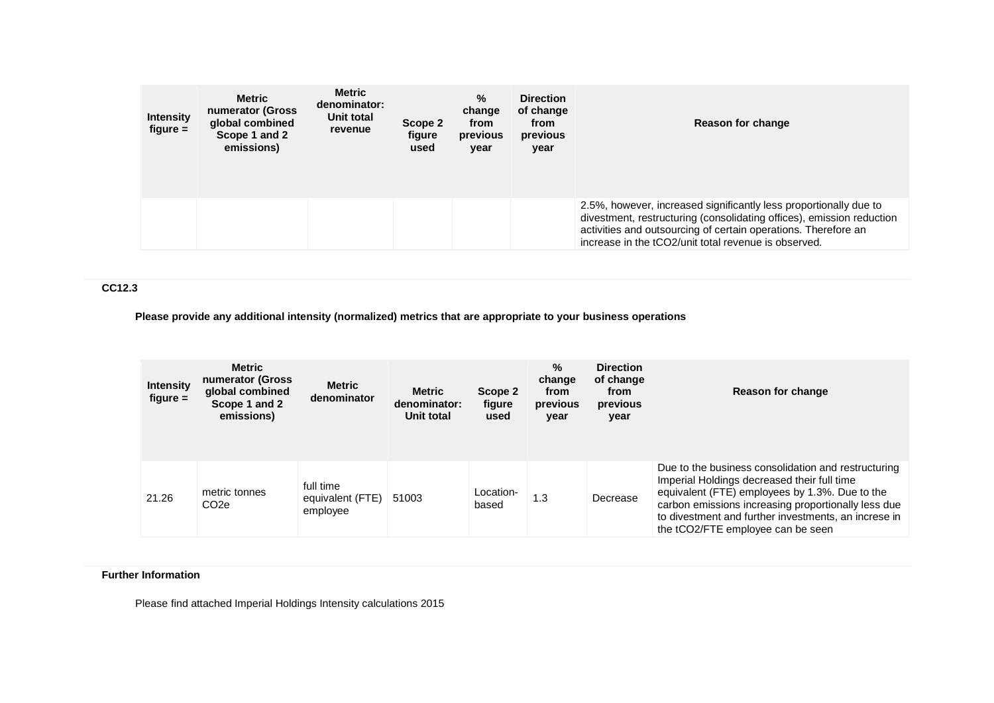| <b>Intensity</b><br>$figure =$ | Metric<br>numerator (Gross<br>global combined<br>Scope 1 and 2<br>emissions) | <b>Metric</b><br>denominator:<br>Unit total<br>revenue | Scope 2<br>figure<br>used | $\%$<br>change<br>from<br>previous<br>year | <b>Direction</b><br>of change<br>from<br>previous<br>year | Reason for change                                                                                                                                                                                                                                                    |
|--------------------------------|------------------------------------------------------------------------------|--------------------------------------------------------|---------------------------|--------------------------------------------|-----------------------------------------------------------|----------------------------------------------------------------------------------------------------------------------------------------------------------------------------------------------------------------------------------------------------------------------|
|                                |                                                                              |                                                        |                           |                                            |                                                           | 2.5%, however, increased significantly less proportionally due to<br>divestment, restructuring (consolidating offices), emission reduction<br>activities and outsourcing of certain operations. Therefore an<br>increase in the tCO2/unit total revenue is observed. |

## **CC12.3**

**Please provide any additional intensity (normalized) metrics that are appropriate to your business operations**

| <b>Intensity</b><br>$figure =$ | <b>Metric</b><br>numerator (Gross<br>global combined<br>Scope 1 and 2<br>emissions) | <b>Metric</b><br>denominator              | <b>Metric</b><br>denominator:<br>Unit total | Scope 2<br>figure<br>used | %<br>change<br>from<br>previous<br>year | <b>Direction</b><br>of change<br>from<br>previous<br>year | Reason for change                                                                                                                                                                                                                                                                                        |
|--------------------------------|-------------------------------------------------------------------------------------|-------------------------------------------|---------------------------------------------|---------------------------|-----------------------------------------|-----------------------------------------------------------|----------------------------------------------------------------------------------------------------------------------------------------------------------------------------------------------------------------------------------------------------------------------------------------------------------|
| 21.26                          | metric tonnes<br>CO <sub>2</sub> e                                                  | full time<br>equivalent (FTE)<br>employee | 51003                                       | Location-<br>based        | 1.3                                     | Decrease                                                  | Due to the business consolidation and restructuring<br>Imperial Holdings decreased their full time<br>equivalent (FTE) employees by 1.3%. Due to the<br>carbon emissions increasing proportionally less due<br>to divestment and further investments, an increse in<br>the tCO2/FTE employee can be seen |

## **Further Information**

Please find attached Imperial Holdings Intensity calculations 2015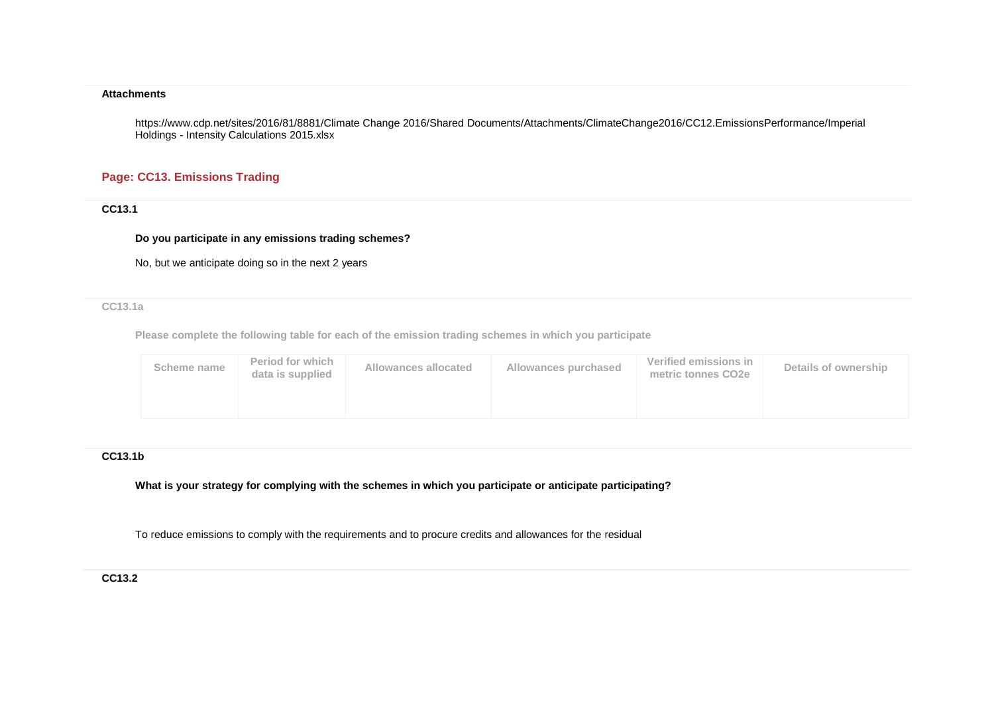#### **Attachments**

https://www.cdp.net/sites/2016/81/8881/Climate Change 2016/Shared Documents/Attachments/ClimateChange2016/CC12.EmissionsPerformance/Imperial Holdings - Intensity Calculations 2015.xlsx

# **Page: CC13. Emissions Trading**

**CC13.1**

#### **Do you participate in any emissions trading schemes?**

No, but we anticipate doing so in the next 2 years

**CC13.1a**

**Please complete the following table for each of the emission trading schemes in which you participate**

| Scheme name | Period for which<br>data is supplied | Allowances allocated | Allowances purchased | Verified emissions in<br>metric tonnes CO2e | Details of ownership |
|-------------|--------------------------------------|----------------------|----------------------|---------------------------------------------|----------------------|
|             |                                      |                      |                      |                                             |                      |

### **CC13.1b**

**What is your strategy for complying with the schemes in which you participate or anticipate participating?**

To reduce emissions to comply with the requirements and to procure credits and allowances for the residual

#### **CC13.2**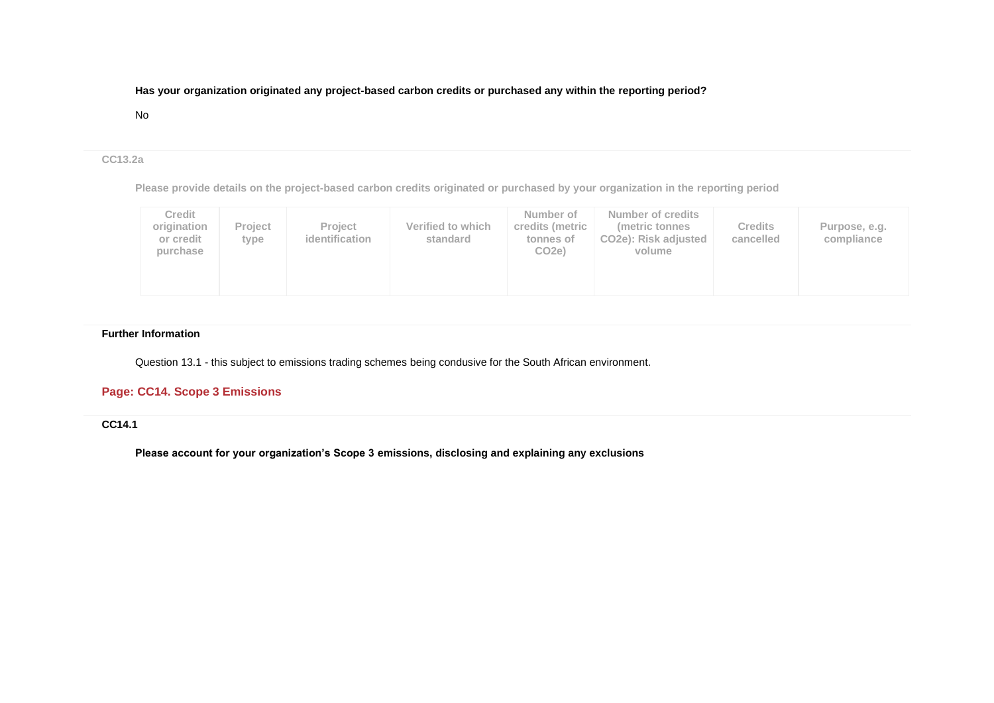## **Has your organization originated any project-based carbon credits or purchased any within the reporting period?**

#### No

### **CC13.2a**

**Please provide details on the project-based carbon credits originated or purchased by your organization in the reporting period**

| <b>Credit</b><br>origination<br>or credit<br>purchase | <b>Project</b><br>tvpe | <b>Project</b><br>identification | Verified to which<br>standard | Number of<br>credits (metric<br>tonnes of<br>CO <sub>2e</sub> | Number of credits<br>(metric tonnes)<br>CO <sub>2</sub> e): Risk adjusted<br>volume | <b>Credits</b><br>cancelled | Purpose, e.g.<br>compliance |
|-------------------------------------------------------|------------------------|----------------------------------|-------------------------------|---------------------------------------------------------------|-------------------------------------------------------------------------------------|-----------------------------|-----------------------------|
|-------------------------------------------------------|------------------------|----------------------------------|-------------------------------|---------------------------------------------------------------|-------------------------------------------------------------------------------------|-----------------------------|-----------------------------|

## **Further Information**

Question 13.1 - this subject to emissions trading schemes being condusive for the South African environment.

# **Page: CC14. Scope 3 Emissions**

# **CC14.1**

**Please account for your organization's Scope 3 emissions, disclosing and explaining any exclusions**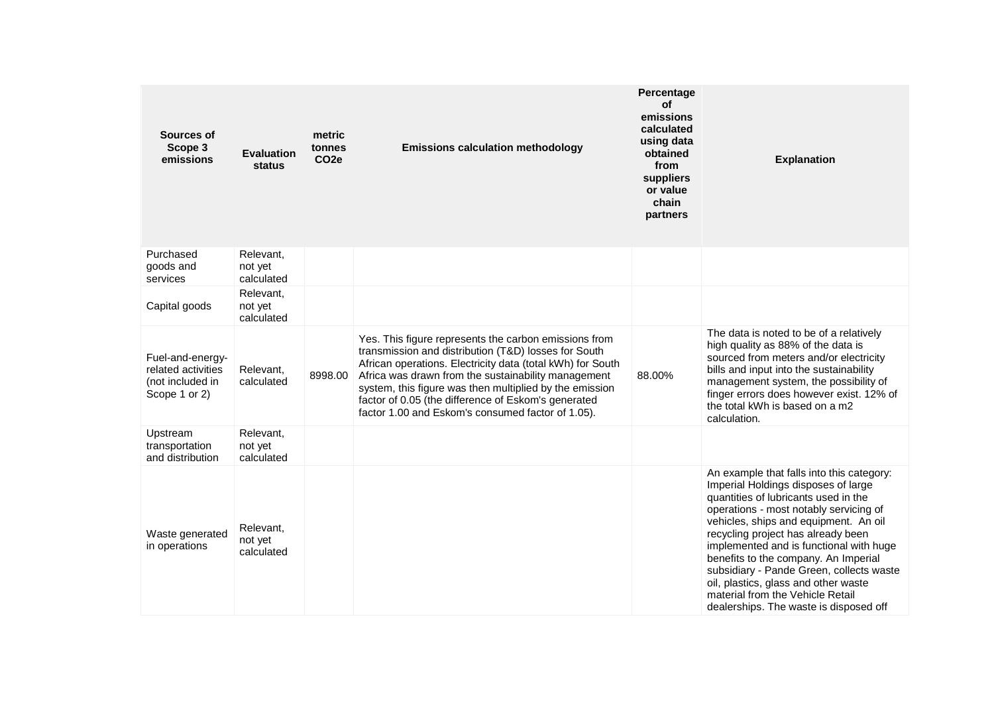| Sources of<br>Scope 3<br>emissions                                          | <b>Evaluation</b><br>status        | metric<br>tonnes<br>CO <sub>2e</sub> | <b>Emissions calculation methodology</b>                                                                                                                                                                                                                                                                                                                                                                  | Percentage<br>οf<br>emissions<br>calculated<br>using data<br>obtained<br>from<br>suppliers<br>or value<br>chain<br>partners | <b>Explanation</b>                                                                                                                                                                                                                                                                                                                                                                                                                                                                                     |
|-----------------------------------------------------------------------------|------------------------------------|--------------------------------------|-----------------------------------------------------------------------------------------------------------------------------------------------------------------------------------------------------------------------------------------------------------------------------------------------------------------------------------------------------------------------------------------------------------|-----------------------------------------------------------------------------------------------------------------------------|--------------------------------------------------------------------------------------------------------------------------------------------------------------------------------------------------------------------------------------------------------------------------------------------------------------------------------------------------------------------------------------------------------------------------------------------------------------------------------------------------------|
| Purchased<br>goods and<br>services                                          | Relevant,<br>not yet<br>calculated |                                      |                                                                                                                                                                                                                                                                                                                                                                                                           |                                                                                                                             |                                                                                                                                                                                                                                                                                                                                                                                                                                                                                                        |
| Capital goods                                                               | Relevant,<br>not yet<br>calculated |                                      |                                                                                                                                                                                                                                                                                                                                                                                                           |                                                                                                                             |                                                                                                                                                                                                                                                                                                                                                                                                                                                                                                        |
| Fuel-and-energy-<br>related activities<br>(not included in<br>Scope 1 or 2) | Relevant,<br>calculated            | 8998.00                              | Yes. This figure represents the carbon emissions from<br>transmission and distribution (T&D) losses for South<br>African operations. Electricity data (total kWh) for South<br>Africa was drawn from the sustainability management<br>system, this figure was then multiplied by the emission<br>factor of 0.05 (the difference of Eskom's generated<br>factor 1.00 and Eskom's consumed factor of 1.05). | 88.00%                                                                                                                      | The data is noted to be of a relatively<br>high quality as 88% of the data is<br>sourced from meters and/or electricity<br>bills and input into the sustainability<br>management system, the possibility of<br>finger errors does however exist. 12% of<br>the total kWh is based on a m2<br>calculation.                                                                                                                                                                                              |
| Upstream<br>transportation<br>and distribution                              | Relevant,<br>not yet<br>calculated |                                      |                                                                                                                                                                                                                                                                                                                                                                                                           |                                                                                                                             |                                                                                                                                                                                                                                                                                                                                                                                                                                                                                                        |
| Waste generated<br>in operations                                            | Relevant,<br>not yet<br>calculated |                                      |                                                                                                                                                                                                                                                                                                                                                                                                           |                                                                                                                             | An example that falls into this category:<br>Imperial Holdings disposes of large<br>quantities of lubricants used in the<br>operations - most notably servicing of<br>vehicles, ships and equipment. An oil<br>recycling project has already been<br>implemented and is functional with huge<br>benefits to the company. An Imperial<br>subsidiary - Pande Green, collects waste<br>oil, plastics, glass and other waste<br>material from the Vehicle Retail<br>dealerships. The waste is disposed off |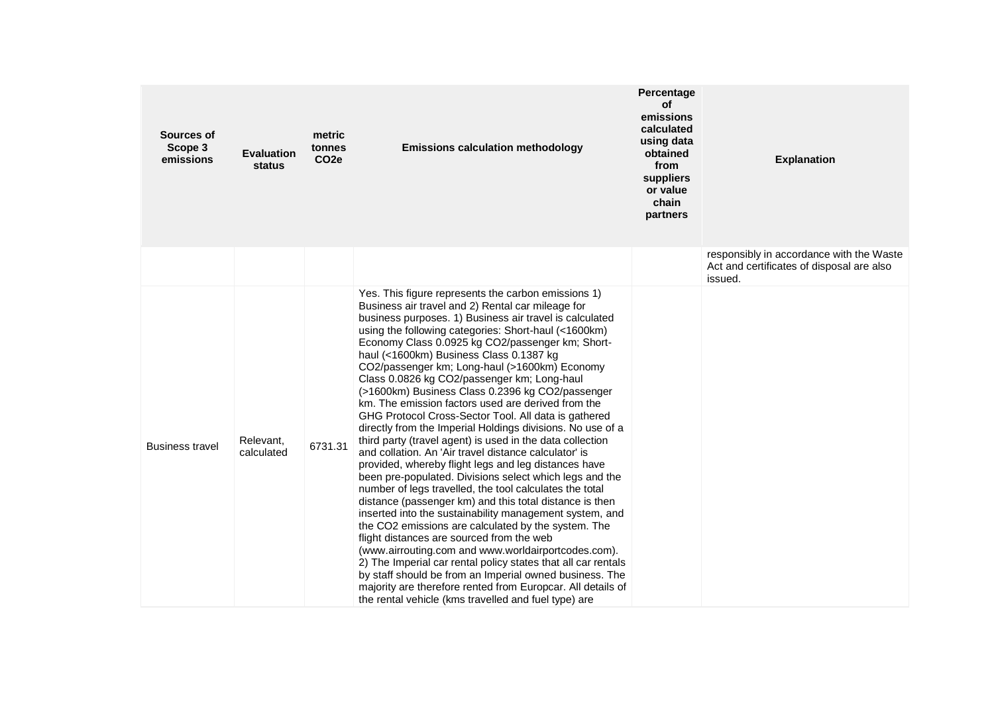| Sources of<br>Scope 3<br>emissions | <b>Evaluation</b><br>status | metric<br>tonnes<br>CO <sub>2</sub> e | <b>Emissions calculation methodology</b>                                                                                                                                                                                                                                                                                                                                                                                                                                                                                                                                                                                                                                                                                                                                                                                                                                                                                                                                                                                                                                                                                                                                                                                                                                                                                                                                                                                                                                                           | Percentage<br>οf<br>emissions<br>calculated<br>using data<br>obtained<br>from<br>suppliers<br>or value<br>chain<br>partners | <b>Explanation</b>                                                                               |
|------------------------------------|-----------------------------|---------------------------------------|----------------------------------------------------------------------------------------------------------------------------------------------------------------------------------------------------------------------------------------------------------------------------------------------------------------------------------------------------------------------------------------------------------------------------------------------------------------------------------------------------------------------------------------------------------------------------------------------------------------------------------------------------------------------------------------------------------------------------------------------------------------------------------------------------------------------------------------------------------------------------------------------------------------------------------------------------------------------------------------------------------------------------------------------------------------------------------------------------------------------------------------------------------------------------------------------------------------------------------------------------------------------------------------------------------------------------------------------------------------------------------------------------------------------------------------------------------------------------------------------------|-----------------------------------------------------------------------------------------------------------------------------|--------------------------------------------------------------------------------------------------|
|                                    |                             |                                       |                                                                                                                                                                                                                                                                                                                                                                                                                                                                                                                                                                                                                                                                                                                                                                                                                                                                                                                                                                                                                                                                                                                                                                                                                                                                                                                                                                                                                                                                                                    |                                                                                                                             | responsibly in accordance with the Waste<br>Act and certificates of disposal are also<br>issued. |
| <b>Business travel</b>             | Relevant,<br>calculated     | 6731.31                               | Yes. This figure represents the carbon emissions 1)<br>Business air travel and 2) Rental car mileage for<br>business purposes. 1) Business air travel is calculated<br>using the following categories: Short-haul (<1600km)<br>Economy Class 0.0925 kg CO2/passenger km; Short-<br>haul (<1600km) Business Class 0.1387 kg<br>CO2/passenger km; Long-haul (>1600km) Economy<br>Class 0.0826 kg CO2/passenger km; Long-haul<br>(>1600km) Business Class 0.2396 kg CO2/passenger<br>km. The emission factors used are derived from the<br>GHG Protocol Cross-Sector Tool. All data is gathered<br>directly from the Imperial Holdings divisions. No use of a<br>third party (travel agent) is used in the data collection<br>and collation. An 'Air travel distance calculator' is<br>provided, whereby flight legs and leg distances have<br>been pre-populated. Divisions select which legs and the<br>number of legs travelled, the tool calculates the total<br>distance (passenger km) and this total distance is then<br>inserted into the sustainability management system, and<br>the CO2 emissions are calculated by the system. The<br>flight distances are sourced from the web<br>(www.airrouting.com and www.worldairportcodes.com).<br>2) The Imperial car rental policy states that all car rentals<br>by staff should be from an Imperial owned business. The<br>majority are therefore rented from Europcar. All details of<br>the rental vehicle (kms travelled and fuel type) are |                                                                                                                             |                                                                                                  |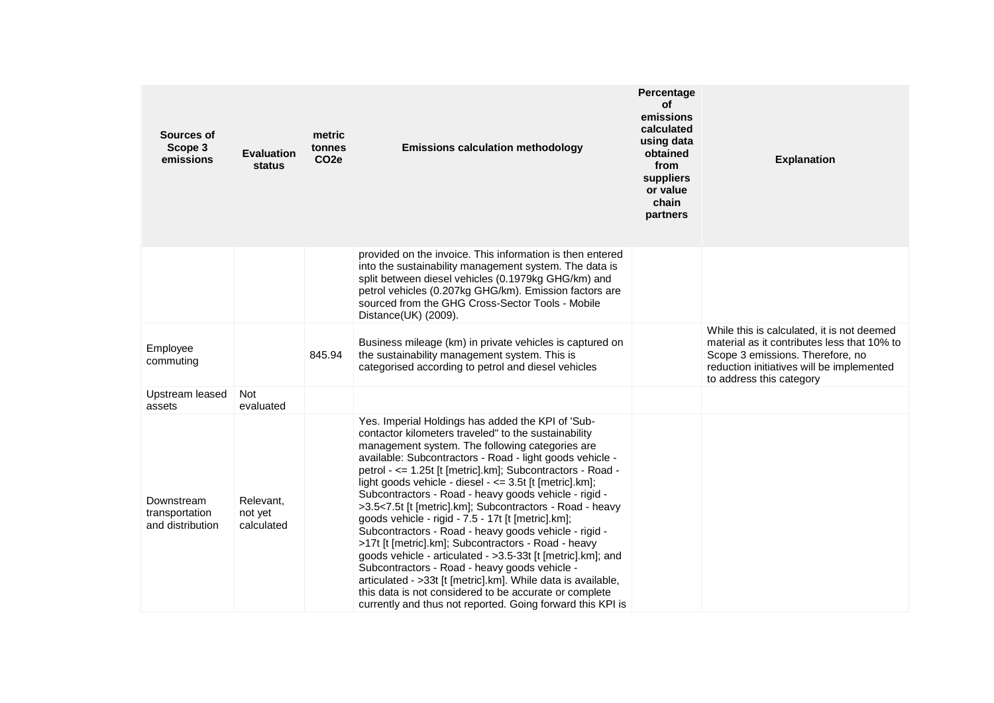| Sources of<br>Scope 3<br>emissions               | <b>Evaluation</b><br>status        | metric<br>tonnes<br>CO <sub>2e</sub> | <b>Emissions calculation methodology</b>                                                                                                                                                                                                                                                                                                                                                                                                                                                                                                                                                                                                                                                                                                                                                                                                                                                                                                              | Percentage<br>οf<br>emissions<br>calculated<br>using data<br>obtained<br>from<br>suppliers<br>or value<br>chain<br>partners | <b>Explanation</b>                                                                                                                                                                                     |
|--------------------------------------------------|------------------------------------|--------------------------------------|-------------------------------------------------------------------------------------------------------------------------------------------------------------------------------------------------------------------------------------------------------------------------------------------------------------------------------------------------------------------------------------------------------------------------------------------------------------------------------------------------------------------------------------------------------------------------------------------------------------------------------------------------------------------------------------------------------------------------------------------------------------------------------------------------------------------------------------------------------------------------------------------------------------------------------------------------------|-----------------------------------------------------------------------------------------------------------------------------|--------------------------------------------------------------------------------------------------------------------------------------------------------------------------------------------------------|
|                                                  |                                    |                                      | provided on the invoice. This information is then entered<br>into the sustainability management system. The data is<br>split between diesel vehicles (0.1979kg GHG/km) and<br>petrol vehicles (0.207kg GHG/km). Emission factors are<br>sourced from the GHG Cross-Sector Tools - Mobile<br>Distance(UK) (2009).                                                                                                                                                                                                                                                                                                                                                                                                                                                                                                                                                                                                                                      |                                                                                                                             |                                                                                                                                                                                                        |
| Employee<br>commuting                            |                                    | 845.94                               | Business mileage (km) in private vehicles is captured on<br>the sustainability management system. This is<br>categorised according to petrol and diesel vehicles                                                                                                                                                                                                                                                                                                                                                                                                                                                                                                                                                                                                                                                                                                                                                                                      |                                                                                                                             | While this is calculated, it is not deemed<br>material as it contributes less that 10% to<br>Scope 3 emissions. Therefore, no<br>reduction initiatives will be implemented<br>to address this category |
| Upstream leased<br>assets                        | <b>Not</b><br>evaluated            |                                      |                                                                                                                                                                                                                                                                                                                                                                                                                                                                                                                                                                                                                                                                                                                                                                                                                                                                                                                                                       |                                                                                                                             |                                                                                                                                                                                                        |
| Downstream<br>transportation<br>and distribution | Relevant,<br>not yet<br>calculated |                                      | Yes. Imperial Holdings has added the KPI of 'Sub-<br>contactor kilometers traveled" to the sustainability<br>management system. The following categories are<br>available: Subcontractors - Road - light goods vehicle -<br>petrol - <= 1.25t [t [metric].km]; Subcontractors - Road -<br>light goods vehicle - diesel - <= 3.5t [t [metric].km];<br>Subcontractors - Road - heavy goods vehicle - rigid -<br>>3.5<7.5t [t [metric].km]; Subcontractors - Road - heavy<br>goods vehicle - rigid - 7.5 - 17t [t [metric].km];<br>Subcontractors - Road - heavy goods vehicle - rigid -<br>>17t [t [metric].km]; Subcontractors - Road - heavy<br>goods vehicle - articulated - >3.5-33t [t [metric].km]; and<br>Subcontractors - Road - heavy goods vehicle -<br>articulated - > 33t [t [metric].km]. While data is available,<br>this data is not considered to be accurate or complete<br>currently and thus not reported. Going forward this KPI is |                                                                                                                             |                                                                                                                                                                                                        |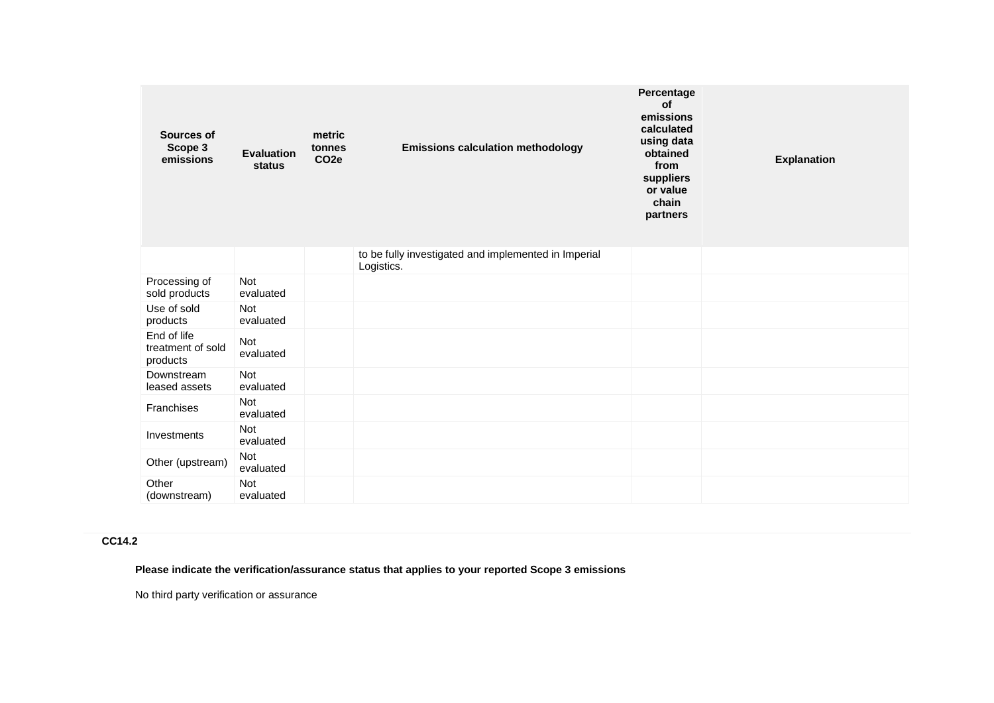| Sources of<br>Scope 3<br>emissions           | <b>Evaluation</b><br>status | metric<br>tonnes<br>CO <sub>2e</sub> | <b>Emissions calculation methodology</b>                           | Percentage<br>of<br>emissions<br>calculated<br>using data<br>obtained<br>from<br>suppliers<br>or value<br>chain<br>partners | <b>Explanation</b> |
|----------------------------------------------|-----------------------------|--------------------------------------|--------------------------------------------------------------------|-----------------------------------------------------------------------------------------------------------------------------|--------------------|
|                                              |                             |                                      | to be fully investigated and implemented in Imperial<br>Logistics. |                                                                                                                             |                    |
| Processing of<br>sold products               | <b>Not</b><br>evaluated     |                                      |                                                                    |                                                                                                                             |                    |
| Use of sold<br>products                      | <b>Not</b><br>evaluated     |                                      |                                                                    |                                                                                                                             |                    |
| End of life<br>treatment of sold<br>products | Not<br>evaluated            |                                      |                                                                    |                                                                                                                             |                    |
| Downstream<br>leased assets                  | Not<br>evaluated            |                                      |                                                                    |                                                                                                                             |                    |
| Franchises                                   | Not<br>evaluated            |                                      |                                                                    |                                                                                                                             |                    |
| Investments                                  | <b>Not</b><br>evaluated     |                                      |                                                                    |                                                                                                                             |                    |
| Other (upstream)                             | Not<br>evaluated            |                                      |                                                                    |                                                                                                                             |                    |
| Other<br>(downstream)                        | Not<br>evaluated            |                                      |                                                                    |                                                                                                                             |                    |

# **CC14.2**

**Please indicate the verification/assurance status that applies to your reported Scope 3 emissions**

No third party verification or assurance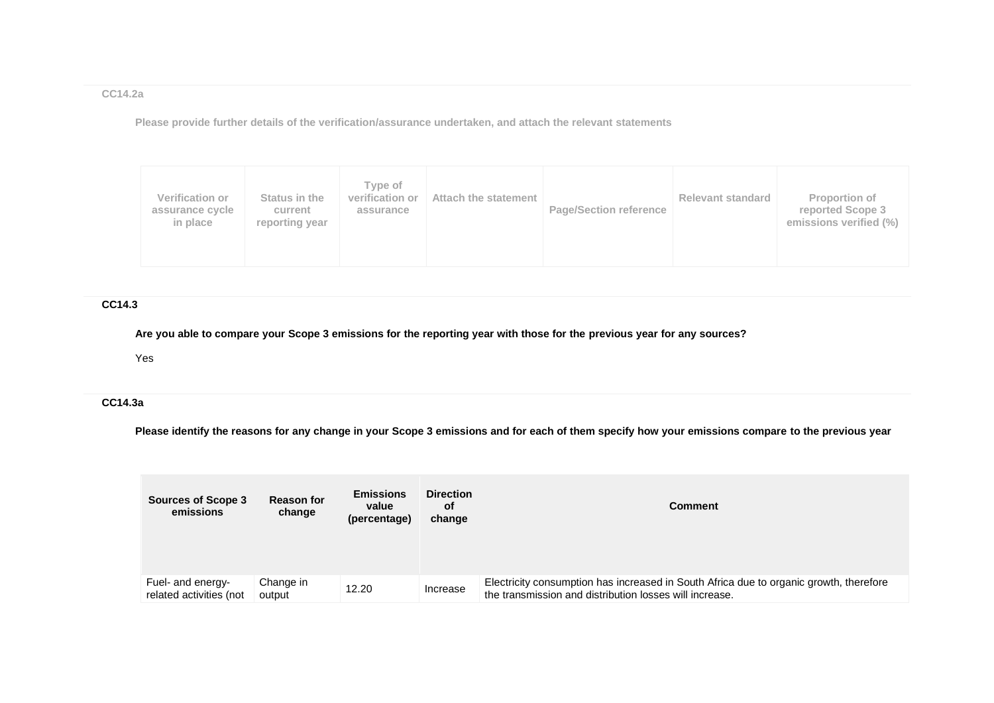**CC14.2a**

**Please provide further details of the verification/assurance undertaken, and attach the relevant statements**

|  | <b>Verification or</b><br>assurance cycle<br>in place | Status in the<br>current<br>reporting year | Type of<br>verification or<br>assurance | Attach the statement | <b>Page/Section reference</b> | <b>Relevant standard</b> | Proportion of<br>reported Scope 3<br>emissions verified (%) |
|--|-------------------------------------------------------|--------------------------------------------|-----------------------------------------|----------------------|-------------------------------|--------------------------|-------------------------------------------------------------|
|--|-------------------------------------------------------|--------------------------------------------|-----------------------------------------|----------------------|-------------------------------|--------------------------|-------------------------------------------------------------|

# **CC14.3**

**Are you able to compare your Scope 3 emissions for the reporting year with those for the previous year for any sources?**

Yes

# **CC14.3a**

**Please identify the reasons for any change in your Scope 3 emissions and for each of them specify how your emissions compare to the previous year**

| <b>Sources of Scope 3</b><br>emissions       | <b>Reason for</b><br>change | <b>Emissions</b><br>value<br>(percentage) | <b>Direction</b><br>οf<br>change | <b>Comment</b>                                                                                                                                    |
|----------------------------------------------|-----------------------------|-------------------------------------------|----------------------------------|---------------------------------------------------------------------------------------------------------------------------------------------------|
| Fuel- and energy-<br>related activities (not | Change in<br>output         | 12.20                                     | Increase                         | Electricity consumption has increased in South Africa due to organic growth, therefore<br>the transmission and distribution losses will increase. |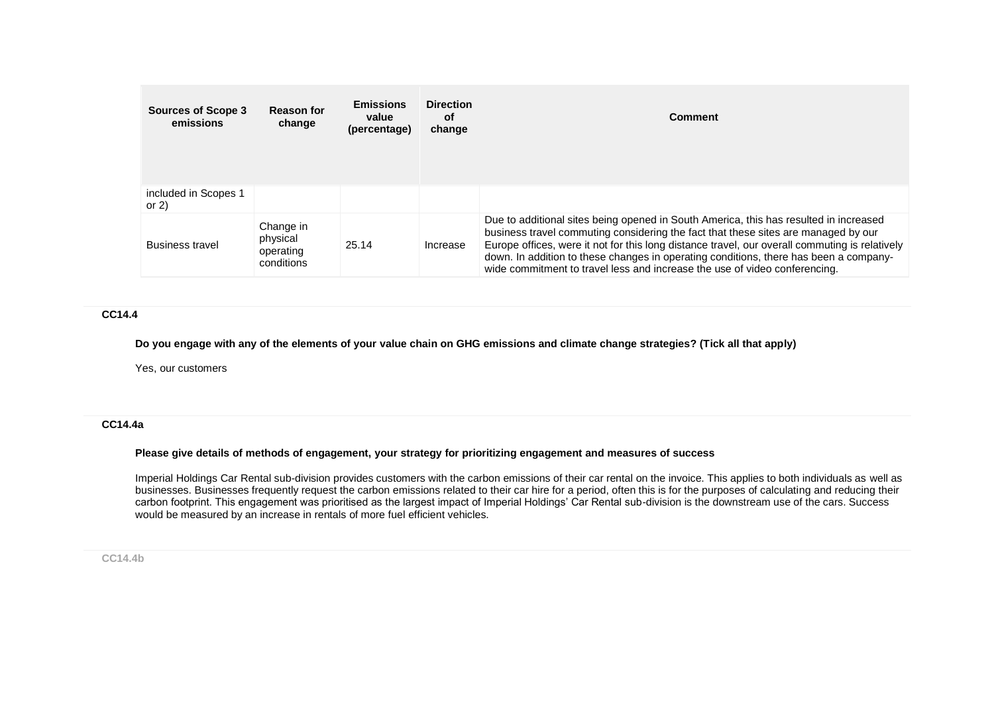| <b>Sources of Scope 3</b><br>emissions | <b>Reason for</b><br>change                      | <b>Emissions</b><br>value<br>(percentage) | <b>Direction</b><br><b>of</b><br>change | Comment                                                                                                                                                                                                                                                                                                                                                                                                                                              |
|----------------------------------------|--------------------------------------------------|-------------------------------------------|-----------------------------------------|------------------------------------------------------------------------------------------------------------------------------------------------------------------------------------------------------------------------------------------------------------------------------------------------------------------------------------------------------------------------------------------------------------------------------------------------------|
| included in Scopes 1<br>or $2)$        |                                                  |                                           |                                         |                                                                                                                                                                                                                                                                                                                                                                                                                                                      |
| <b>Business travel</b>                 | Change in<br>physical<br>operating<br>conditions | 25.14                                     | Increase                                | Due to additional sites being opened in South America, this has resulted in increased<br>business travel commuting considering the fact that these sites are managed by our<br>Europe offices, were it not for this long distance travel, our overall commuting is relatively<br>down. In addition to these changes in operating conditions, there has been a company-<br>wide commitment to travel less and increase the use of video conferencing. |

### **CC14.4**

**Do you engage with any of the elements of your value chain on GHG emissions and climate change strategies? (Tick all that apply)**

Yes, our customers

#### **CC14.4a**

### **Please give details of methods of engagement, your strategy for prioritizing engagement and measures of success**

Imperial Holdings Car Rental sub-division provides customers with the carbon emissions of their car rental on the invoice. This applies to both individuals as well as businesses. Businesses frequently request the carbon emissions related to their car hire for a period, often this is for the purposes of calculating and reducing their carbon footprint. This engagement was prioritised as the largest impact of Imperial Holdings' Car Rental sub-division is the downstream use of the cars. Success would be measured by an increase in rentals of more fuel efficient vehicles.

### **CC14.4b**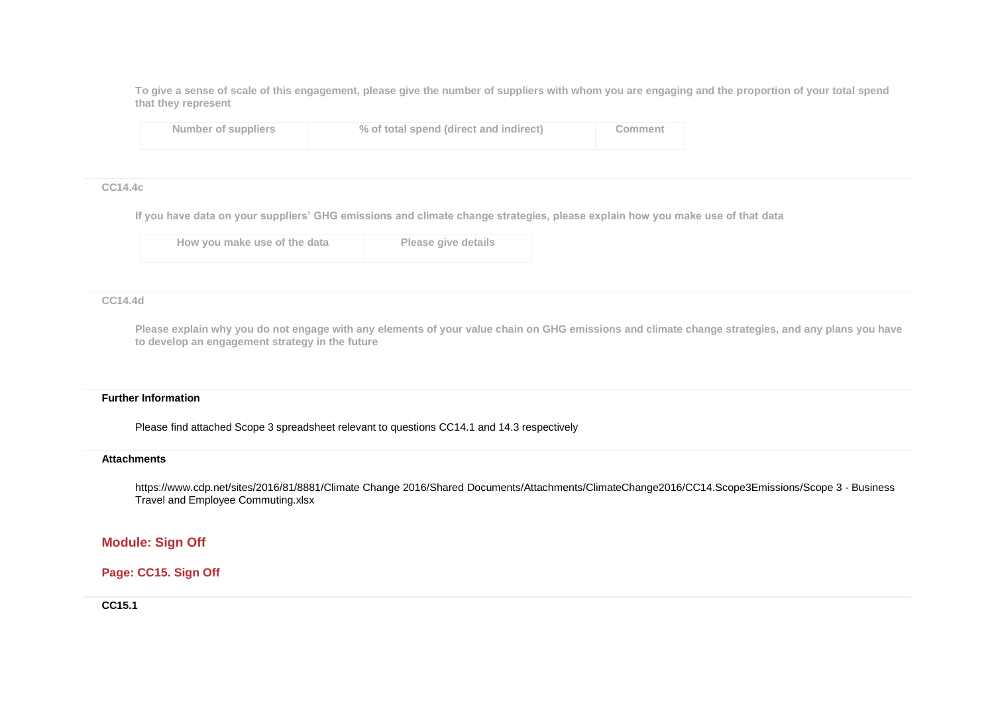**To give a sense of scale of this engagement, please give the number of suppliers with whom you are engaging and the proportion of your total spend that they represent**

| Number of suppliers | % of total spend (direct and indirect) | Comment |
|---------------------|----------------------------------------|---------|
|---------------------|----------------------------------------|---------|

#### **CC14.4c**

**If you have data on your suppliers' GHG emissions and climate change strategies, please explain how you make use of that data**

| How you make use of the data | Please give details |
|------------------------------|---------------------|
|                              |                     |

#### **CC14.4d**

**Please explain why you do not engage with any elements of your value chain on GHG emissions and climate change strategies, and any plans you have to develop an engagement strategy in the future**

#### **Further Information**

Please find attached Scope 3 spreadsheet relevant to questions CC14.1 and 14.3 respectively

#### **Attachments**

https://www.cdp.net/sites/2016/81/8881/Climate Change 2016/Shared Documents/Attachments/ClimateChange2016/CC14.Scope3Emissions/Scope 3 - Business Travel and Employee Commuting.xlsx

# **Module: Sign Off**

# **Page: CC15. Sign Off**

**CC15.1**